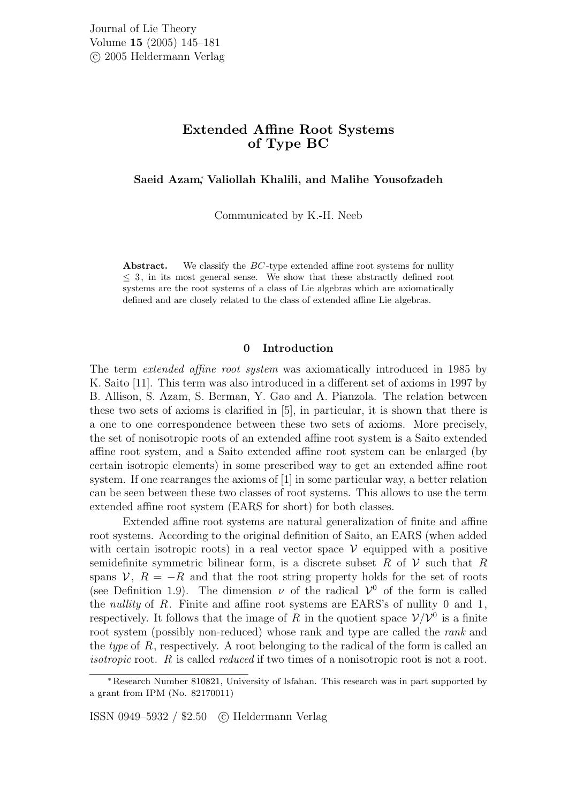# Extended Affine Root Systems of Type BC

Saeid Azam<sup>∗</sup> , Valiollah Khalili, and Malihe Yousofzadeh

Communicated by K.-H. Neeb

Abstract. We classify the  $BC$ -type extended affine root systems for nullity  $\leq$  3, in its most general sense. We show that these abstractly defined root systems are the root systems of a class of Lie algebras which are axiomatically defined and are closely related to the class of extended affine Lie algebras.

# 0 Introduction

The term extended affine root system was axiomatically introduced in 1985 by K. Saito [11]. This term was also introduced in a different set of axioms in 1997 by B. Allison, S. Azam, S. Berman, Y. Gao and A. Pianzola. The relation between these two sets of axioms is clarified in [5], in particular, it is shown that there is a one to one correspondence between these two sets of axioms. More precisely, the set of nonisotropic roots of an extended affine root system is a Saito extended affine root system, and a Saito extended affine root system can be enlarged (by certain isotropic elements) in some prescribed way to get an extended affine root system. If one rearranges the axioms of [1] in some particular way, a better relation can be seen between these two classes of root systems. This allows to use the term extended affine root system (EARS for short) for both classes.

Extended affine root systems are natural generalization of finite and affine root systems. According to the original definition of Saito, an EARS (when added with certain isotropic roots) in a real vector space  $\mathcal V$  equipped with a positive semidefinite symmetric bilinear form, is a discrete subset R of  $\mathcal V$  such that R spans  $\mathcal{V}, R = -R$  and that the root string property holds for the set of roots (see Definition 1.9). The dimension  $\nu$  of the radical  $\mathcal{V}^0$  of the form is called the nullity of R. Finite and affine root systems are EARS's of nullity 0 and 1, respectively. It follows that the image of R in the quotient space  $\mathcal{V}/\mathcal{V}^0$  is a finite root system (possibly non-reduced) whose rank and type are called the rank and the type of  $R$ , respectively. A root belonging to the radical of the form is called an isotropic root. R is called *reduced* if two times of a nonisotropic root is not a root.

ISSN 0949–5932 / \$2.50 c Heldermann Verlag

<sup>∗</sup> Research Number 810821, University of Isfahan. This research was in part supported by a grant from IPM (No. 82170011)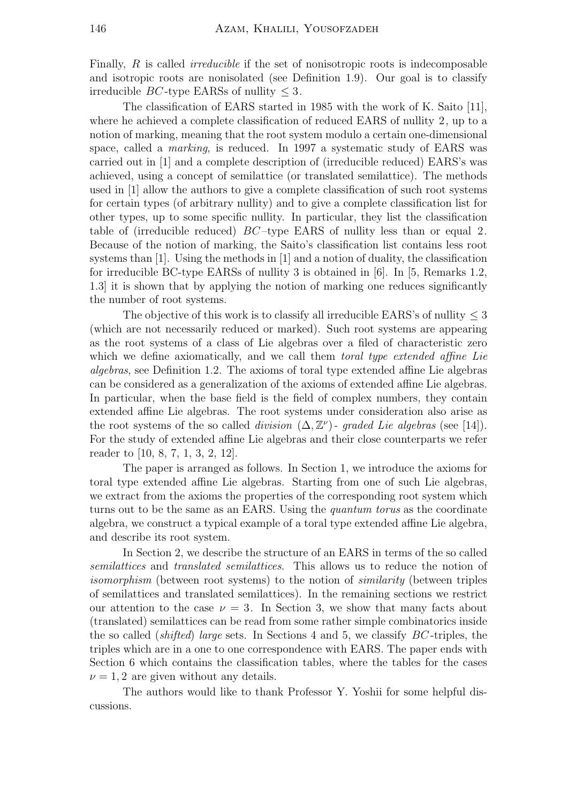Finally, R is called *irreducible* if the set of nonisotropic roots is indecomposable and isotropic roots are nonisolated (see Definition 1.9). Our goal is to classify irreducible  $BC$ -type EARSs of nullity  $\leq 3$ .

The classification of EARS started in 1985 with the work of K. Saito [11], where he achieved a complete classification of reduced EARS of nullity 2, up to a notion of marking, meaning that the root system modulo a certain one-dimensional space, called a marking, is reduced. In 1997 a systematic study of EARS was carried out in [1] and a complete description of (irreducible reduced) EARS's was achieved, using a concept of semilattice (or translated semilattice). The methods used in [1] allow the authors to give a complete classification of such root systems for certain types (of arbitrary nullity) and to give a complete classification list for other types, up to some specific nullity. In particular, they list the classification table of (irreducible reduced) BC –type EARS of nullity less than or equal 2. Because of the notion of marking, the Saito's classification list contains less root systems than [1]. Using the methods in [1] and a notion of duality, the classification for irreducible BC-type EARSs of nullity 3 is obtained in [6]. In [5, Remarks 1.2, 1.3] it is shown that by applying the notion of marking one reduces significantly the number of root systems.

The objective of this work is to classify all irreducible EARS's of nullity  $\leq$  3 (which are not necessarily reduced or marked). Such root systems are appearing as the root systems of a class of Lie algebras over a filed of characteristic zero which we define axiomatically, and we call them toral type extended affine Lie algebras, see Definition 1.2. The axioms of toral type extended affine Lie algebras can be considered as a generalization of the axioms of extended affine Lie algebras. In particular, when the base field is the field of complex numbers, they contain extended affine Lie algebras. The root systems under consideration also arise as the root systems of the so called *division*  $(\Delta, \mathbb{Z}^{\nu})$ - graded Lie algebras (see [14]). For the study of extended affine Lie algebras and their close counterparts we refer reader to [10, 8, 7, 1, 3, 2, 12].

The paper is arranged as follows. In Section 1, we introduce the axioms for toral type extended affine Lie algebras. Starting from one of such Lie algebras, we extract from the axioms the properties of the corresponding root system which turns out to be the same as an EARS. Using the quantum torus as the coordinate algebra, we construct a typical example of a toral type extended affine Lie algebra, and describe its root system.

In Section 2, we describe the structure of an EARS in terms of the so called semilattices and translated semilattices. This allows us to reduce the notion of isomorphism (between root systems) to the notion of *similarity* (between triples of semilattices and translated semilattices). In the remaining sections we restrict our attention to the case  $\nu = 3$ . In Section 3, we show that many facts about (translated) semilattices can be read from some rather simple combinatorics inside the so called (shifted) large sets. In Sections 4 and 5, we classify BC -triples, the triples which are in a one to one correspondence with EARS. The paper ends with Section 6 which contains the classification tables, where the tables for the cases  $\nu = 1, 2$  are given without any details.

The authors would like to thank Professor Y. Yoshii for some helpful discussions.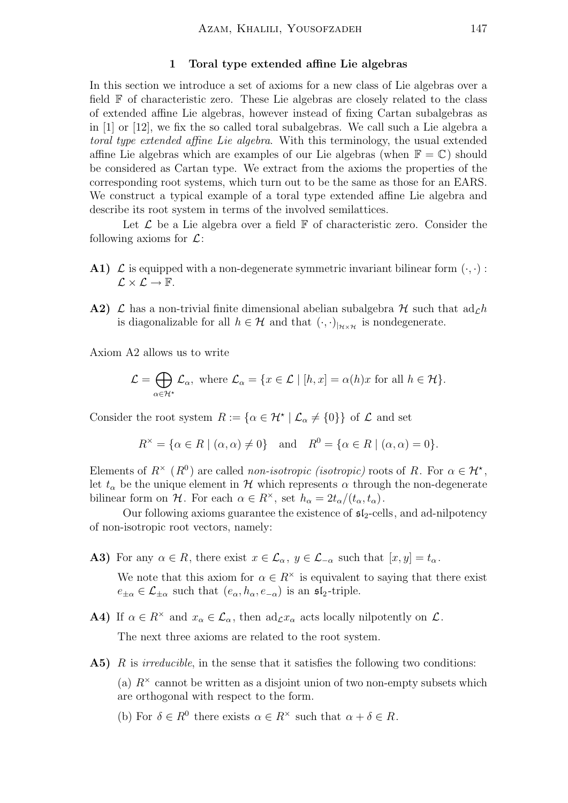# 1 Toral type extended affine Lie algebras

In this section we introduce a set of axioms for a new class of Lie algebras over a field F of characteristic zero. These Lie algebras are closely related to the class of extended affine Lie algebras, however instead of fixing Cartan subalgebras as in [1] or [12], we fix the so called toral subalgebras. We call such a Lie algebra a toral type extended affine Lie algebra. With this terminology, the usual extended affine Lie algebras which are examples of our Lie algebras (when  $\mathbb{F} = \mathbb{C}$ ) should be considered as Cartan type. We extract from the axioms the properties of the corresponding root systems, which turn out to be the same as those for an EARS. We construct a typical example of a toral type extended affine Lie algebra and describe its root system in terms of the involved semilattices.

Let  $\mathcal L$  be a Lie algebra over a field  $\mathbb F$  of characteristic zero. Consider the following axioms for  $\mathcal{L}$ :

- A1)  $\mathcal L$  is equipped with a non-degenerate symmetric invariant bilinear form  $(\cdot, \cdot)$ :  $\mathcal{L} \times \mathcal{L} \rightarrow \mathbb{F}$ .
- A2)  $\mathcal L$  has a non-trivial finite dimensional abelian subalgebra  $\mathcal H$  such that  $ad_{\mathcal L} h$ is diagonalizable for all  $h \in \mathcal{H}$  and that  $(\cdot, \cdot)_{H \times \mathcal{H}}$  is nondegenerate.

Axiom A2 allows us to write

$$
\mathcal{L} = \bigoplus_{\alpha \in \mathcal{H}^*} \mathcal{L}_{\alpha}, \text{ where } \mathcal{L}_{\alpha} = \{x \in \mathcal{L} \mid [h, x] = \alpha(h)x \text{ for all } h \in \mathcal{H}\}.
$$

Consider the root system  $R := {\alpha \in \mathcal{H}^\star \mid \mathcal{L}_\alpha \neq \{0\}\}\$  of  $\mathcal L$  and set

$$
R^{\times} = \{ \alpha \in R \mid (\alpha, \alpha) \neq 0 \} \quad \text{and} \quad R^{0} = \{ \alpha \in R \mid (\alpha, \alpha) = 0 \}.
$$

Elements of  $R^{\times}(R^0)$  are called non-isotropic (isotropic) roots of R. For  $\alpha \in \mathcal{H}^{\star}$ , let  $t_{\alpha}$  be the unique element in H which represents  $\alpha$  through the non-degenerate bilinear form on H. For each  $\alpha \in R^{\times}$ , set  $h_{\alpha} = 2t_{\alpha}/(t_{\alpha}, t_{\alpha})$ .

Our following axioms guarantee the existence of  $\mathfrak{sl}_2$ -cells, and ad-nilpotency of non-isotropic root vectors, namely:

- **A3)** For any  $\alpha \in R$ , there exist  $x \in \mathcal{L}_{\alpha}$ ,  $y \in \mathcal{L}_{-\alpha}$  such that  $[x, y] = t_{\alpha}$ . We note that this axiom for  $\alpha \in R^{\times}$  is equivalent to saying that there exist  $e_{\pm\alpha} \in \mathcal{L}_{\pm\alpha}$  such that  $(e_{\alpha}, h_{\alpha}, e_{-\alpha})$  is an  $\mathfrak{sl}_2$ -triple.
- **A4)** If  $\alpha \in \mathbb{R}^\times$  and  $x_\alpha \in \mathcal{L}_\alpha$ , then  $\text{ad}_{\mathcal{L}} x_\alpha$  acts locally nilpotently on  $\mathcal{L}$ . The next three axioms are related to the root system.
- **A5)** R is *irreducible*, in the sense that it satisfies the following two conditions:

(a)  $R^{\times}$  cannot be written as a disjoint union of two non-empty subsets which are orthogonal with respect to the form.

(b) For  $\delta \in R^0$  there exists  $\alpha \in R^{\times}$  such that  $\alpha + \delta \in R$ .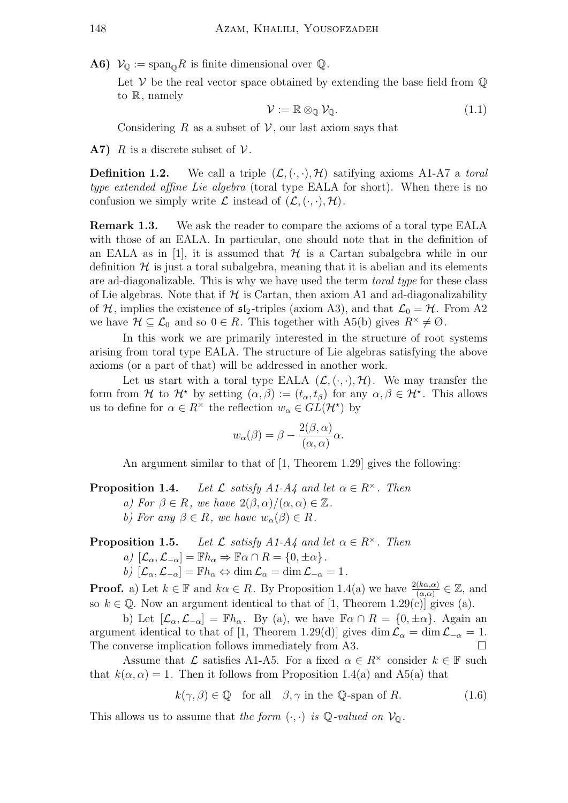**A6)**  $V_{\mathbb{Q}} := \text{span}_{\mathbb{Q}} R$  is finite dimensional over  $\mathbb{Q}$ .

Let  $V$  be the real vector space obtained by extending the base field from  $\mathbb Q$ to R, namely

$$
\mathcal{V} := \mathbb{R} \otimes_{\mathbb{Q}} \mathcal{V}_{\mathbb{Q}}.
$$
 (1.1)

Considering R as a subset of  $V$ , our last axiom says that

**A7)** R is a discrete subset of  $V$ .

**Definition 1.2.** We call a triple  $(\mathcal{L}, \langle \cdot, \cdot \rangle, \mathcal{H})$  satifying axioms A1-A7 a toral type extended affine Lie algebra (toral type EALA for short). When there is no confusion we simply write  $\mathcal L$  instead of  $(\mathcal L, (\cdot, \cdot), \mathcal H)$ .

Remark 1.3. We ask the reader to compare the axioms of a toral type EALA with those of an EALA. In particular, one should note that in the definition of an EALA as in [1], it is assumed that  $H$  is a Cartan subalgebra while in our definition  $H$  is just a toral subalgebra, meaning that it is abelian and its elements are ad-diagonalizable. This is why we have used the term toral type for these class of Lie algebras. Note that if  $H$  is Cartan, then axiom A1 and ad-diagonalizability of H, implies the existence of  $\mathfrak{sl}_2$ -triples (axiom A3), and that  $\mathcal{L}_0 = \mathcal{H}$ . From A2 we have  $\mathcal{H} \subseteq \mathcal{L}_0$  and so  $0 \in R$ . This together with A5(b) gives  $R^{\times} \neq \emptyset$ .

In this work we are primarily interested in the structure of root systems arising from toral type EALA. The structure of Lie algebras satisfying the above axioms (or a part of that) will be addressed in another work.

Let us start with a toral type EALA  $(\mathcal{L}, \langle \cdot, \cdot \rangle, \mathcal{H})$ . We may transfer the form from H to  $\mathcal{H}^*$  by setting  $(\alpha, \beta) := (t_\alpha, t_\beta)$  for any  $\alpha, \beta \in \mathcal{H}^*$ . This allows us to define for  $\alpha \in R^{\times}$  the reflection  $w_{\alpha} \in GL(\mathcal{H}^{\star})$  by

$$
w_{\alpha}(\beta) = \beta - \frac{2(\beta, \alpha)}{(\alpha, \alpha)}\alpha.
$$

An argument similar to that of [1, Theorem 1.29] gives the following:

**Proposition 1.4.** Let  $\mathcal L$  satisfy A1-A4 and let  $\alpha \in \mathbb R^\times$ . Then a) For  $\beta \in R$ , we have  $2(\beta, \alpha)/(\alpha, \alpha) \in \mathbb{Z}$ .

b) For any  $\beta \in R$ , we have  $w_{\alpha}(\beta) \in R$ .

**Proposition 1.5.** Let  $\mathcal L$  satisfy A1-A4 and let  $\alpha \in \mathbb R^\times$ . Then

a)  $[\mathcal{L}_{\alpha}, \mathcal{L}_{-\alpha}] = \mathbb{F}h_{\alpha} \Rightarrow \mathbb{F}\alpha \cap R = \{0, \pm \alpha\}.$ 

b)  $[\mathcal{L}_{\alpha}, \mathcal{L}_{-\alpha}] = \mathbb{F}h_{\alpha} \Leftrightarrow \dim \mathcal{L}_{\alpha} = \dim \mathcal{L}_{-\alpha} = 1.$ 

**Proof.** a) Let  $k \in \mathbb{F}$  and  $k\alpha \in R$ . By Proposition 1.4(a) we have  $\frac{2(k\alpha,\alpha)}{(\alpha,\alpha)} \in \mathbb{Z}$ , and so  $k \in \mathbb{Q}$ . Now an argument identical to that of [1, Theorem 1.29(c)] gives (a).

b) Let  $[\mathcal{L}_{\alpha}, \mathcal{L}_{-\alpha}] = \mathbb{F}h_{\alpha}$ . By (a), we have  $\mathbb{F}\alpha \cap R = \{0, \pm \alpha\}$ . Again an argument identical to that of [1, Theorem 1.29(d)] gives dim  $\mathcal{L}_{\alpha} = \dim \mathcal{L}_{-\alpha} = 1$ . The converse implication follows immediately from A3.  $\Box$ 

Assume that  $\mathcal L$  satisfies A1-A5. For a fixed  $\alpha \in \mathbb{R}^\times$  consider  $k \in \mathbb{F}$  such that  $k(\alpha, \alpha) = 1$ . Then it follows from Proposition 1.4(a) and A5(a) that

$$
k(\gamma, \beta) \in \mathbb{Q} \quad \text{for all} \quad \beta, \gamma \text{ in the } \mathbb{Q}\text{-span of } R. \tag{1.6}
$$

This allows us to assume that the form  $(\cdot, \cdot)$  is Q-valued on  $\mathcal{V}_{\mathbb{Q}}$ .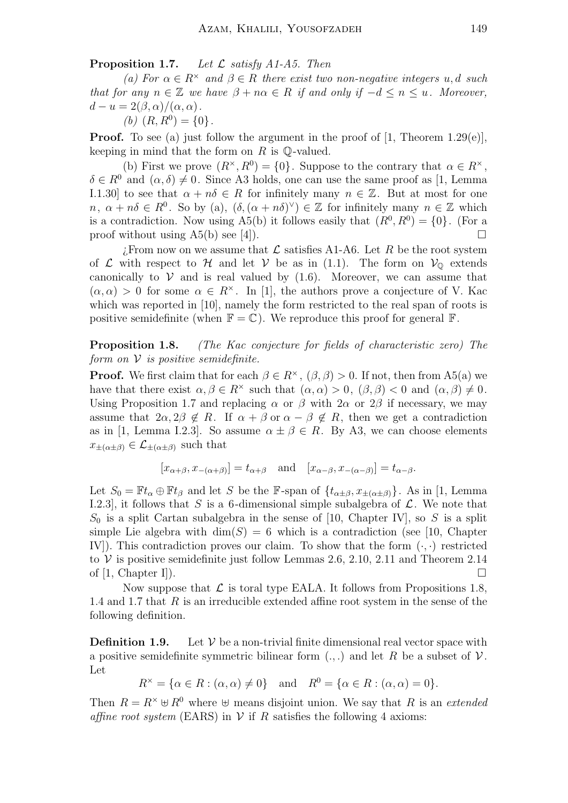**Proposition 1.7.** Let  $\mathcal L$  satisfy A1-A5. Then

(a) For  $\alpha \in R^{\times}$  and  $\beta \in R$  there exist two non-negative integers u, d such that for any  $n \in \mathbb{Z}$  we have  $\beta + n\alpha \in R$  if and only if  $-d \leq n \leq u$ . Moreover,  $d - u = 2(\beta, \alpha)/(\alpha, \alpha)$ .

(b) 
$$
(R, R^0) = \{0\}.
$$

**Proof.** To see (a) just follow the argument in the proof of  $[1,$  Theorem 1.29(e)], keeping in mind that the form on  $R$  is  $\mathbb{Q}\text{-valued}$ .

(b) First we prove  $(R^{\times}, R^0) = \{0\}$ . Suppose to the contrary that  $\alpha \in R^{\times}$ ,  $\delta \in R^0$  and  $(\alpha, \delta) \neq 0$ . Since A3 holds, one can use the same proof as [1, Lemma I.1.30] to see that  $\alpha + n\delta \in R$  for infinitely many  $n \in \mathbb{Z}$ . But at most for one  $n, \alpha + n\delta \in R^0$ . So by (a),  $(\delta, (\alpha + n\delta)^{\vee}) \in \mathbb{Z}$  for infinitely many  $n \in \mathbb{Z}$  which is a contradiction. Now using A5(b) it follows easily that  $(R^0, R^0) = \{0\}$ . (For a proof without using A5(b) see [4]).

 $\mathcal{L}$ . From now on we assume that  $\mathcal{L}$  satisfies A1-A6. Let R be the root system of  $\mathcal L$  with respect to  $\mathcal H$  and let  $\mathcal V$  be as in (1.1). The form on  $\mathcal V_{\mathbb Q}$  extends canonically to  $V$  and is real valued by  $(1.6)$ . Moreover, we can assume that  $(\alpha, \alpha) > 0$  for some  $\alpha \in R^{\times}$ . In [1], the authors prove a conjecture of V. Kac which was reported in [10], namely the form restricted to the real span of roots is positive semidefinite (when  $\mathbb{F} = \mathbb{C}$ ). We reproduce this proof for general  $\mathbb{F}$ .

Proposition 1.8. (The Kac conjecture for fields of characteristic zero) The form on  $\mathcal V$  is positive semidefinite.

**Proof.** We first claim that for each  $\beta \in R^{\times}$ ,  $(\beta, \beta) > 0$ . If not, then from A5(a) we have that there exist  $\alpha, \beta \in \mathbb{R}^{\times}$  such that  $(\alpha, \alpha) > 0$ ,  $(\beta, \beta) < 0$  and  $(\alpha, \beta) \neq 0$ . Using Proposition 1.7 and replacing  $\alpha$  or  $\beta$  with  $2\alpha$  or  $2\beta$  if necessary, we may assume that  $2\alpha, 2\beta \notin R$ . If  $\alpha + \beta$  or  $\alpha - \beta \notin R$ , then we get a contradiction as in [1, Lemma I.2.3]. So assume  $\alpha \pm \beta \in R$ . By A3, we can choose elements  $x_{\pm(\alpha\pm\beta)} \in \mathcal{L}_{\pm(\alpha\pm\beta)}$  such that

$$
[x_{\alpha+\beta}, x_{-(\alpha+\beta)}] = t_{\alpha+\beta}
$$
 and  $[x_{\alpha-\beta}, x_{-(\alpha-\beta)}] = t_{\alpha-\beta}$ .

Let  $S_0 = \mathbb{F}t_\alpha \oplus \mathbb{F}t_\beta$  and let S be the F-span of  $\{t_{\alpha\pm\beta}, x_{\pm(\alpha\pm\beta)}\}$ . As in [1, Lemma I.2.3], it follows that S is a 6-dimensional simple subalgebra of  $\mathcal{L}$ . We note that  $S_0$  is a split Cartan subalgebra in the sense of [10, Chapter IV], so S is a split simple Lie algebra with  $\dim(S) = 6$  which is a contradiction (see [10, Chapter IV]). This contradiction proves our claim. To show that the form  $(\cdot, \cdot)$  restricted to  $V$  is positive semidefinite just follow Lemmas 2.6, 2.10, 2.11 and Theorem 2.14 of  $[1, \text{Chapter I}].$ 

Now suppose that  $\mathcal L$  is toral type EALA. It follows from Propositions 1.8, 1.4 and 1.7 that R is an irreducible extended affine root system in the sense of the following definition.

**Definition 1.9.** Let  $V$  be a non-trivial finite dimensional real vector space with a positive semidefinite symmetric bilinear form  $(.,.)$  and let R be a subset of  $\mathcal V$ . Let

$$
R^{\times} = \{ \alpha \in R : (\alpha, \alpha) \neq 0 \} \quad \text{and} \quad R^{0} = \{ \alpha \in R : (\alpha, \alpha) = 0 \}.
$$

Then  $R = R^{\times} \oplus R^0$  where  $\oplus$  means disjoint union. We say that R is an extended affine root system (EARS) in  $V$  if R satisfies the following 4 axioms: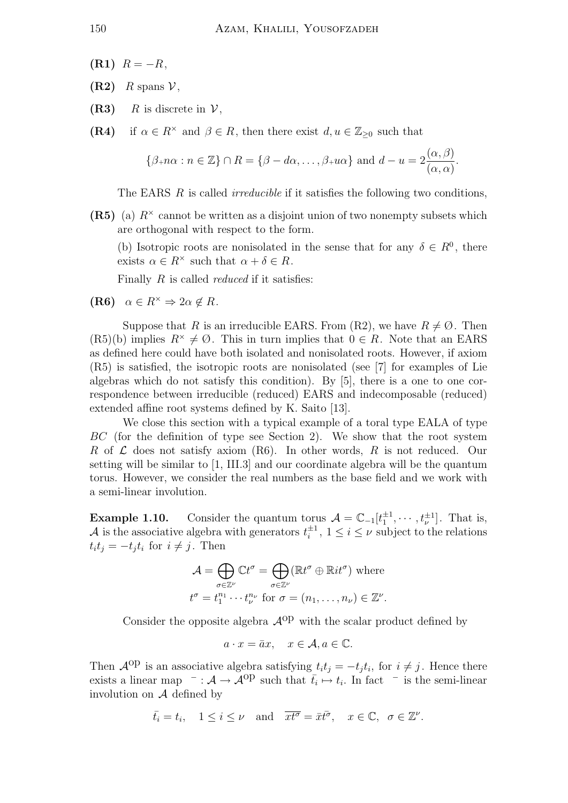- $(R1)$   $R = -R$ ,
- $(R2)$  R spans  $\mathcal{V}$ ,
- (R3) R is discrete in  $\mathcal{V}$ ,
- (R4) if  $\alpha \in R^{\times}$  and  $\beta \in R$ , then there exist  $d, u \in \mathbb{Z}_{\geq 0}$  such that

$$
\{\beta+n\alpha : n \in \mathbb{Z}\} \cap R = \{\beta - d\alpha, \dots, \beta+n\alpha\} \text{ and } d - u = 2\frac{(\alpha, \beta)}{(\alpha, \alpha)}.
$$

The EARS R is called *irreducible* if it satisfies the following two conditions,

(R5) (a)  $R^{\times}$  cannot be written as a disjoint union of two nonempty subsets which are orthogonal with respect to the form.

(b) Isotropic roots are nonisolated in the sense that for any  $\delta \in R^0$ , there exists  $\alpha \in R^{\times}$  such that  $\alpha + \delta \in R$ .

Finally  $R$  is called *reduced* if it satisfies:

(R6)  $\alpha \in R^{\times} \Rightarrow 2\alpha \notin R$ .

Suppose that R is an irreducible EARS. From (R2), we have  $R \neq \emptyset$ . Then  $(R5)(b)$  implies  $R^* \neq \emptyset$ . This in turn implies that  $0 \in R$ . Note that an EARS as defined here could have both isolated and nonisolated roots. However, if axiom (R5) is satisfied, the isotropic roots are nonisolated (see [7] for examples of Lie algebras which do not satisfy this condition). By [5], there is a one to one correspondence between irreducible (reduced) EARS and indecomposable (reduced) extended affine root systems defined by K. Saito [13].

We close this section with a typical example of a toral type EALA of type BC (for the definition of type see Section 2). We show that the root system R of  $\mathcal L$  does not satisfy axiom (R6). In other words, R is not reduced. Our setting will be similar to [1, III.3] and our coordinate algebra will be the quantum torus. However, we consider the real numbers as the base field and we work with a semi-linear involution.

**Example 1.10.** Consider the quantum torus  $\mathcal{A} = \mathbb{C}_{-1}[t_1^{\pm 1}, \cdots, t_{\nu}^{\pm 1}]$ . That is, A is the associative algebra with generators  $t_i^{\pm 1}$  $i^{\pm 1}$ ,  $1 \leq i \leq \nu$  subject to the relations  $t_i t_j = -t_j t_i$  for  $i \neq j$ . Then

$$
\mathcal{A} = \bigoplus_{\sigma \in \mathbb{Z}^{\nu}} \mathbb{C}t^{\sigma} = \bigoplus_{\sigma \in \mathbb{Z}^{\nu}} (\mathbb{R}t^{\sigma} \oplus \mathbb{R}it^{\sigma}) \text{ where}
$$

$$
t^{\sigma} = t_1^{n_1} \cdots t_{\nu}^{n_{\nu}} \text{ for } \sigma = (n_1, \dots, n_{\nu}) \in \mathbb{Z}^{\nu}.
$$

Consider the opposite algebra  $A^{op}$  with the scalar product defined by

$$
a \cdot x = \bar{a}x, \quad x \in \mathcal{A}, a \in \mathbb{C}.
$$

Then  $\mathcal{A}^{\text{op}}$  is an associative algebra satisfying  $t_i t_j = -t_j t_i$ , for  $i \neq j$ . Hence there exists a linear map  $\overline{\phantom{a}}$  :  $\mathcal{A} \rightarrow \overline{\mathcal{A}}^{op}$  such that  $\overline{t_i} \mapsto t_i$ . In fact  $\overline{t_i}$  is the semi-linear involution on  $A$  defined by

$$
\bar{t}_i = t_i, \quad 1 \leq i \leq \nu \quad \text{and} \quad \overline{xt^{\sigma}} = \bar{x}\bar{t^{\sigma}}, \quad x \in \mathbb{C}, \quad \sigma \in \mathbb{Z}^{\nu}.
$$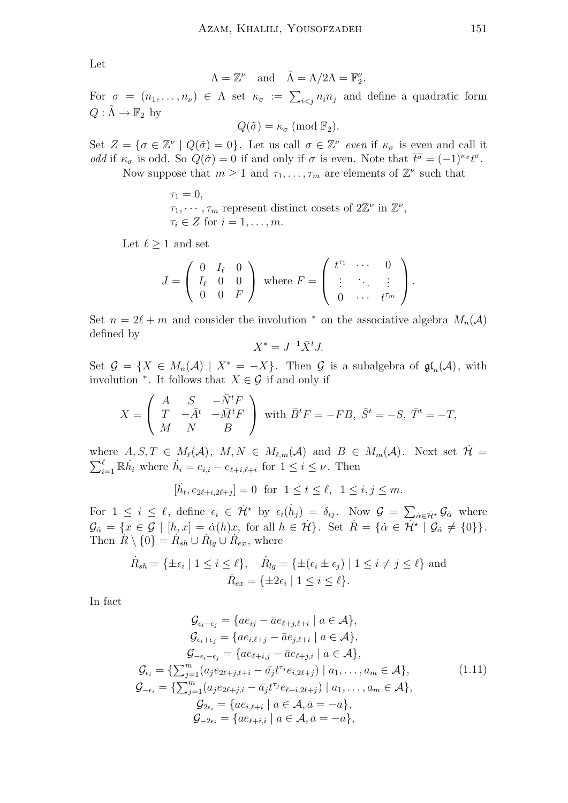Let

$$
\Lambda = \mathbb{Z}^{\nu} \quad \text{and} \quad \tilde{\Lambda} = \Lambda/2\Lambda = \mathbb{F}_{2}^{\nu}.
$$

For  $\sigma = (n_1, \ldots, n_\nu) \in \Lambda$  set  $\kappa_{\sigma} := \sum_{i \leq j} n_i n_j$  and define a quadratic form  $Q: \tilde{\Lambda} \to \mathbb{F}_2$  by

 $Q(\tilde{\sigma}) = \kappa_{\sigma} \pmod{\mathbb{F}_2}.$ 

Set  $Z = \{ \sigma \in \mathbb{Z}^{\nu} \mid Q(\tilde{\sigma}) = 0 \}.$  Let us call  $\sigma \in \mathbb{Z}^{\nu}$  even if  $\kappa_{\sigma}$  is even and call it odd if  $\kappa_{\sigma}$  is odd. So  $Q(\tilde{\sigma}) = 0$  if and only if  $\sigma$  is even. Note that  $\overline{t^{\sigma}} = (-1)^{\kappa_{\sigma}} t^{\sigma}$ .

Now suppose that  $m \geq 1$  and  $\tau_1, \ldots, \tau_m$  are elements of  $\mathbb{Z}^{\nu}$  such that

 $\tau_1 = 0$ ,  $\tau_1, \cdots, \tau_m$  represent distinct cosets of  $2\mathbb{Z}^{\nu}$  in  $\mathbb{Z}^{\nu}$ ,  $\tau_i \in Z$  for  $i = 1, \ldots, m$ .

Let  $\ell \geq 1$  and set

$$
J = \left(\begin{array}{ccc} 0 & I_{\ell} & 0 \\ I_{\ell} & 0 & 0 \\ 0 & 0 & F \end{array}\right) \text{ where } F = \left(\begin{array}{ccc} t^{\tau_1} & \cdots & 0 \\ \vdots & \ddots & \vdots \\ 0 & \cdots & t^{\tau_m} \end{array}\right).
$$

Set  $n = 2\ell + m$  and consider the involution  $*$  on the associative algebra  $M_n(\mathcal{A})$ defined by

$$
X^* = J^{-1} \bar{X}^t J.
$$

Set  $\mathcal{G} = \{X \in M_n(\mathcal{A}) \mid X^* = -X\}$ . Then  $\mathcal G$  is a subalgebra of  $\mathfrak{gl}_n(\mathcal{A})$ , with involution  $*$ . It follows that  $X \in \mathcal{G}$  if and only if

$$
X = \begin{pmatrix} A & S & -\bar{N}^t F \\ T & -\bar{A}^t & -\bar{M}^t F \\ M & N & B \end{pmatrix} \text{ with } \bar{B}^t F = -FB, \ \bar{S}^t = -S, \ \bar{T}^t = -T,
$$

where  $A, S, T \in M_{\ell}(A), M, N \in M_{\ell,m}(A)$  and  $B \in M_m(A)$ . Next set  $\mathcal{H} =$  $\sum_{i=1}^{\ell} \mathbb{R} \dot{h}_i$  where  $\dot{h}_i = e_{i,i} - e_{\ell+i,\ell+i}$  for  $1 \leq i \leq \nu$ . Then

$$
[\dot{h_t}, e_{2\ell+i, 2\ell+j}] = 0 \text{ for } 1 \le t \le \ell, \ 1 \le i, j \le m.
$$

For  $1 \leq i \leq \ell$ , define  $\epsilon_i \in \dot{H}^*$  by  $\epsilon_i(\dot{h}_j) = \delta_{ij}$ . Now  $\mathcal{G} = \sum_{\dot{\alpha} \in \dot{H}^*} \mathcal{G}_{\dot{\alpha}}$  where  $\mathcal{G}_{\dot{\alpha}} = \{x \in \mathcal{G} \mid [h,x] = \dot{\alpha}(h)x, \text{ for all } h \in \dot{\mathcal{H}}\}.$  Set  $\dot{R} = \{\dot{\alpha} \in \dot{\mathcal{H}}^{\star} \mid \mathcal{G}_{\dot{\alpha}} \neq \{0\}\}.$ Then  $R \setminus \{0\} = R_{sh} \cup R_{lg} \cup R_{ex}$ , where

$$
\dot{R}_{sh} = \{ \pm \epsilon_i \mid 1 \le i \le \ell \}, \quad \dot{R}_{lg} = \{ \pm (\epsilon_i \pm \epsilon_j) \mid 1 \le i \ne j \le \ell \} \text{ and}
$$

$$
\dot{R}_{ex} = \{ \pm 2\epsilon_i \mid 1 \le i \le \ell \}.
$$

In fact

$$
\mathcal{G}_{\epsilon_i - \epsilon_j} = \{ a e_{ij} - \bar{a} e_{\ell+j,\ell+i} \mid a \in \mathcal{A} \},
$$
\n
$$
\mathcal{G}_{\epsilon_i + \epsilon_j} = \{ a e_{i,\ell+j} - \bar{a} e_{j,\ell+i} \mid a \in \mathcal{A} \},
$$
\n
$$
\mathcal{G}_{-\epsilon_i - \epsilon_j} = \{ a e_{\ell+i,j} - \bar{a} e_{\ell+j,i} \mid a \in \mathcal{A} \},
$$
\n
$$
\mathcal{G}_{\epsilon_i} = \{ \sum_{j=1}^m (a_j e_{2\ell+j,\ell+i} - \bar{a_j} t^{\tau_j} e_{i,2\ell+j}) \mid a_1, \dots, a_m \in \mathcal{A} \},
$$
\n
$$
\mathcal{G}_{-\epsilon_i} = \{ \sum_{j=1}^m (a_j e_{2\ell+j,i} - \bar{a_j} t^{\tau_j} e_{\ell+i,2\ell+j}) \mid a_1, \dots, a_m \in \mathcal{A} \},
$$
\n
$$
\mathcal{G}_{2\epsilon_i} = \{ a e_{i,\ell+i} \mid a \in \mathcal{A}, \bar{a} = -a \},
$$
\n
$$
\mathcal{G}_{-2\epsilon_i} = \{ a e_{\ell+i,i} \mid a \in \mathcal{A}, \bar{a} = -a \},
$$
\n(1.11)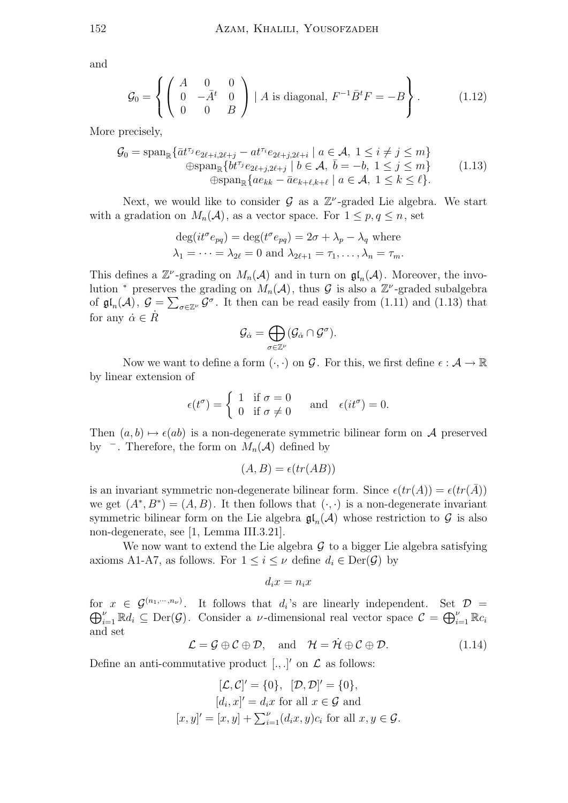and

$$
\mathcal{G}_0 = \left\{ \begin{pmatrix} A & 0 & 0 \\ 0 & -\bar{A}^t & 0 \\ 0 & 0 & B \end{pmatrix} | A \text{ is diagonal, } F^{-1}\bar{B}^t F = -B \right\}.
$$
 (1.12)

More precisely,

$$
\mathcal{G}_0 = \text{span}_{\mathbb{R}} \{ \bar{a}t^{\tau_j} e_{2\ell+i, 2\ell+j} - at^{\tau_i} e_{2\ell+j, 2\ell+i} \mid a \in \mathcal{A}, 1 \le i \ne j \le m \}
$$
  
\n
$$
\text{span}_{\mathbb{R}} \{ bt^{\tau_j} e_{2\ell+j, 2\ell+j} \mid b \in \mathcal{A}, \bar{b} = -b, 1 \le j \le m \}
$$
  
\n
$$
\text{span}_{\mathbb{R}} \{ a e_{kk} - \bar{a} e_{k+\ell,k+\ell} \mid a \in \mathcal{A}, 1 \le k \le \ell \}.
$$
\n(1.13)

Next, we would like to consider  $\mathcal G$  as a  $\mathbb Z^{\nu}$ -graded Lie algebra. We start with a gradation on  $M_n(\mathcal{A})$ , as a vector space. For  $1 \leq p, q \leq n$ , set

$$
\deg(it^{\sigma}e_{pq}) = \deg(t^{\sigma}e_{pq}) = 2\sigma + \lambda_p - \lambda_q
$$
 where  

$$
\lambda_1 = \cdots = \lambda_{2\ell} = 0
$$
 and 
$$
\lambda_{2\ell+1} = \tau_1, \dots, \lambda_n = \tau_m.
$$

This defines a  $\mathbb{Z}^{\nu}$ -grading on  $M_n(\mathcal{A})$  and in turn on  $\mathfrak{gl}_n(\mathcal{A})$ . Moreover, the involution \* preserves the grading on  $M_n(\mathcal{A})$ , thus  $\mathcal G$  is also a  $\mathbb Z^{\nu}$ -graded subalgebra of  $\mathfrak{gl}_n(\mathcal{A}), \mathcal{G} = \sum_{\sigma \in \mathbb{Z}^\nu} \mathcal{G}^\sigma$ . It then can be read easily from (1.11) and (1.13) that for any  $\dot{\alpha} \in \dot{R}$ 

$$
\mathcal{G}_{\dot{\alpha}} = \bigoplus_{\sigma \in \mathbb{Z}^\nu} (\mathcal{G}_{\dot{\alpha}} \cap \mathcal{G}^\sigma).
$$

Now we want to define a form  $(\cdot, \cdot)$  on  $\mathcal G$ . For this, we first define  $\epsilon : \mathcal A \to \mathbb R$ by linear extension of

$$
\epsilon(t^{\sigma}) = \begin{cases} 1 & \text{if } \sigma = 0 \\ 0 & \text{if } \sigma \neq 0 \end{cases} \quad \text{and} \quad \epsilon(it^{\sigma}) = 0.
$$

Then  $(a, b) \mapsto \epsilon(ab)$  is a non-degenerate symmetric bilinear form on A preserved by  $\bar{ }$ . Therefore, the form on  $M_n(\mathcal{A})$  defined by

$$
(A, B) = \epsilon(tr(AB))
$$

is an invariant symmetric non-degenerate bilinear form. Since  $\epsilon(tr(A)) = \epsilon(tr(A))$ we get  $(A^*, B^*) = (A, B)$ . It then follows that  $(\cdot, \cdot)$  is a non-degenerate invariant symmetric bilinear form on the Lie algebra  $\mathfrak{gl}_n(\mathcal{A})$  whose restriction to  $\mathcal G$  is also non-degenerate, see [1, Lemma III.3.21].

We now want to extend the Lie algebra  $\mathcal G$  to a bigger Lie algebra satisfying axioms A1-A7, as follows. For  $1 \leq i \leq \nu$  define  $d_i \in \text{Der}(\mathcal{G})$  by

$$
d_ix = n_ix
$$

for  $x \in \mathcal{G}^{(n_1,\dots,n_\nu)}$ . It follows that  $d_i$ 's are linearly independent. Set  $\mathcal{D} =$  $\bigoplus_{i=1}^{\nu} \mathbb{R}d_i \subseteq \text{Der}(\mathcal{G})$ . Consider a *v*-dimensional real vector space  $\mathcal{C} = \bigoplus_{i=1}^{\nu} \mathbb{R}c_i$ and set

$$
\mathcal{L} = \mathcal{G} \oplus \mathcal{C} \oplus \mathcal{D}, \quad \text{and} \quad \mathcal{H} = \dot{\mathcal{H}} \oplus \mathcal{C} \oplus \mathcal{D}. \tag{1.14}
$$

Define an anti-commutative product  $[.,.]'$  on  $\mathcal L$  as follows:

$$
[\mathcal{L}, \mathcal{C}]' = \{0\}, \quad [\mathcal{D}, \mathcal{D}]' = \{0\},
$$

$$
[d_i, x]' = d_i x \text{ for all } x \in \mathcal{G} \text{ and}
$$

$$
[x, y]' = [x, y] + \sum_{i=1}^{\nu} (d_i x, y) c_i \text{ for all } x, y \in \mathcal{G}.
$$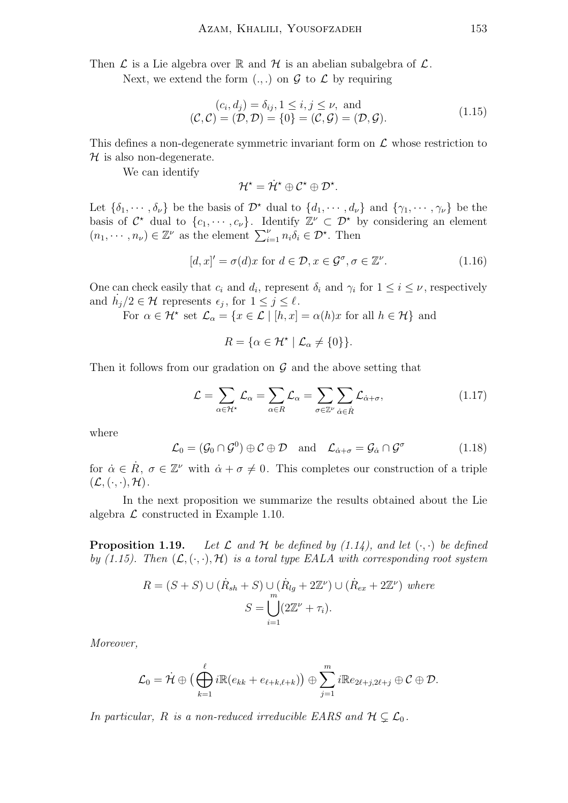Then  $\mathcal L$  is a Lie algebra over  $\mathbb R$  and  $\mathcal H$  is an abelian subalgebra of  $\mathcal L$ .

Next, we extend the form  $(.,.)$  on  $\mathcal G$  to  $\mathcal L$  by requiring

$$
(c_i, d_j) = \delta_{ij}, 1 \le i, j \le \nu, \text{ and}
$$
  

$$
(\mathcal{C}, \mathcal{C}) = (\mathcal{D}, \mathcal{D}) = \{0\} = (\mathcal{C}, \mathcal{G}) = (\mathcal{D}, \mathcal{G}).
$$
 (1.15)

This defines a non-degenerate symmetric invariant form on  $\mathcal L$  whose restriction to  $\mathcal H$  is also non-degenerate.

We can identify

$$
\mathcal{H}^\star = \dot{\mathcal{H}}^\star \oplus \mathcal{C}^\star \oplus \mathcal{D}^\star.
$$

Let  $\{\delta_1, \dots, \delta_\nu\}$  be the basis of  $\mathcal{D}^*$  dual to  $\{d_1, \dots, d_\nu\}$  and  $\{\gamma_1, \dots, \gamma_\nu\}$  be the basis of  $C^*$  dual to  $\{c_1, \dots, c_{\nu}\}\$ . Identify  $\mathbb{Z}^{\nu} \subset \mathcal{D}^*$  by considering an element  $(n_1, \dots, n_\nu) \in \mathbb{Z}^\nu$  as the element  $\sum_{i=1}^\nu n_i \delta_i \in \mathcal{D}^\star$ . Then

$$
[d, x]' = \sigma(d)x \text{ for } d \in \mathcal{D}, x \in \mathcal{G}^{\sigma}, \sigma \in \mathbb{Z}^{\nu}.
$$
 (1.16)

One can check easily that  $c_i$  and  $d_i$ , represent  $\delta_i$  and  $\gamma_i$  for  $1 \leq i \leq \nu$ , respectively and  $\dot{h}_j/2 \in \mathcal{H}$  represents  $\epsilon_j$ , for  $1 \leq j \leq \ell$ .

For  $\alpha \in \mathcal{H}^*$  set  $\mathcal{L}_{\alpha} = \{x \in \mathcal{L} \mid [h, x] = \alpha(h)x$  for all  $h \in \mathcal{H}\}$  and

$$
R = \{ \alpha \in \mathcal{H}^* \mid \mathcal{L}_\alpha \neq \{0\} \}.
$$

Then it follows from our gradation on  $\mathcal G$  and the above setting that

$$
\mathcal{L} = \sum_{\alpha \in \mathcal{H}^{\star}} \mathcal{L}_{\alpha} = \sum_{\alpha \in R} \mathcal{L}_{\alpha} = \sum_{\sigma \in \mathbb{Z}^{\nu}} \sum_{\dot{\alpha} \in \dot{R}} \mathcal{L}_{\dot{\alpha} + \sigma}, \tag{1.17}
$$

where

$$
\mathcal{L}_0 = (\mathcal{G}_0 \cap \mathcal{G}^0) \oplus \mathcal{C} \oplus \mathcal{D} \quad \text{and} \quad \mathcal{L}_{\dot{\alpha} + \sigma} = \mathcal{G}_{\dot{\alpha}} \cap \mathcal{G}^{\sigma} \tag{1.18}
$$

for  $\dot{\alpha} \in \dot{R}$ ,  $\sigma \in \mathbb{Z}^{\nu}$  with  $\dot{\alpha} + \sigma \neq 0$ . This completes our construction of a triple  $(\mathcal{L}, (\cdot, \cdot), \mathcal{H}).$ 

In the next proposition we summarize the results obtained about the Lie algebra  $\mathcal L$  constructed in Example 1.10.

**Proposition 1.19.** Let  $\mathcal L$  and  $\mathcal H$  be defined by (1.14), and let  $(\cdot, \cdot)$  be defined by (1.15). Then  $(\mathcal{L}, \langle \cdot, \cdot \rangle, \mathcal{H})$  is a toral type EALA with corresponding root system

$$
R = (S + S) \cup (\dot{R}_{sh} + S) \cup (\dot{R}_{lg} + 2\mathbb{Z}^{\nu}) \cup (\dot{R}_{ex} + 2\mathbb{Z}^{\nu}) \text{ where}
$$

$$
S = \bigcup_{i=1}^{m} (2\mathbb{Z}^{\nu} + \tau_{i}).
$$

Moreover,

$$
\mathcal{L}_0 = \dot{\mathcal{H}} \oplus \big( \bigoplus_{k=1}^{\ell} i \mathbb{R}(e_{kk} + e_{\ell+k,\ell+k}) \big) \oplus \sum_{j=1}^{m} i \mathbb{R} e_{2\ell+j,2\ell+j} \oplus \mathcal{C} \oplus \mathcal{D}.
$$

In particular, R is a non-reduced irreducible EARS and  $H \subsetneq \mathcal{L}_0$ .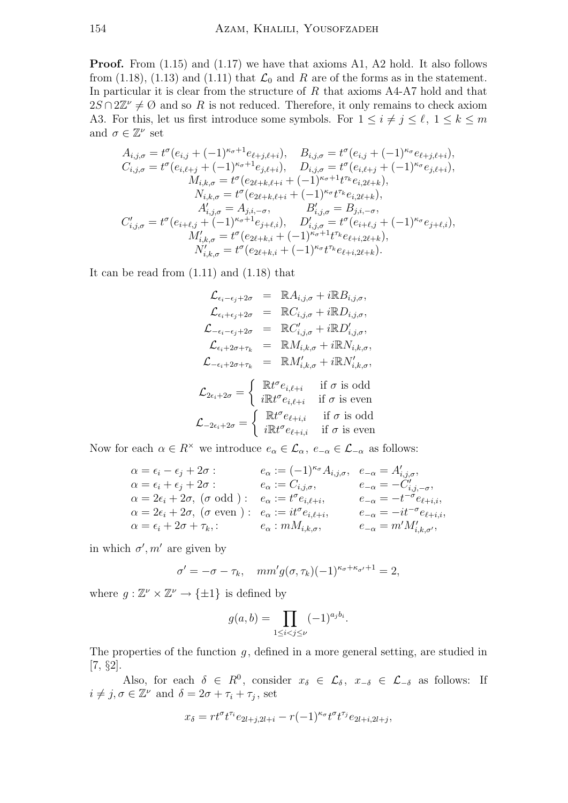**Proof.** From  $(1.15)$  and  $(1.17)$  we have that axioms A1, A2 hold. It also follows from (1.18), (1.13) and (1.11) that  $\mathcal{L}_0$  and R are of the forms as in the statement. In particular it is clear from the structure of  $R$  that axioms  $A4-A7$  hold and that  $2S \cap 2\mathbb{Z}^{\nu} \neq \emptyset$  and so R is not reduced. Therefore, it only remains to check axiom A3. For this, let us first introduce some symbols. For  $1 \leq i \neq j \leq \ell, 1 \leq k \leq m$ and  $\sigma \in \mathbb{Z}^{\nu}$  set

$$
A_{i,j,\sigma} = t^{\sigma} (e_{i,j} + (-1)^{\kappa_{\sigma}+1} e_{\ell+j,\ell+i}), \quad B_{i,j,\sigma} = t^{\sigma} (e_{i,j} + (-1)^{\kappa_{\sigma}} e_{\ell+j,\ell+i}),
$$
  
\n
$$
C_{i,j,\sigma} = t^{\sigma} (e_{i,\ell+j} + (-1)^{\kappa_{\sigma}+1} e_{j,\ell+i}), \quad D_{i,j,\sigma} = t^{\sigma} (e_{i,\ell+j} + (-1)^{\kappa_{\sigma}} e_{j,\ell+i}),
$$
  
\n
$$
M_{i,k,\sigma} = t^{\sigma} (e_{2\ell+k,\ell+i} + (-1)^{\kappa_{\sigma}+1} t^{\tau_k} e_{i,2\ell+k}),
$$
  
\n
$$
N_{i,k,\sigma} = t^{\sigma} (e_{2\ell+k,\ell+i} + (-1)^{\kappa_{\sigma}} t^{\tau_k} e_{i,2\ell+k}),
$$
  
\n
$$
A'_{i,j,\sigma} = A_{j,i,-\sigma}, \quad B'_{i,j,\sigma} = B_{j,i,-\sigma},
$$
  
\n
$$
C'_{i,j,\sigma} = t^{\sigma} (e_{i+\ell,j} + (-1)^{\kappa_{\sigma}+1} e_{j+\ell,i}), \quad D'_{i,j,\sigma} = t^{\sigma} (e_{i+\ell,j} + (-1)^{\kappa_{\sigma}} e_{j+\ell,i}),
$$
  
\n
$$
M'_{i,k,\sigma} = t^{\sigma} (e_{2\ell+k,i} + (-1)^{\kappa_{\sigma}+1} t^{\tau_k} e_{\ell+i,2\ell+k}),
$$
  
\n
$$
N'_{i,k,\sigma} = t^{\sigma} (e_{2\ell+k,i} + (-1)^{\kappa_{\sigma}} t^{\tau_k} e_{\ell+i,2\ell+k}).
$$

It can be read from (1.11) and (1.18) that

$$
\mathcal{L}_{\epsilon_i - \epsilon_j + 2\sigma} = \mathbb{R} A_{i,j,\sigma} + i \mathbb{R} B_{i,j,\sigma},
$$
\n
$$
\mathcal{L}_{\epsilon_i + \epsilon_j + 2\sigma} = \mathbb{R} C_{i,j,\sigma} + i \mathbb{R} D_{i,j,\sigma},
$$
\n
$$
\mathcal{L}_{-\epsilon_i - \epsilon_j + 2\sigma} = \mathbb{R} C'_{i,j,\sigma} + i \mathbb{R} D'_{i,j,\sigma},
$$
\n
$$
\mathcal{L}_{\epsilon_i + 2\sigma + \tau_k} = \mathbb{R} M_{i,k,\sigma} + i \mathbb{R} N_{i,k,\sigma},
$$
\n
$$
\mathcal{L}_{-\epsilon_i + 2\sigma + \tau_k} = \mathbb{R} M'_{i,k,\sigma} + i \mathbb{R} N'_{i,k,\sigma},
$$
\n
$$
\mathcal{L}_{2\epsilon_i + 2\sigma} = \begin{cases}\n\mathbb{R} t^{\sigma} e_{i,\ell+i} & \text{if } \sigma \text{ is odd} \\
i \mathbb{R} t^{\sigma} e_{i,\ell+i} & \text{if } \sigma \text{ is even}\n\end{cases}
$$
\n
$$
\mathcal{L}_{-2\epsilon_i + 2\sigma} = \begin{cases}\n\mathbb{R} t^{\sigma} e_{\ell+i,i} & \text{if } \sigma \text{ is odd} \\
i \mathbb{R} t^{\sigma} e_{\ell+i,i} & \text{if } \sigma \text{ is even}\n\end{cases}
$$

Now for each  $\alpha \in R^{\times}$  we introduce  $e_{\alpha} \in \mathcal{L}_{\alpha}$ ,  $e_{-\alpha} \in \mathcal{L}_{-\alpha}$  as follows:

$$
\alpha = \epsilon_i - \epsilon_j + 2\sigma: \qquad e_{\alpha} := (-1)^{\kappa_{\sigma}} A_{i,j,\sigma}, \quad e_{-\alpha} = A'_{i,j,\sigma},
$$
  
\n
$$
\alpha = \epsilon_i + \epsilon_j + 2\sigma: \qquad e_{\alpha} := C_{i,j,\sigma}, \qquad e_{-\alpha} = -C'_{i,j,-\sigma},
$$
  
\n
$$
\alpha = 2\epsilon_i + 2\sigma, \quad (\sigma \text{ odd}): \quad e_{\alpha} := t^{\sigma} e_{i,\ell+i}, \qquad e_{-\alpha} = -t^{-\sigma} e_{\ell+i,i},
$$
  
\n
$$
\alpha = 2\epsilon_i + 2\sigma, \quad (\sigma \text{ even}): \quad e_{\alpha} := it^{\sigma} e_{i,\ell+i}, \qquad e_{-\alpha} = -it^{-\sigma} e_{\ell+i,i},
$$
  
\n
$$
\alpha = \epsilon_i + 2\sigma + \tau_k: \qquad e_{\alpha} : m M_{i,k,\sigma}, \qquad e_{-\alpha} = m' M'_{i,k,\sigma'},
$$

in which  $\sigma'$ , m' are given by

$$
\sigma' = -\sigma - \tau_k, \quad mm'g(\sigma, \tau_k)(-1)^{\kappa_{\sigma} + \kappa_{\sigma'} + 1} = 2,
$$

where  $g: \mathbb{Z}^{\nu} \times \mathbb{Z}^{\nu} \to {\{\pm 1\}}$  is defined by

$$
g(a, b) = \prod_{1 \le i < j \le \nu} (-1)^{a_j b_i}.
$$

The properties of the function  $q$ , defined in a more general setting, are studied in [7, §2].

Also, for each  $\delta \in R^0$ , consider  $x_{\delta} \in \mathcal{L}_{\delta}$ ,  $x_{-\delta} \in \mathcal{L}_{-\delta}$  as follows: If  $i \neq j, \sigma \in \mathbb{Z}^{\nu}$  and  $\delta = 2\sigma + \tau_i + \tau_j$ , set

$$
x_{\delta} = r t^{\sigma} t^{\tau_i} e_{2l+j,2l+i} - r (-1)^{\kappa_{\sigma}} t^{\sigma} t^{\tau_j} e_{2l+i,2l+j},
$$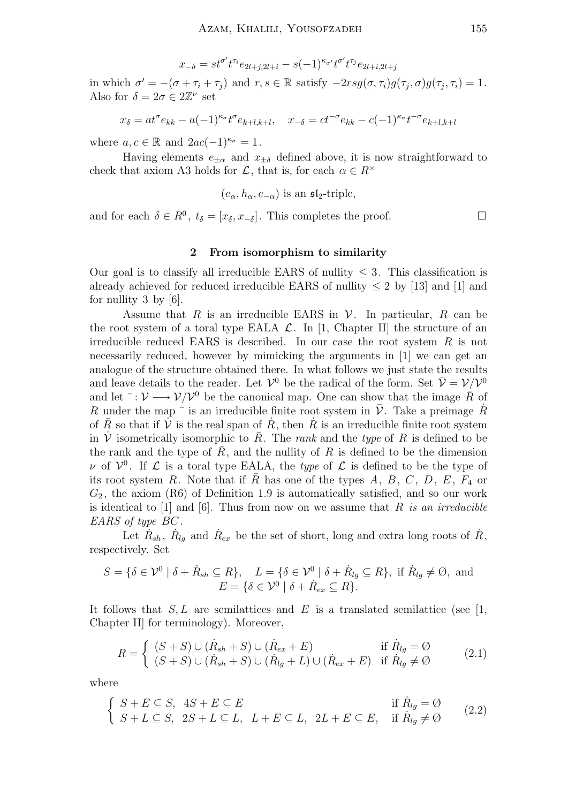$$
x_{-\delta} = st^{\sigma'} t^{\tau_i} e_{2l+j,2l+i} - s(-1)^{\kappa_{\sigma'}} t^{\sigma'} t^{\tau_j} e_{2l+i,2l+j}
$$

in which  $\sigma' = -(\sigma + \tau_i + \tau_j)$  and  $r, s \in \mathbb{R}$  satisfy  $-2rsg(\sigma, \tau_i)g(\tau_j, \sigma)g(\tau_j, \tau_i) = 1$ . Also for  $\delta = 2\sigma \in 2\mathbb{Z}^{\nu}$  set

$$
x_{\delta} = at^{\sigma}e_{kk} - a(-1)^{\kappa_{\sigma}}t^{\sigma}e_{k+l,k+l}, \quad x_{-\delta} = ct^{-\sigma}e_{kk} - c(-1)^{\kappa_{\sigma}}t^{-\sigma}e_{k+l,k+l}
$$

where  $a, c \in \mathbb{R}$  and  $2ac(-1)^{\kappa_{\sigma}} = 1$ .

Having elements  $e_{\pm\alpha}$  and  $x_{\pm\delta}$  defined above, it is now straightforward to check that axiom A3 holds for  $\mathcal{L}$ , that is, for each  $\alpha \in R^{\times}$ 

$$
(e_{\alpha}, h_{\alpha}, e_{-\alpha})
$$
 is an  $\mathfrak{sl}_2$ -triple,

and for each  $\delta \in R^0$ ,  $t_{\delta} = [x_{\delta}, x_{-\delta}]$ . This completes the proof.

# 2 From isomorphism to similarity

Our goal is to classify all irreducible EARS of nullity  $\leq$  3. This classification is already achieved for reduced irreducible EARS of nullity  $\leq 2$  by [13] and [1] and for nullity 3 by [6].

Assume that R is an irreducible EARS in  $\mathcal V$ . In particular, R can be the root system of a toral type EALA  $\mathcal{L}$ . In [1, Chapter II] the structure of an irreducible reduced EARS is described. In our case the root system  $R$  is not necessarily reduced, however by mimicking the arguments in [1] we can get an analogue of the structure obtained there. In what follows we just state the results and leave details to the reader. Let  $\mathcal{V}^0$  be the radical of the form. Set  $\bar{\mathcal{V}} = \mathcal{V}/\mathcal{V}^0$ and let  $\bar{\cdot}: \mathcal{V} \longrightarrow \mathcal{V}/\mathcal{V}^0$  be the canonical map. One can show that the image  $\bar{R}$  of R under the map  $\bar{\ }$  is an irreducible finite root system in  $\bar{\mathcal{V}}$ . Take a preimage R of  $\overline{R}$  so that if  $\overline{V}$  is the real span of  $\overline{R}$ , then  $\overline{R}$  is an irreducible finite root system in  $\dot{\mathcal{V}}$  isometrically isomorphic to  $\bar{R}$ . The *rank* and the *type* of R is defined to be the rank and the type of  $\overline{R}$ , and the nullity of  $R$  is defined to be the dimension v of  $V^0$ . If  $\mathcal L$  is a toral type EALA, the *type* of  $\mathcal L$  is defined to be the type of its root system R. Note that if R has one of the types A, B, C, D, E,  $F_4$  or  $G_2$ , the axiom (R6) of Definition 1.9 is automatically satisfied, and so our work is identical to  $[1]$  and  $[6]$ . Thus from now on we assume that R is an irreducible EARS of type BC .

Let  $\dot{R}_{sh}$ ,  $\dot{R}_{lg}$  and  $\dot{R}_{ex}$  be the set of short, long and extra long roots of  $\dot{R}$ , respectively. Set

$$
S = \{ \delta \in \mathcal{V}^0 \mid \delta + \dot{R}_{sh} \subseteq R \}, \quad L = \{ \delta \in \mathcal{V}^0 \mid \delta + \dot{R}_{lg} \subseteq R \}, \text{ if } \dot{R}_{lg} \neq \emptyset, \text{ and}
$$

$$
E = \{ \delta \in \mathcal{V}^0 \mid \delta + \dot{R}_{ex} \subseteq R \}.
$$

It follows that  $S, L$  are semilattices and E is a translated semilattice (see [1, Chapter II] for terminology). Moreover,

$$
R = \begin{cases} (S+S) \cup (\dot{R}_{sh} + S) \cup (\dot{R}_{ex} + E) & \text{if } \dot{R}_{lg} = \emptyset \\ (S+S) \cup (\dot{R}_{sh} + S) \cup (\dot{R}_{lg} + L) \cup (\dot{R}_{ex} + E) & \text{if } \dot{R}_{lg} \neq \emptyset \end{cases}
$$
(2.1)

where

$$
\begin{cases}\nS + E \subseteq S, & 4S + E \subseteq E \\
S + L \subseteq S, & 2S + L \subseteq L, \ L + E \subseteq L, \ 2L + E \subseteq E, & \text{if } \dot{R}_{lg} \neq \emptyset\n\end{cases}
$$
\n(2.2)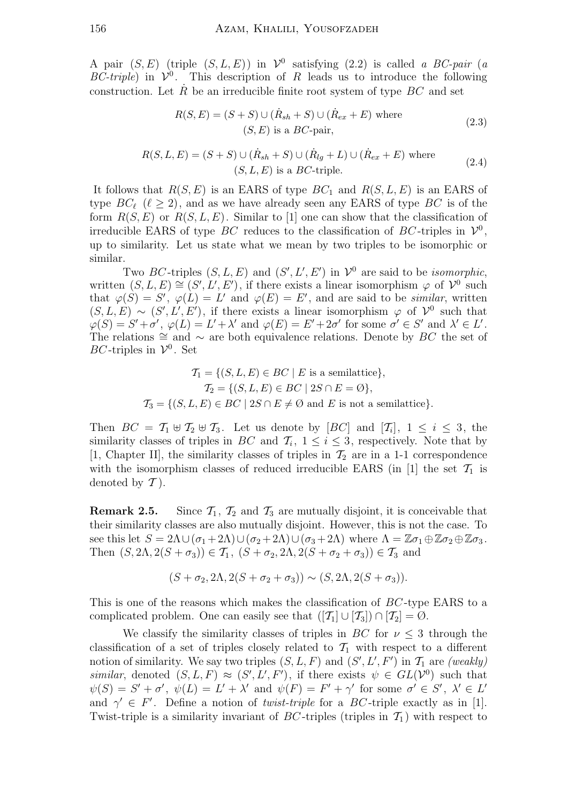A pair  $(S, E)$  (triple  $(S, L, E)$ ) in  $\mathcal{V}^0$  satisfying  $(2.2)$  is called a BC-pair (a BC-triple) in  $\mathcal{V}^0$ . This description of R leads us to introduce the following construction. Let  $R$  be an irreducible finite root system of type  $BC$  and set

$$
R(S, E) = (S + S) \cup (\dot{R}_{sh} + S) \cup (\dot{R}_{ex} + E) \text{ where}
$$
  
(S, E) is a *BC*-pair, (2.3)

$$
R(S, L, E) = (S + S) \cup (\dot{R}_{sh} + S) \cup (\dot{R}_{lg} + L) \cup (\dot{R}_{ex} + E) \text{ where}
$$
  
(S, L, E) is a BC-triple. (2.4)

It follows that  $R(S, E)$  is an EARS of type  $BC_1$  and  $R(S, L, E)$  is an EARS of type  $BC_\ell$  ( $\ell \geq 2$ ), and as we have already seen any EARS of type BC is of the form  $R(S, E)$  or  $R(S, L, E)$ . Similar to [1] one can show that the classification of irreducible EARS of type BC reduces to the classification of BC-triples in  $\mathcal{V}^0$ , up to similarity. Let us state what we mean by two triples to be isomorphic or similar.

Two BC-triples  $(S, L, E)$  and  $(S', L', E')$  in  $\mathcal{V}^0$  are said to be *isomorphic*, written  $(S, L, E) \cong (S', L', E')$ , if there exists a linear isomorphism  $\varphi$  of  $\mathcal{V}^0$  such that  $\varphi(S) = S'$ ,  $\varphi(L) = L'$  and  $\varphi(E) = E'$ , and are said to be *similar*, written  $(S, L, E) \sim (S', L', E')$ , if there exists a linear isomorphism  $\varphi$  of  $\mathcal{V}^0$  such that  $\varphi(S) = S' + \sigma'$ ,  $\varphi(L) = L' + \lambda'$  and  $\varphi(E) = E' + 2\sigma'$  for some  $\sigma' \in S'$  and  $\lambda' \in L'$ . The relations  $\cong$  and  $\sim$  are both equivalence relations. Denote by BC the set of BC-triples in  $\mathcal{V}^0$ . Set

$$
\mathcal{T}_1 = \{ (S, L, E) \in BC \mid E \text{ is a semilattice} \},
$$

$$
\mathcal{T}_2 = \{ (S, L, E) \in BC \mid 2S \cap E = \emptyset \},
$$

$$
\mathcal{T}_3 = \{ (S, L, E) \in BC \mid 2S \cap E \neq \emptyset \text{ and } E \text{ is not a semilattice} \}.
$$

Then  $BC = \mathcal{T}_1 \oplus \mathcal{T}_2 \oplus \mathcal{T}_3$ . Let us denote by  $[BC]$  and  $[\mathcal{T}_i]$ ,  $1 \leq i \leq 3$ , the similarity classes of triples in BC and  $\mathcal{T}_i$ ,  $1 \leq i \leq 3$ , respectively. Note that by [1, Chapter II], the similarity classes of triples in  $\mathcal{T}_2$  are in a 1-1 correspondence with the isomorphism classes of reduced irreducible EARS (in [1] the set  $\mathcal{T}_1$  is denoted by  $\mathcal T$ ).

**Remark 2.5.** Since  $\mathcal{T}_1$ ,  $\mathcal{T}_2$  and  $\mathcal{T}_3$  are mutually disjoint, it is conceivable that their similarity classes are also mutually disjoint. However, this is not the case. To see this let  $S = 2\Lambda \cup (\sigma_1 + 2\Lambda) \cup (\sigma_2 + 2\Lambda) \cup (\sigma_3 + 2\Lambda)$  where  $\Lambda = \mathbb{Z}\sigma_1 \oplus \mathbb{Z}\sigma_2 \oplus \mathbb{Z}\sigma_3$ . Then  $(S, 2\Lambda, 2(S + \sigma_3)) \in \mathcal{T}_1$ ,  $(S + \sigma_2, 2\Lambda, 2(S + \sigma_2 + \sigma_3)) \in \mathcal{T}_3$  and

$$
(S + \sigma_2, 2\Lambda, 2(S + \sigma_2 + \sigma_3)) \sim (S, 2\Lambda, 2(S + \sigma_3)).
$$

This is one of the reasons which makes the classification of BC -type EARS to a complicated problem. One can easily see that  $([T_1] \cup [T_3]) \cap [T_2] = \emptyset$ .

We classify the similarity classes of triples in  $BC$  for  $\nu \leq 3$  through the classification of a set of triples closely related to  $\mathcal{T}_1$  with respect to a different notion of similarity. We say two triples  $(S, L, F)$  and  $(S', L', F')$  in  $\mathcal{T}_1$  are *(weakly)* similar, denoted  $(S, L, F) \approx (S', L', F')$ , if there exists  $\psi \in GL({\mathcal{V}}^0)$  such that  $\psi(S) = S' + \sigma'$ ,  $\psi(L) = L' + \lambda'$  and  $\psi(F) = F' + \gamma'$  for some  $\sigma' \in S'$ ,  $\lambda' \in L'$ and  $\gamma' \in F'$ . Define a notion of *twist-triple* for a BC-triple exactly as in [1]. Twist-triple is a similarity invariant of BC-triples (triples in  $\mathcal{T}_1$ ) with respect to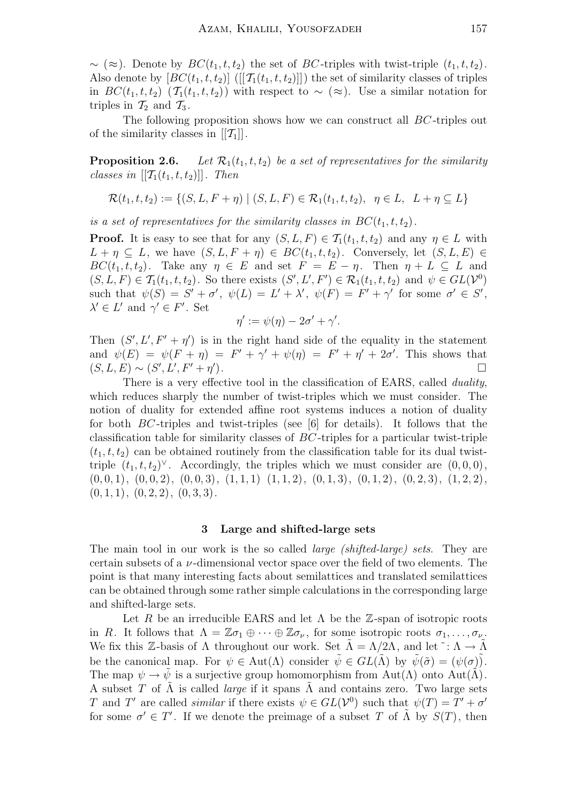$\sim (\approx)$ . Denote by  $BC(t_1, t, t_2)$  the set of BC-triples with twist-triple  $(t_1, t, t_2)$ . Also denote by  $[BC(t_1, t, t_2)]$  ( $[[\mathcal{T}_1(t_1, t, t_2)]]$ ) the set of similarity classes of triples in  $BC(t_1, t, t_2)$  ( $\mathcal{T}_1(t_1, t, t_2)$ ) with respect to ~ (≈). Use a similar notation for triples in  $\mathcal{T}_2$  and  $\mathcal{T}_3$ .

The following proposition shows how we can construct all BC -triples out of the similarity classes in  $[[\mathcal{T}_1]]$ .

**Proposition 2.6.** Let  $\mathcal{R}_1(t_1, t, t_2)$  be a set of representatives for the similarity classes in  $[[\mathcal{T}_1(t_1,t,t_2)]]$ . Then

$$
\mathcal{R}(t_1, t, t_2) := \{ (S, L, F + \eta) \mid (S, L, F) \in \mathcal{R}_1(t_1, t, t_2), \ \eta \in L, \ L + \eta \subseteq L \}
$$

is a set of representatives for the similarity classes in  $BC(t_1, t, t_2)$ .

**Proof.** It is easy to see that for any  $(S, L, F) \in \mathcal{T}_1(t_1, t, t_2)$  and any  $\eta \in L$  with  $L + \eta \subseteq L$ , we have  $(S, L, F + \eta) \in BC(t_1, t, t_2)$ . Conversely, let  $(S, L, E) \in$  $BC(t_1, t, t_2)$ . Take any  $\eta \in E$  and set  $F = E - \eta$ . Then  $\eta + L \subseteq L$  and  $(S, L, F) \in \mathcal{T}_1(t_1, t, t_2)$ . So there exists  $(S', L', F') \in \mathcal{R}_1(t_1, t, t_2)$  and  $\psi \in GL(\mathcal{V}^0)$ such that  $\psi(S) = S' + \sigma'$ ,  $\psi(L) = L' + \lambda'$ ,  $\psi(F) = F' + \gamma'$  for some  $\sigma' \in S'$ ,  $\lambda' \in L'$  and  $\gamma' \in F'$ . Set

$$
\eta' := \psi(\eta) - 2\sigma' + \gamma'.
$$

Then  $(S', L', F' + \eta')$  is in the right hand side of the equality in the statement and  $\psi(E) = \psi(F + \eta) = F' + \gamma' + \psi(\eta) = F' + \eta' + 2\sigma'$ . This shows that  $(S, L, E) \sim (S', L', F' + \eta')$ ).  $\qquad \qquad \Box$ 

There is a very effective tool in the classification of EARS, called *duality*, which reduces sharply the number of twist-triples which we must consider. The notion of duality for extended affine root systems induces a notion of duality for both BC -triples and twist-triples (see [6] for details). It follows that the classification table for similarity classes of BC -triples for a particular twist-triple  $(t_1, t, t_2)$  can be obtained routinely from the classification table for its dual twisttriple  $(t_1, t, t_2)^\vee$ . Accordingly, the triples which we must consider are  $(0, 0, 0)$ ,  $(0, 0, 1), (0, 0, 2), (0, 0, 3), (1, 1, 1), (1, 1, 2), (0, 1, 3), (0, 1, 2), (0, 2, 3), (1, 2, 2),$  $(0, 1, 1), (0, 2, 2), (0, 3, 3).$ 

#### 3 Large and shifted-large sets

The main tool in our work is the so called *large (shifted-large) sets*. They are certain subsets of a  $\nu$ -dimensional vector space over the field of two elements. The point is that many interesting facts about semilattices and translated semilattices can be obtained through some rather simple calculations in the corresponding large and shifted-large sets.

Let R be an irreducible EARS and let  $\Lambda$  be the Z-span of isotropic roots in R. It follows that  $\Lambda = \mathbb{Z}\sigma_1 \oplus \cdots \oplus \mathbb{Z}\sigma_{\nu}$ , for some isotropic roots  $\sigma_1, \ldots, \sigma_{\nu}$ . We fix this Z-basis of  $\Lambda$  throughout our work. Set  $\tilde{\Lambda} = \Lambda/2\Lambda$ , and let  $\tilde{\Lambda}$ :  $\Lambda \to \tilde{\Lambda}$ be the canonical map. For  $\psi \in Aut(\Lambda)$  consider  $\tilde{\psi} \in GL(\tilde{\Lambda})$  by  $\tilde{\psi}(\tilde{\sigma}) = (\psi(\sigma))$ . The map  $\psi \to \tilde{\psi}$  is a surjective group homomorphism from Aut( $\Lambda$ ) onto Aut( $\tilde{\Lambda}$ ). A subset T of  $\tilde{\Lambda}$  is called *large* if it spans  $\tilde{\Lambda}$  and contains zero. Two large sets T and T' are called *similar* if there exists  $\psi \in GL(\mathcal{V}^0)$  such that  $\psi(T) = T' + \sigma'$ for some  $\sigma' \in T'$ . If we denote the preimage of a subset T of  $\tilde{\Lambda}$  by  $S(T)$ , then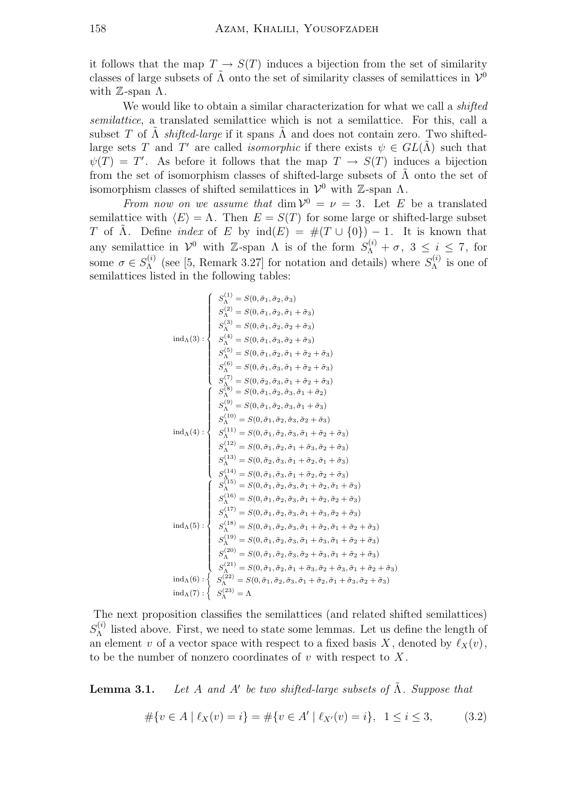it follows that the map  $T \to S(T)$  induces a bijection from the set of similarity classes of large subsets of  $\tilde{\Lambda}$  onto the set of similarity classes of semilattices in  $\mathcal{V}^0$ with  $\mathbb{Z}$ -span  $\Lambda$ .

We would like to obtain a similar characterization for what we call a *shifted* semilattice, a translated semilattice which is not a semilattice. For this, call a subset T of  $\Lambda$  shifted-large if it spans  $\Lambda$  and does not contain zero. Two shiftedlarge sets T and T' are called *isomorphic* if there exists  $\psi \in GL(\tilde{\Lambda})$  such that  $\psi(T) = T'$ . As before it follows that the map  $T \to S(T)$  induces a bijection from the set of isomorphism classes of shifted-large subsets of  $\tilde{\Lambda}$  onto the set of isomorphism classes of shifted semilattices in  $\mathcal{V}^0$  with Z-span  $\Lambda$ .

From now on we assume that  $\dim \mathcal{V}^0 = \nu = 3$ . Let E be a translated semilattice with  $\langle E \rangle = \Lambda$ . Then  $E = S(T)$  for some large or shifted-large subset T of  $\Lambda$ . Define *index* of E by  $\text{ind}(E) = \#(T \cup \{0\}) - 1$ . It is known that any semilattice in  $\mathcal{V}^0$  with Z-span  $\Lambda$  is of the form  $S_{\Lambda}^{(i)} + \sigma$ ,  $3 \leq i \leq 7$ , for some  $\sigma \in S_{\Lambda}^{(i)}$  $\Lambda_{\Lambda}^{(i)}$  (see [5, Remark 3.27] for notation and details) where  $S_{\Lambda}^{(i)}$  $\Lambda^{(i)}$  is one of semilattices listed in the following tables:

$$
S_{\Lambda}^{(1)} = S(0, \tilde{\sigma}_1, \tilde{\sigma}_2, \tilde{\sigma}_3)
$$
\n
$$
S_{\Lambda}^{(2)} = S(0, \tilde{\sigma}_1, \tilde{\sigma}_2, \tilde{\sigma}_1 + \tilde{\sigma}_3)
$$
\n
$$
S_{\Lambda}^{(3)} = S(0, \tilde{\sigma}_1, \tilde{\sigma}_2, \tilde{\sigma}_2 + \tilde{\sigma}_3)
$$
\n
$$
S_{\Lambda}^{(4)} = S(0, \tilde{\sigma}_1, \tilde{\sigma}_3, \tilde{\sigma}_2 + \tilde{\sigma}_3)
$$
\n
$$
S_{\Lambda}^{(5)} = S(0, \tilde{\sigma}_1, \tilde{\sigma}_3, \tilde{\sigma}_1 + \tilde{\sigma}_2 + \tilde{\sigma}_3)
$$
\n
$$
S_{\Lambda}^{(6)} = S(0, \tilde{\sigma}_1, \tilde{\sigma}_3, \tilde{\sigma}_1 + \tilde{\sigma}_2 + \tilde{\sigma}_3)
$$
\n
$$
S_{\Lambda}^{(7)} = S(0, \tilde{\sigma}_2, \tilde{\sigma}_3, \tilde{\sigma}_1 + \tilde{\sigma}_2 + \tilde{\sigma}_3)
$$
\n
$$
S_{\Lambda}^{(8)} = S(0, \tilde{\sigma}_1, \tilde{\sigma}_2, \tilde{\sigma}_3, \tilde{\sigma}_1 + \tilde{\sigma}_2)
$$
\n
$$
S_{\Lambda}^{(9)} = S(0, \tilde{\sigma}_1, \tilde{\sigma}_2, \tilde{\sigma}_3, \tilde{\sigma}_1 + \tilde{\sigma}_3)
$$
\n
$$
S_{\Lambda}^{(10)} = S(0, \tilde{\sigma}_1, \tilde{\sigma}_2, \tilde{\sigma}_3, \tilde{\sigma}_1 + \tilde{\sigma}_3)
$$
\n
$$
S_{\Lambda}^{(11)} = S(0, \tilde{\sigma}_1, \tilde{\sigma}_2, \tilde{\sigma}_3, \tilde{\sigma}_1 + \tilde{\sigma}_2 + \tilde{\sigma}_3)
$$
\n
$$
S_{\Lambda}^{(12)} = S(0, \tilde{\sigma}_1, \tilde{\sigma}_2, \tilde{\sigma}_3, \tilde{\sigma}_1 + \tilde{\sigma}_2 + \tilde{\sigma}_3)
$$
\n
$$
S_{\Lambda}^{(13)} = S(0, \tilde{\sigma}_1, \
$$

The next proposition classifies the semilattices (and related shifted semilattices)  $S_{\Lambda}^{(i)}$  $\Lambda$ <sup>(*i*</sup>) listed above. First, we need to state some lemmas. Let us define the length of an element v of a vector space with respect to a fixed basis X, denoted by  $\ell_X(v)$ . to be the number of nonzero coordinates of  $v$  with respect to  $X$ .

**Lemma 3.1.** Let A and A' be two shifted-large subsets of  $\tilde{\Lambda}$ . Suppose that

$$
\#\{v \in A \mid \ell_X(v) = i\} = \#\{v \in A' \mid \ell_{X'}(v) = i\}, \quad 1 \le i \le 3,
$$
 (3.2)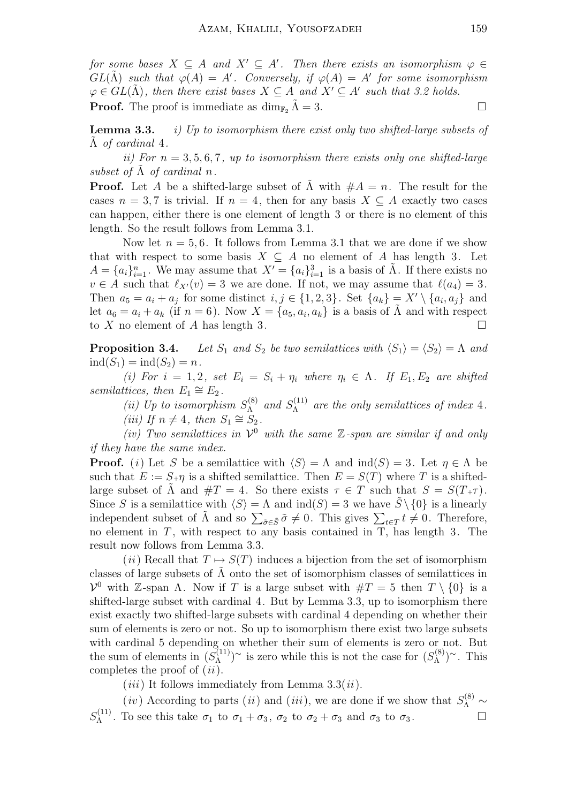for some bases  $X \subseteq A$  and  $X' \subseteq A'$ . Then there exists an isomorphism  $\varphi \in A$  $GL(\tilde{\Lambda})$  such that  $\varphi(A) = A'$ . Conversely, if  $\varphi(A) = A'$  for some isomorphism  $\varphi \in GL(\tilde{\Lambda})$ , then there exist bases  $X \subseteq A$  and  $X' \subseteq A'$  such that 3.2 holds. **Proof.** The proof is immediate as  $\dim_{\mathbb{F}_2} \tilde{\Lambda} = 3$ .

**Lemma 3.3.** i) Up to isomorphism there exist only two shifted-large subsets of  $\Lambda$  of cardinal 4.

ii) For  $n = 3, 5, 6, 7$ , up to isomorphism there exists only one shifted-large subset of  $\tilde{\Lambda}$  of cardinal n.

**Proof.** Let A be a shifted-large subset of  $\tilde{\Lambda}$  with  $\#A = n$ . The result for the cases  $n = 3, 7$  is trivial. If  $n = 4$ , then for any basis  $X \subseteq A$  exactly two cases can happen, either there is one element of length 3 or there is no element of this length. So the result follows from Lemma 3.1.

Now let  $n = 5, 6$ . It follows from Lemma 3.1 that we are done if we show that with respect to some basis  $X \subseteq A$  no element of A has length 3. Let  $A = \{a_i\}_{i=1}^n$ . We may assume that  $X' = \{a_i\}_{i=1}^3$  is a basis of  $\tilde{\Lambda}$ . If there exists no  $v \in A$  such that  $\ell_{X'}(v) = 3$  we are done. If not, we may assume that  $\ell(a_4) = 3$ . Then  $a_5 = a_i + a_j$  for some distinct  $i, j \in \{1, 2, 3\}$ . Set  $\{a_k\} = X' \setminus \{a_i, a_j\}$  and let  $a_6 = a_i + a_k$  (if  $n = 6$ ). Now  $X = \{a_5, a_i, a_k\}$  is a basis of  $\tilde{\Lambda}$  and with respect to X no element of A has length 3.

**Proposition 3.4.** Let  $S_1$  and  $S_2$  be two semilattices with  $\langle S_1 \rangle = \langle S_2 \rangle = \Lambda$  and  $ind(S_1) = ind(S_2) = n$ .

(i) For  $i = 1, 2$ , set  $E_i = S_i + \eta_i$  where  $\eta_i \in \Lambda$ . If  $E_1, E_2$  are shifted semilattices, then  $E_1 \cong E_2$ .

(*ii*) Up to isomorphism  $S_{\Lambda}^{(8)}$  $\mathcal{S}_{\Lambda}^{(8)}$  and  $\mathcal{S}_{\Lambda}^{(11)}$  $\Lambda^{(11)}$  are the only semilattices of index 4. (iii) If  $n \neq 4$ , then  $S_1 \cong S_2$ .

(iv) Two semilattices in  $\mathcal{V}^0$  with the same  $\mathbb{Z}$ -span are similar if and only if they have the same index.

**Proof.** (i) Let S be a semilattice with  $\langle S \rangle = \Lambda$  and  $\text{ind}(S) = 3$ . Let  $\eta \in \Lambda$  be such that  $E := S_{+} \eta$  is a shifted semilattice. Then  $E = S(T)$  where T is a shiftedlarge subset of  $\Lambda$  and  $\#T = 4$ . So there exists  $\tau \in T$  such that  $S = S(T+\tau)$ . Since S is a semilattice with  $\langle S \rangle = \Lambda$  and  $\text{ind}(S) = 3$  we have  $S \setminus \{0\}$  is a linearly independent subset of  $\tilde{\Lambda}$  and so  $\sum_{\tilde{\sigma} \in \tilde{S}} \tilde{\sigma} \neq 0$ . This gives  $\sum_{t \in T} t \neq 0$ . Therefore, no element in  $T$ , with respect to any basis contained in  $T$ , has length 3. The result now follows from Lemma 3.3.

(*ii*) Recall that  $T \mapsto S(T)$  induces a bijection from the set of isomorphism classes of large subsets of  $\tilde{\Lambda}$  onto the set of isomorphism classes of semilattices in  $V^0$  with Z-span Λ. Now if T is a large subset with  $\#T = 5$  then  $T \setminus \{0\}$  is a shifted-large subset with cardinal 4. But by Lemma 3.3, up to isomorphism there exist exactly two shifted-large subsets with cardinal 4 depending on whether their sum of elements is zero or not. So up to isomorphism there exist two large subsets with cardinal 5 depending on whether their sum of elements is zero or not. But the sum of elements in  $(S_{\Lambda}^{(1)} )$  $\binom{11}{\Lambda}$ <sup> $\sim$ </sup> is zero while this is not the case for  $(S_{\Lambda}^{(8)})$  $\binom{8}{\Lambda}^{\sim}$ . This completes the proof of  $(ii)$ .

 $(iii)$  It follows immediately from Lemma 3.3 $(ii)$ .

(*iv*) According to parts (*ii*) and (*iii*), we are done if we show that  $S_{\Lambda}^{(8)} \sim$  $S_{\Lambda}^{(11)}$  $\mathcal{L}_{\Lambda}^{(11)}$ . To see this take  $\sigma_1$  to  $\sigma_1 + \sigma_3$ ,  $\sigma_2$  to  $\sigma_2 + \sigma_3$  and  $\sigma_3$  to  $\sigma_3$ .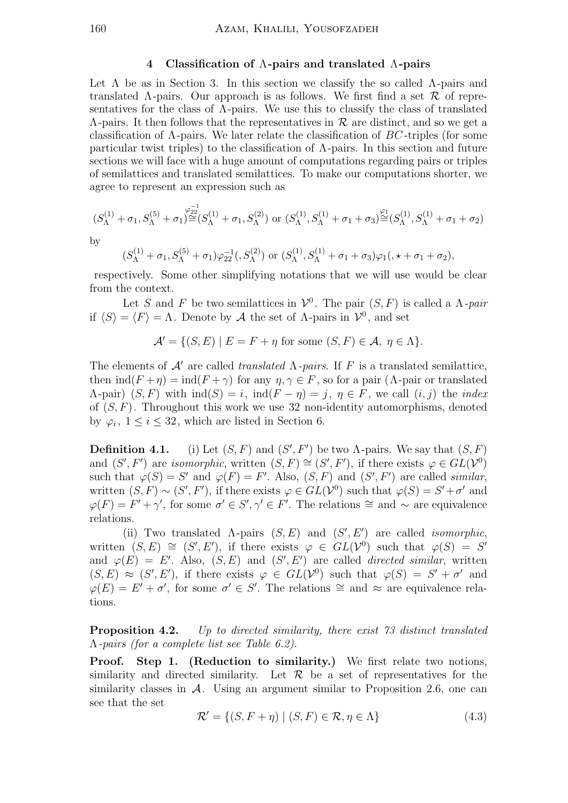## 4 Classification of Λ-pairs and translated Λ-pairs

Let  $\Lambda$  be as in Section 3. In this section we classify the so called  $\Lambda$ -pairs and translated  $\Lambda$ -pairs. Our approach is as follows. We first find a set  $\mathcal R$  of representatives for the class of  $\Lambda$ -pairs. We use this to classify the class of translated  $\Lambda$ -pairs. It then follows that the representatives in  $\mathcal R$  are distinct, and so we get a classification of  $\Lambda$ -pairs. We later relate the classification of  $BC$ -triples (for some particular twist triples) to the classification of  $\Lambda$ -pairs. In this section and future sections we will face with a huge amount of computations regarding pairs or triples of semilattices and translated semilattices. To make our computations shorter, we agree to represent an expression such as

$$
(S_{\Lambda}^{(1)} + \sigma_1, S_{\Lambda}^{(5)} + \sigma_1)^{\frac{\varphi_{22}^{-1}}{\cong}} (S_{\Lambda}^{(1)} + \sigma_1, S_{\Lambda}^{(2)}) \text{ or } (S_{\Lambda}^{(1)}, S_{\Lambda}^{(1)} + \sigma_1 + \sigma_3)^{\frac{\varphi_1}{\cong}} (S_{\Lambda}^{(1)}, S_{\Lambda}^{(1)} + \sigma_1 + \sigma_2)
$$

by

$$
(S_{\Lambda}^{(1)} + \sigma_1, S_{\Lambda}^{(5)} + \sigma_1)\varphi_{22}^{-1}(S_{\Lambda}^{(2)})
$$
 or  $(S_{\Lambda}^{(1)}, S_{\Lambda}^{(1)} + \sigma_1 + \sigma_3)\varphi_1(0, \star + \sigma_1 + \sigma_2),$ 

respectively. Some other simplifying notations that we will use would be clear from the context.

Let S and F be two semilattices in  $\mathcal{V}^0$ . The pair  $(S, F)$  is called a  $\Lambda$ -pair if  $\langle S \rangle = \langle F \rangle = \Lambda$ . Denote by A the set of  $\Lambda$ -pairs in  $\mathcal{V}^0$ , and set

$$
\mathcal{A}' = \{ (S, E) \mid E = F + \eta \text{ for some } (S, F) \in \mathcal{A}, \eta \in \Lambda \}.
$$

The elements of  $\mathcal{A}'$  are called translated  $\Lambda$ -pairs. If F is a translated semilattice, then  $\text{ind}(F + \eta) = \text{ind}(F + \gamma)$  for any  $\eta, \gamma \in F$ , so for a pair ( $\Lambda$ -pair or translated  $(\Lambda$ -pair)  $(S, F)$  with  $\text{ind}(S) = i$ ,  $\text{ind}(F - \eta) = j$ ,  $\eta \in F$ , we call  $(i, j)$  the *index* of  $(S, F)$ . Throughout this work we use 32 non-identity automorphisms, denoted by  $\varphi_i$ ,  $1 \leq i \leq 32$ , which are listed in Section 6.

**Definition 4.1.** (i) Let  $(S, F)$  and  $(S', F')$  be two  $\Lambda$ -pairs. We say that  $(S, F)$ and  $(S', F')$  are *isomorphic*, written  $(S, F) \cong (S', F')$ , if there exists  $\varphi \in GL(\mathcal{V}^0)$ such that  $\varphi(S) = S'$  and  $\varphi(F) = F'$ . Also,  $(S, F)$  and  $(S', F')$  are called *similar*, written  $(S, F) \sim (S', F')$ , if there exists  $\varphi \in GL(\mathcal{V}^0)$  such that  $\varphi(S) = S' + \sigma'$  and  $\varphi(F) = F' + \gamma'$ , for some  $\sigma' \in S', \gamma' \in F'$ . The relations  $\cong$  and  $\sim$  are equivalence relations.

(ii) Two translated  $\Lambda$ -pairs  $(S, E)$  and  $(S', E')$  are called *isomorphic*, written  $(S, E) \cong (S', E')$ , if there exists  $\varphi \in GL({\mathcal{V}}^0)$  such that  $\varphi(S) = S'$ and  $\varphi(E) = E'$ . Also,  $(S, E)$  and  $(S', E')$  are called *directed similar*, written  $(S, E) \approx (S', E')$ , if there exists  $\varphi \in GL(\mathcal{V}^0)$  such that  $\varphi(S) = S' + \sigma'$  and  $\varphi(E) = E' + \sigma'$ , for some  $\sigma' \in S'$ . The relations  $\cong$  and  $\approx$  are equivalence relations.

**Proposition 4.2.** Up to directed similarity, there exist 73 distinct translated Λ-pairs (for a complete list see Table 6.2).

Proof. Step 1. (Reduction to similarity.) We first relate two notions, similarity and directed similarity. Let  $\mathcal R$  be a set of representatives for the similarity classes in  $\mathcal{A}$ . Using an argument similar to Proposition 2.6, one can see that the set

$$
\mathcal{R}' = \{ (S, F + \eta) \mid (S, F) \in \mathcal{R}, \eta \in \Lambda \}
$$
\n(4.3)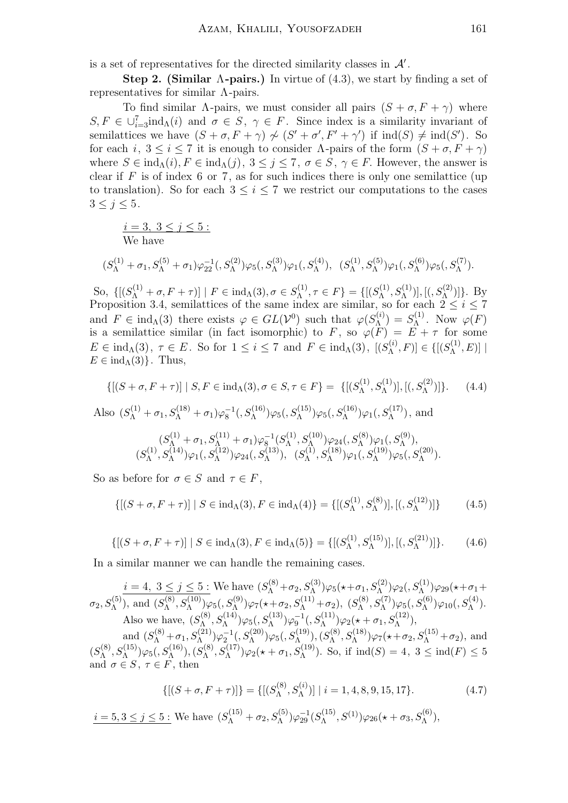is a set of representatives for the directed similarity classes in  $\mathcal{A}'$ .

Step 2. (Similar  $\Lambda$ -pairs.) In virtue of (4.3), we start by finding a set of representatives for similar  $\Lambda$ -pairs.

To find similar  $\Lambda$ -pairs, we must consider all pairs  $(S + \sigma, F + \gamma)$  where  $S, F \in \bigcup_{i=3}^{7} \text{ind}_{\Lambda}(i)$  and  $\sigma \in S, \gamma \in F$ . Since index is a similarity invariant of semilattices we have  $(S + \sigma, F + \gamma) \nsim (S' + \sigma', F' + \gamma')$  if  $\text{ind}(S) \neq \text{ind}(S')$ . So for each i,  $3 \leq i \leq 7$  it is enough to consider  $\Lambda$ -pairs of the form  $(S + \sigma, F + \gamma)$ where  $S \in \text{ind}_{\Lambda}(i), F \in \text{ind}_{\Lambda}(j), 3 \leq j \leq 7, \sigma \in S, \gamma \in F$ . However, the answer is clear if  $F$  is of index 6 or 7, as for such indices there is only one semilattice (up to translation). So for each  $3 \leq i \leq 7$  we restrict our computations to the cases  $3\leq j\leq 5$ .

 $i = 3, 3 \leq j \leq 5$ : We have

$$
(S_{\Lambda}^{(1)} + \sigma_1, S_{\Lambda}^{(5)} + \sigma_1)\varphi_{22}^{-1}, (S_{\Lambda}^{(2)})\varphi_5, (S_{\Lambda}^{(3)})\varphi_1, (S_{\Lambda}^{(4)}), (S_{\Lambda}^{(1)}, S_{\Lambda}^{(5)})\varphi_1, (S_{\Lambda}^{(6)})\varphi_5, (S_{\Lambda}^{(7)}).
$$

So,  $\{[(S_{\Lambda}^{(1)} + \sigma, F + \tau)] \mid F \in \text{ind}_{\Lambda}(3), \sigma \in S_{\Lambda}^{(1)}\}$  $\{\Lambda^{(1)}, \tau \in F\} = \{[(S_{\Lambda}^{(1)})$  $S_{\Lambda}^{(1)}, S_{\Lambda}^{(1)})$ ], [(,  $S_{\Lambda}^{(2)})$ ]}. By Proposition 3.4, semilattices of the same index are similar, so for each  $2 \leq i \leq 7$ and  $F \in \text{ind}_{\Lambda}(3)$  there exists  $\varphi \in GL(\mathcal{V}^0)$  such that  $\varphi(S_{\Lambda}^{(i)})$  $S^{(i)}_{\Lambda})=S^{(1)}_{\Lambda}$  $\varphi_{\Lambda}^{(1)}$ . Now  $\varphi(F)$ is a semilattice similar (in fact isomorphic) to F, so  $\varphi(F) = E + \tau$  for some  $E \in \text{ind}_{\Lambda}(3), \tau \in E$ . So for  $1 \leq i \leq 7$  and  $F \in \text{ind}_{\Lambda}(3)$ ,  $[(S_{\Lambda}^{(i)})]$  $\binom{n}{\Lambda}, F] \in \{[(S_{\Lambda}^{(1)}],$  $\left[\Lambda^{(1)}, E\right)]$  |  $E \in \text{ind}_{\Lambda}(3)$ . Thus,

$$
\{[(S+\sigma, F+\tau)] \mid S, F \in \text{ind}_{\Lambda}(3), \sigma \in S, \tau \in F\} = \{[(S_{\Lambda}^{(1)}, S_{\Lambda}^{(1)})], [((S_{\Lambda}^{(2)})]\}.
$$
 (4.4)

Also  $(S_{\Lambda}^{(1)} + \sigma_1, S_{\Lambda}^{(18)} + \sigma_1) \varphi_8^{-1} (S_{\Lambda}^{(16)}) \varphi_5 (S_{\Lambda}^{(15)}) \varphi_5 (S_{\Lambda}^{(16)}) \varphi_1 (S_{\Lambda}^{(17)})$ , and  $(S_{\Lambda}^{(1)}+\sigma_1,S_{\Lambda}^{(11)}+\sigma_1)\varphi_8^{-1}(S_{\Lambda}^{(1)})$  $S_{\Lambda}^{(1)}, S_{\Lambda}^{(10)}) \varphi_{24}(, S_{\Lambda}^{(8)}) \varphi_{1}(, S_{\Lambda}^{(9)}),$  $(S_{\Lambda}^{(1)}$  $(S_{\Lambda}^{(1)}, S_{\Lambda}^{(14)})\varphi_{1}(, S_{\Lambda}^{(12)})\varphi_{24}(, S_{\Lambda}^{(13)}) ,~~(S_{\Lambda}^{(14)})$  $\mathcal{S}_{\Lambda}^{(10)}, S_{\Lambda}^{(18)}) \varphi_{1}(, S_{\Lambda}^{(19)}) \varphi_{5}(, S_{\Lambda}^{(20)}) .$ 

So as before for  $\sigma \in S$  and  $\tau \in F$ ,

$$
\{[(S+\sigma, F+\tau)] \mid S \in \text{ind}_{\Lambda}(3), F \in \text{ind}_{\Lambda}(4)\} = \{[(S_{\Lambda}^{(1)}, S_{\Lambda}^{(8)})], [(S_{\Lambda}^{(12)})]\}\
$$
(4.5)

$$
\{[(S+\sigma, F+\tau)] \mid S \in \text{ind}_{\Lambda}(3), F \in \text{ind}_{\Lambda}(5)\} = \{[(S_{\Lambda}^{(1)}, S_{\Lambda}^{(15)})], [(S_{\Lambda}^{(21)})]\}.
$$
 (4.6)

In a similar manner we can handle the remaining cases.

 $i = 4, 3 \le j \le 5$ : We have  $(S_{\Lambda}^{(8)} + \sigma_2, S_{\Lambda}^{(3)})\varphi_5(\star + \sigma_1, S_{\Lambda}^{(2)})\varphi_2(, S_{\Lambda}^{(1)})\varphi_{29}(\star + \sigma_1 +$  $\sigma_2, S_{\Lambda}^{(5)}$ ), and  $(S_{\Lambda}^{(8)}$  $S_{\Lambda}^{(8)}, S_{\Lambda}^{(10)})\varphi_{5}(,S_{\Lambda}^{(9)})\varphi_{7}(\star+\sigma_{2},S_{\Lambda}^{(11)}+\sigma_{2}),~(S_{\Lambda}^{(8)})$  $S_{\Lambda}^{(8)}, S_{\Lambda}^{(7)}) \varphi_{5}(, S_{\Lambda}^{(6)}) \varphi_{10}(, S_{\Lambda}^{(4)}).$ Also we have,  $(S_{\Lambda}^{(8)})$  $\mathcal{S}^{(8)}_\Lambda, S^{(14)}_\Lambda) \varphi_5( ,S^{(13)}_\Lambda) \varphi_9^{-1}( ,S^{(11)}_\Lambda) \varphi_2( \star + \sigma_1, S^{(12)}_\Lambda),$ and  $(S_{\Lambda}^{(8)} + \sigma_1, S_{\Lambda}^{(21)})\varphi_2^{-1}(, S_{\Lambda}^{(20)})\varphi_5(, S_{\Lambda}^{(19)}), (S_{\Lambda}^{(8)}$  $S_{\Lambda}^{(8)}, S_{\Lambda}^{(18)})\varphi_7(*+\sigma_2, S_{\Lambda}^{(15)}+\sigma_2),$  and  $(S_{\Lambda}^{(8)}$  $(S^{(8)}_\Lambda,S^{(15)}_\Lambda)\varphi_5(,S^{(16)}_\Lambda),(S^{(8)}_\Lambda)$  $\mathcal{S}_{\Lambda}^{(8)}, S_{\Lambda}^{(17)})\varphi_{2}(\star + \sigma_{1}, S_{\Lambda}^{(19)})$ . So, if  $\operatorname{ind}(S) = 4, 3 \leq \operatorname{ind}(F) \leq 5$ and  $\sigma \in S$ ,  $\tau \in F$ , then

$$
\{[(S+\sigma, F+\tau)]\} = \{[(S_{\Lambda}^{(8)}, S_{\Lambda}^{(i)})] \mid i = 1, 4, 8, 9, 15, 17\}.
$$
 (4.7)

 $i = 5, 3 \le j \le 5$ : We have  $(S_{\Lambda}^{(15)} + \sigma_2, S_{\Lambda}^{(5)}) \varphi_{29}^{-1} (S_{\Lambda}^{(15)}$  $S^{(15)}, S^{(1)})\varphi_{26}(\star+ \sigma_3, S^{(6)}_\Lambda),$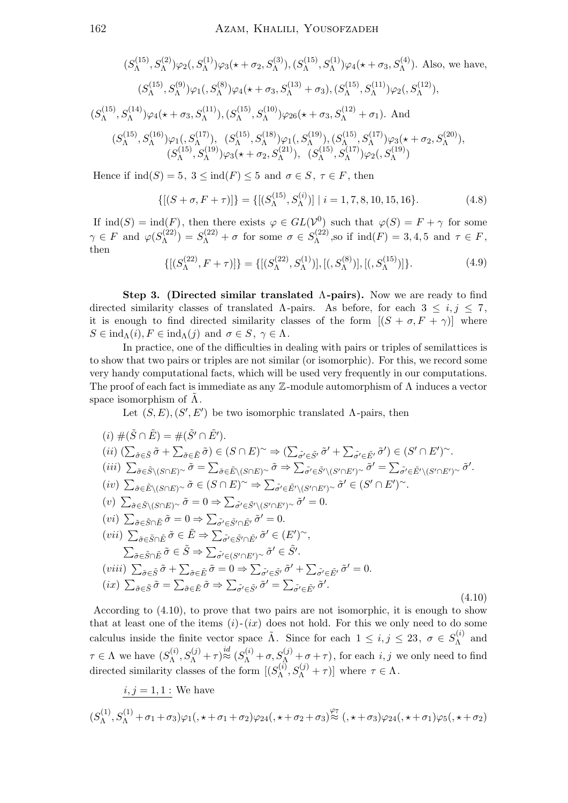$$
(S_{\Lambda}^{(15)}, S_{\Lambda}^{(2)})\varphi_{2}(, S_{\Lambda}^{(1)})\varphi_{3}(\star + \sigma_{2}, S_{\Lambda}^{(3)}), (S_{\Lambda}^{(15)}, S_{\Lambda}^{(1)})\varphi_{4}(\star + \sigma_{3}, S_{\Lambda}^{(4)}).
$$
 Also, we have,  

$$
(S_{\Lambda}^{(15)}, S_{\Lambda}^{(9)})\varphi_{1}(, S_{\Lambda}^{(8)})\varphi_{4}(\star + \sigma_{3}, S_{\Lambda}^{(13)} + \sigma_{3}), (S_{\Lambda}^{(15)}, S_{\Lambda}^{(11)})\varphi_{2}(, S_{\Lambda}^{(12)}),
$$

$$
(S_{\Lambda}^{(15)}, S_{\Lambda}^{(14)})\varphi_{4}(\star + \sigma_{3}, S_{\Lambda}^{(11)}), (S_{\Lambda}^{(15)}, S_{\Lambda}^{(10)})\varphi_{26}(\star + \sigma_{3}, S_{\Lambda}^{(12)} + \sigma_{1}).
$$
And  

$$
(S_{\Lambda}^{(15)}, S_{\Lambda}^{(16)})\varphi_{1}(, S_{\Lambda}^{(17)}), (S_{\Lambda}^{(15)}, S_{\Lambda}^{(18)})\varphi_{1}(, S_{\Lambda}^{(19)}), (S_{\Lambda}^{(15)}, S_{\Lambda}^{(17)})\varphi_{3}(\star + \sigma_{2}, S_{\Lambda}^{(20)}),
$$

$$
(S_{\Lambda}^{(15)}, S_{\Lambda}^{(19)})\varphi_{3}(\star + \sigma_{2}, S_{\Lambda}^{(21)}), (S_{\Lambda}^{(15)}, S_{\Lambda}^{(17)})\varphi_{2}(, S_{\Lambda}^{(19)})
$$

Hence if  $\text{ind}(S) = 5$ ,  $3 \leq \text{ind}(F) \leq 5$  and  $\sigma \in S$ ,  $\tau \in F$ , then

$$
\{[(S+\sigma, F+\tau)]\} = \{[(S_{\Lambda}^{(15)}, S_{\Lambda}^{(i)})] \mid i = 1, 7, 8, 10, 15, 16\}.
$$
 (4.8)

If  $\text{ind}(S) = \text{ind}(F)$ , then there exists  $\varphi \in GL(\mathcal{V}^0)$  such that  $\varphi(S) = F + \gamma$  for some  $\gamma \in F$  and  $\varphi(S_{\Lambda}^{(22)})$  $S_{\Lambda}^{(22)}$ ) =  $S_{\Lambda}^{(22)} + \sigma$  for some  $\sigma \in S_{\Lambda}^{(22)}$  $\Lambda^{(2)}$ , so if  $\text{ind}(F) = 3, 4, 5$  and  $\tau \in F$ , then

$$
\{[(S_{\Lambda}^{(22)}, F + \tau)]\} = \{[(S_{\Lambda}^{(22)}, S_{\Lambda}^{(1)})], [((S_{\Lambda}^{(8)})], [((S_{\Lambda}^{(15)})]\}.
$$
\n(4.9)

Step 3. (Directed similar translated  $\Lambda$ -pairs). Now we are ready to find directed similarity classes of translated  $\Lambda$ -pairs. As before, for each  $3 \leq i, j \leq 7$ , it is enough to find directed similarity classes of the form  $[(S + \sigma, F + \gamma)]$  where  $S \in \text{ind}_{\Lambda}(i), F \in \text{ind}_{\Lambda}(j)$  and  $\sigma \in S, \gamma \in \Lambda$ .

In practice, one of the difficulties in dealing with pairs or triples of semilattices is to show that two pairs or triples are not similar (or isomorphic). For this, we record some very handy computational facts, which will be used very frequently in our computations. The proof of each fact is immediate as any  $\mathbb Z$ -module automorphism of  $\Lambda$  induces a vector space isomorphism of  $\Lambda$ .

Let  $(S, E), (S', E')$  be two isomorphic translated  $\Lambda$ -pairs, then

$$
(i) \#(\tilde{S} \cap \tilde{E}) = \#(\tilde{S}' \cap \tilde{E}').
$$
  
\n
$$
(ii) \left(\sum_{\tilde{\sigma} \in \tilde{S}} \tilde{\sigma} + \sum_{\tilde{\sigma} \in \tilde{E}} \tilde{\sigma}\right) \in (S \cap E)^\sim \Rightarrow \left(\sum_{\tilde{\sigma}' \in \tilde{S}'} \tilde{\sigma}' + \sum_{\tilde{\sigma}' \in \tilde{E}'} \tilde{\sigma}'\right) \in (S' \cap E)^\sim.
$$
  
\n
$$
(iii) \sum_{\tilde{\sigma} \in \tilde{S} \setminus (S \cap E)^\sim} \tilde{\sigma} = \sum_{\tilde{\sigma} \in \tilde{E} \setminus (S \cap E)^\sim} \tilde{\sigma} \Rightarrow \sum_{\tilde{\sigma}' \in \tilde{S}' \setminus (S' \cap E')^\sim} \tilde{\sigma}' = \sum_{\tilde{\sigma}' \in \tilde{E}' \setminus (S' \cap E')^\sim} \tilde{\sigma}'.
$$
  
\n
$$
(iv) \sum_{\tilde{\sigma} \in \tilde{S} \setminus (S \cap E)^\sim} \tilde{\sigma} \in (S \cap E)^\sim \Rightarrow \sum_{\tilde{\sigma}' \in \tilde{E}' \setminus (S' \cap E')^\sim} \tilde{\sigma}' \in (S' \cap E')^\sim.
$$
  
\n
$$
(v) \sum_{\tilde{\sigma} \in \tilde{S} \setminus \tilde{B}} \tilde{\sigma} = 0 \Rightarrow \sum_{\tilde{\sigma}' \in \tilde{S}' \cap \tilde{E}'} \tilde{\sigma}' = 0.
$$
  
\n
$$
(vii) \sum_{\tilde{\sigma} \in \tilde{S} \cap \tilde{E}} \tilde{\sigma} = 0 \Rightarrow \sum_{\tilde{\sigma}' \in \tilde{S}' \cap \tilde{E}'} \tilde{\sigma}' \in (E')^\sim,
$$
  
\n
$$
\sum_{\tilde{\sigma} \in \tilde{S} \cap \tilde{E}} \tilde{\sigma} \in \tilde{E} \Rightarrow \sum_{\tilde{\sigma}' \in \tilde{S}' \cap \tilde{E}'} \tilde{\sigma}' \in (E')^\sim,
$$
  
\n
$$
(viii) \sum_{\tilde{\sigma} \in \tilde{S}} \tilde{\sigma} + \sum_{\tilde{\
$$

According to (4.10), to prove that two pairs are not isomorphic, it is enough to show that at least one of the items  $(i)-(ix)$  does not hold. For this we only need to do some calculus inside the finite vector space  $\tilde{\Lambda}$ . Since for each  $1 \leq i, j \leq 23, \sigma \in S_{\Lambda}^{(i)}$  $\Lambda^{(i)}$  and  $\tau \in \Lambda$  we have  $(S_{\Lambda}^{(i)} )$  $\chi_{\Lambda}^{(i)}, S_{\Lambda}^{(j)} + \tau \stackrel{id}{\approx} (S_{\Lambda}^{(i)} + \sigma, S_{\Lambda}^{(j)} + \sigma + \tau)$ , for each  $i, j$  we only need to find directed similarity classes of the form  $[(S_{\Lambda}^{(i)})]$  $S_{\Lambda}^{(i)}, S_{\Lambda}^{(j)} + \tau$ ] where  $\tau \in \Lambda$ .

$$
\begin{aligned} &\underline{i,j=1,1:}\text{ We have}\\ &(S^{(1)}_\Lambda,S^{(1)}_\Lambda+\sigma_1+\sigma_3)\varphi_1(,\star+\sigma_1+\sigma_2)\varphi_{24}(,\star+\sigma_2+\sigma_3)^{\frac{\varphi_7}{\approx}}(\star+\sigma_3)\varphi_{24}(,\star+\sigma_1)\varphi_5(,\star+\sigma_2) \end{aligned}
$$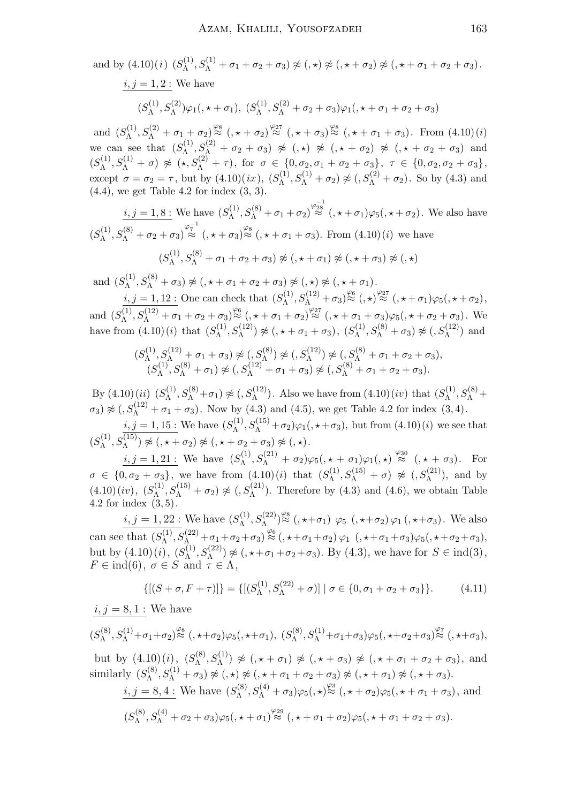and by (4.10)(*i*) 
$$
(S_{\Lambda}^{(1)}, S_{\Lambda}^{(1)} + \sigma_1 + \sigma_2 + \sigma_3) \not\approx (0, \star) \not\approx (0, \star) \not\approx (0, \star) \not\approx (0, \star) \sigma_1 + \sigma_2 + \sigma_3).
$$
  
\n*i*, *j* = 1, 2 : We have  
\n $(S_{\Lambda}^{(1)}, S_{\Lambda}^{(2)})\varphi_1(0, \star) - \sigma_1(0, \star) \sigma_1(0, \star) - \sigma_2(0, \star) \sigma_2(0, \star) - \sigma_3(0, \star) \sigma_1(0, \star) - \sigma_2(0, \star) \sigma_2(0, \star) - \sigma_3(0, \star) \sigma_1(0, \star) - \sigma_2(0, \star) \sigma_2(0, \star) - \sigma_3(0, \star) \sigma_1(0, \star) - \sigma_2(0, \star) \sigma_2(0, \star) - \sigma_3(0, \star) \sigma_1(0, \star) - \sigma_2(0, \star) \sigma_2(0, \star) - \sigma_3(0, \star) \sigma_1(0, \star) - \sigma_2(0, \star) \sigma_2(0, \star) - \sigma_3(0, \star) \sigma_1(0, \star) - \sigma_2(0, \star) \sigma_2(0, \star) - \sigma_3(0, \star) \sigma_2(0, \star) - \sigma_3(0, \star) \sigma_1(0, \star) - \sigma_2(0, \star) \sigma_2(0, \star) - \sigma_3(0, \star) \sigma_2(0, \star) - \sigma_3(0, \star) \sigma_1(0, \star) - \sigma_2(0, \star) \sigma_2(0, \star) - \sigma_3(0, \star) \sigma_1(0, \star) - \sigma_2(0, \star) \sigma_2(0, \star) - \sigma_3(0, \star) \sigma_1(0, \star) - \sigma_2(0, \star) \sigma_2(0, \star) - \sigma_3(0, \star) \sigma_2(0, \star) - \sigma_3(0, \star) \sigma_2(0, \star) - \sigma_2(0, \star) \sigma_2(0, \star) - \sigma_2(0, \star) \sigma_2(0, \star) - \sigma_3(0, \star)$ 

and  $(S_{\Lambda}^{(1)}, S_{\Lambda}^{(2)} + \sigma_1 + \sigma_2) \stackrel{\varphi_8}{\approx} (\mathbf{,} \star + \sigma_2) \stackrel{\varphi_{27}}{\approx} (\mathbf{,} \star + \sigma_3) \stackrel{\varphi_8}{\approx} (\mathbf{,} \star + \sigma_1 + \sigma_3)$ . From  $(4.10)(i)$ Λ we can see that  $(S_{\Lambda}^{(1)})$  $\chi_{\Lambda}^{(1)}, S_{\Lambda}^{(2)} + \sigma_2 + \sigma_3$ )  $\not\approx$  (,  $\star$ )  $\not\approx$  (,  $\star + \sigma_2$ )  $\not\approx$  (,  $\star + \sigma_2 + \sigma_3$ ) and  $(S_{\Lambda}^{(1)}$  $\delta^{(1)}_\Lambda, S^{(1)}_\Lambda + \sigma) \not\approx ( \star, S^{(2)}_\Lambda + \tau), \text{ for } \sigma \in \{0, \sigma_2, \sigma_1 + \sigma_2 + \sigma_3\}, \; \tau \in \{0, \sigma_2, \sigma_2 + \sigma_3\},$ except  $\sigma = \sigma_2 = \tau$ , but by  $(4.10)(ix)$ ,  $(S_{\Lambda}^{(1)})$  $S_{\Lambda}^{(1)}, S_{\Lambda}^{(1)} + \sigma_2$   $\not\approx$   $(0, S_{\Lambda}^{(2)} + \sigma_2)$ . So by (4.3) and  $(4.4)$ , we get Table 4.2 for index  $(3, 3)$ .

 $i, j = 1, 8:$  We have  $(S_{\Lambda}^{(1)})$  $S_{\Lambda}^{(1)}, S_{\Lambda}^{(8)} + \sigma_1 + \sigma_2$ )  $\stackrel{\varphi_{28}^{-1}}{\approx}$   $(\times + \sigma_1)\varphi_5(\times + \sigma_2)$ . We also have  $(S_{\Lambda}^{(1)}$  $S_{\Lambda}^{(1)}, S_{\Lambda}^{(8)} + \sigma_2 + \sigma_3 \rangle \stackrel{\varphi_7^{-1}}{\approx} (\mathbf{,} \star + \sigma_3) \stackrel{\varphi_8}{\approx} (\mathbf{,} \star + \sigma_1 + \sigma_3).$  From  $(4.10)(i)$  we have  $(S_{\Lambda}^{(1)}$  $\chi_\Lambda^{(1)}, S_\Lambda^{(8)}+\sigma_1+\sigma_2+\sigma_3)\not\approx (,\star+\sigma_1)\not\approx (\star+\sigma_3)\not\approx (\star,\star)$ 

and  $(S_{\Lambda}^{(1)}, S_{\Lambda}^{(8)} + \sigma_3) \not\approx (0, \star + \sigma_1 + \sigma_2 + \sigma_3) \not\approx (0, \star + \sigma_1 + \sigma_2)$ . Λ

 $i, j = 1, 12$ : One can check that  $(S_{\lambda}^{(1)})$  $\chi_\Lambda^{(1)}, S_\Lambda^{(12)}+\sigma_3\big)\stackrel{\varphi_6}{\approx} (,\star)^{\varphi_{27}} (\,,\star+\sigma_1)\varphi_5(,\star+\sigma_2)\,,$ and  $(S_{\Lambda}^{(1)}$  $\sqrt{\Lambda}$ ,  $S_{\Lambda}^{(12)} + \sigma_1 + \sigma_2 + \sigma_3$ ) $\approx$  (,  $\star + \sigma_1 + \sigma_2$ ) $\approx$  (,  $\star + \sigma_1 + \sigma_3$ ) $\varphi_5$ (,  $\star + \sigma_2 + \sigma_3$ ). We have from  $(4.10)(i)$  that  $(S_{\Lambda}^{(1)})$  $S_{\Lambda}^{(1)}, S_{\Lambda}^{(12)}) \not\approx (0, \star + \sigma_1 + \sigma_3), (S_{\Lambda}^{(1)})$  $S_{\Lambda}^{(1)}, S_{\Lambda}^{(8)} + \sigma_3$   $\not\approx$   $(0, S_{\Lambda}^{(12)})$  and

$$
(S_{\Lambda}^{(1)}, S_{\Lambda}^{(12)} + \sigma_1 + \sigma_3) \not\approx (S_{\Lambda}^{(8)}) \not\approx (S_{\Lambda}^{(12)}) \not\approx (S_{\Lambda}^{(8)} + \sigma_1 + \sigma_2 + \sigma_3),(S_{\Lambda}^{(1)}, S_{\Lambda}^{(8)} + \sigma_1) \not\approx (S_{\Lambda}^{(12)} + \sigma_1 + \sigma_3) \not\approx (S_{\Lambda}^{(8)} + \sigma_1 + \sigma_2 + \sigma_3).
$$

By  $(4.10)(ii)$   $(S_{\Lambda}^{(1)}$  $S_{\Lambda}^{(1)}, S_{\Lambda}^{(8)} + \sigma_1$   $\not\approx (S_{\Lambda}^{(12)})$ . Also we have from  $(4.10)(iv)$  that  $(S_{\Lambda}^{(1)})$  $S_{\Lambda}^{(1)}, S_{\Lambda}^{(8)}+$  $\sigma_3$ )  $\not\approx$  (,  $S_{\Lambda}^{(12)} + \sigma_1 + \sigma_3$ ). Now by (4.3) and (4.5), we get Table 4.2 for index (3, 4).

 $i, j = 1, 15$ : We have  $(S_{\Lambda}^{(1)})$  $\chi_{\Lambda}^{(1)}, S_{\Lambda}^{(15)} + \sigma_2$ ) $\varphi_1($ ,  $\star + \sigma_3)$ , but from  $(4.10)(i)$  we see that  $(S_{\Lambda}^{(1)}$  $\chi_\Lambda^{(1)}, S_\Lambda^{(15)}) \not\approx (,\star + \sigma_2) \not\approx (,\star + \sigma_2 + \sigma_3) \not\approx (,\star).$ 

 $i, j = 1, 21$ : We have  $(S_{\Lambda}^{(1)}, S_{\Lambda}^{(21)} + \sigma_2) \varphi_5(0, \star + \sigma_1) \varphi_1(0, \star) \stackrel{\varphi_{30}}{\approx} (0, \star + \sigma_3)$ . For Λ  $\sigma \in \{0, \sigma_2 + \sigma_3\},\$  we have from  $(4.10)(i)$  that  $(S_{\Lambda}^{(1)})$  $S_{\Lambda}^{(1)}, S_{\Lambda}^{(15)} + \sigma$   $\approx$   $(S_{\Lambda}^{(21)})$ , and by  $(4.10)(iv), (S<sub>A</sub><sup>(1)</sup>)$  $\chi_{\Lambda}^{(1)}, S_{\Lambda}^{(15)} + \sigma_2$   $\not\approx$   $(S_{\Lambda}^{(21)})$ . Therefore by (4.3) and (4.6), we obtain Table 4.2 for index  $(3, 5)$ .

 $i, j = 1, 22$ : We have  $(S_{\Lambda}^{(1)})$  $\chi_{\Lambda}^{(1)}, S_{\Lambda}^{(22)}\rangle_{\approx}^{\varphi_8}$  (,  $\star+\sigma_1$ )  $\varphi_5$  (,  $\star+\sigma_2$ )  $\varphi_1$  (,  $\star+\sigma_3$ ). We also can see that  $(S_{\Lambda}^{(1)})$  $\frac{\sqrt{(1)}\,S^{(22)}_{\Lambda}}+\sigma_1+\sigma_2+\sigma_3)\stackrel{\varphi_6}{\approx}(\,,\star+\sigma_1+\sigma_2)\,\varphi_1\;\;(,\star+\sigma_1+\sigma_3)\varphi_5(,\star+\sigma_2+\sigma_3),$ but by  $(4.10)(i)$ ,  $(S_{\Lambda}^{(1)})$  $S_{\Lambda}^{(1)}, S_{\Lambda}^{(22)}$   $\not\approx$  (,  $\star + \sigma_1 + \sigma_2 + \sigma_3$ ). By (4.3), we have for  $S \in \text{ind}(3)$ ,  $F \in \text{ind}(6)$ ,  $\sigma \in S$  and  $\tau \in \Lambda$ ,

$$
\{[(S+\sigma, F+\tau)]\} = \{[(S_{\Lambda}^{(1)}, S_{\Lambda}^{(22)} + \sigma)] \mid \sigma \in \{0, \sigma_1 + \sigma_2 + \sigma_3\} \}.
$$
 (4.11)

$$
i, j = 8, 1
$$
: We have

$$
(S_{\Lambda}^{(8)},S_{\Lambda}^{(1)}+\sigma_1+\sigma_2)\overset{\varphi_8}{\approx} (,\star+\sigma_2)\varphi_5(,\star+\sigma_1),\ (S_{\Lambda}^{(8)},S_{\Lambda}^{(1)}+\sigma_1+\sigma_3)\varphi_5(,\star+\sigma_2+\sigma_3)\overset{\varphi_7}{\approx} (,\star+\sigma_3),
$$

but by  $(4.10)(i)$ ,  $(S_{\Lambda}^{(8)})$  $\mathcal{L}_{\Lambda}^{(8)}, S_{\Lambda}^{(1)}) \not\approx (1, \star + \sigma_1) \not\approx (1, \star + \sigma_3) \not\approx (1, \star + \sigma_1 + \sigma_2 + \sigma_3)$ , and similarly  $(S_{\Lambda}^{(8)}$  $\chi_\Lambda^{(8)}, S_\Lambda^{(1)}+\sigma_3)\not\approx( ,\star)\not\approx( ,\star+\sigma_1+\sigma_2+\sigma_3)\not\approx( ,\star+\sigma_1)\not\approx( ,\star+\sigma_3).$ 

$$
\begin{aligned}\n\frac{i}{\beta} &= 8, 4: \text{We have } (S_{\Lambda}^{(8)}, S_{\Lambda}^{(4)} + \sigma_3) \varphi_5(\omega) \stackrel{\varphi_3}{\approx} (\omega \star + \sigma_2) \varphi_5(\omega \star + \sigma_1 + \sigma_3), \text{ and} \\
(S_{\Lambda}^{(8)}, S_{\Lambda}^{(4)} + \sigma_2 + \sigma_3) \varphi_5(\omega \star + \sigma_1) \stackrel{\varphi_{29}}{\approx} (\omega \star + \sigma_1 + \sigma_2) \varphi_5(\omega \star + \sigma_1 + \sigma_2 + \sigma_3).\n\end{aligned}
$$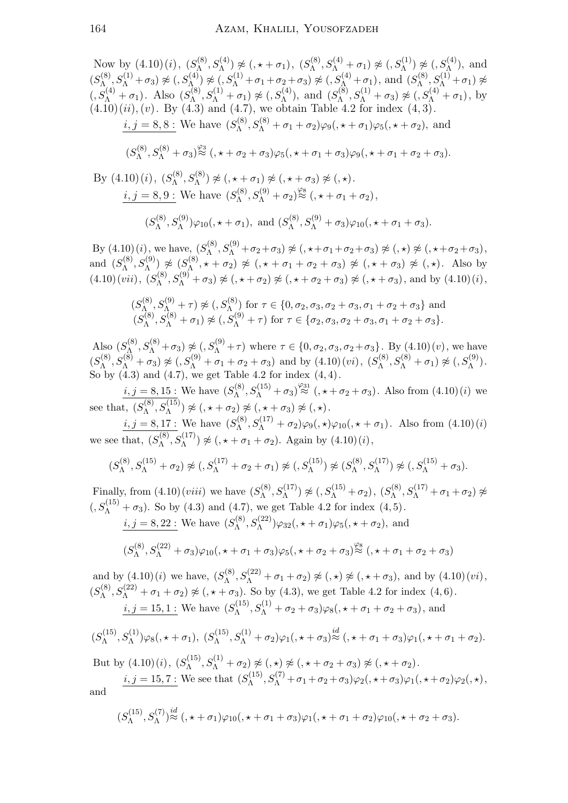Now by (4.10)(i), 
$$
(S_{\Lambda}^{(8)}, S_{\Lambda}^{(4)}) \napprox (\mathbf{1}, \mathbf{1}, \mathbf{1}, \mathbf{1}, \mathbf{1}, \mathbf{1}, \mathbf{1}, \mathbf{1}, \mathbf{1}, \mathbf{1}, \mathbf{1}, \mathbf{1}, \mathbf{1}, \mathbf{1}, \mathbf{1}, \mathbf{1}, \mathbf{1}, \mathbf{1}, \mathbf{1}, \mathbf{1}, \mathbf{1}, \mathbf{1}, \mathbf{1}, \mathbf{1}, \mathbf{1}, \mathbf{1}, \mathbf{1}, \mathbf{1}, \mathbf{1}, \mathbf{1}, \mathbf{1}, \mathbf{1}, \mathbf{1}, \mathbf{1}, \mathbf{1}, \mathbf{1}, \mathbf{1}, \mathbf{1}, \mathbf{1}, \mathbf{1}, \mathbf{1}, \mathbf{1}, \mathbf{1}, \mathbf{1}, \mathbf{1}, \mathbf{1}, \mathbf{1}, \mathbf{1}, \mathbf{1}, \mathbf{1}, \mathbf{1}, \mathbf{1}, \mathbf{1}, \mathbf{1}, \mathbf{1}, \mathbf{1}, \mathbf{1}, \mathbf{1}, \mathbf{1}, \mathbf{1}, \mathbf{1}, \mathbf{1}, \mathbf{1}, \mathbf{1}, \mathbf{1}, \mathbf{1}, \mathbf{1}, \mathbf{1}, \mathbf{1}, \mathbf{1}, \mathbf{1}, \mathbf{1}, \mathbf{1}, \mathbf{1}, \mathbf{1}, \mathbf{1}, \mathbf{1}, \mathbf{1}, \mathbf{1}, \mathbf{1}, \mathbf{1}, \mathbf{1}, \mathbf{1}, \mathbf{1}, \mathbf{1}, \mathbf{1}, \mathbf{1}, \mathbf{1}, \mathbf{1}, \mathbf{1}, \mathbf{1}, \mathbf{1}, \mathbf{1}, \mathbf{1}, \mathbf{1}, \mathbf{1}, \mathbf{1}, \mathbf{1}, \mathbf{1}, \mathbf{1}, \mathbf{1}, \mathbf{1}, \mathbf{1}, \mathbf{1}, \mathbf{1}, \mathbf{1}, \mathbf{1}, \mathbf{1}, \mathbf{1}, \mathbf{1}, \mathbf{1}, \mathbf{1}, \mathbf{1}, \mathbf{1}, \mathbf{1}, \mathbf{1}, \mathbf{1}, \mathbf{1}, \mathbf{1}, \mathbf{1}, \mathbf{1}, \mathbf{1
$$

By  $(4.10)(i)$ , we have,  $(S_{\Lambda}^{(8)})$  $\chi_\Lambda^{(8)}, S_\Lambda^{(9)} + \sigma_2 + \sigma_3) \not\approx (,\star + \sigma_1 + \sigma_2 + \sigma_3) \not\approx (,\star + \sigma_2 + \sigma_3),$ and  $(S_{\Lambda}^{(8)}$  $S_\Lambda^{(8)}, S_\Lambda^{(9)})\not\approx (S_\Lambda^{(8)})$  $\Lambda^{(0)}$ ,  $\star + \sigma_2$ )  $\not\approx$  (,  $\star + \sigma_1 + \sigma_2 + \sigma_3$ )  $\not\approx$  (,  $\star + \sigma_3$ )  $\not\approx$  (,  $\star$ ). Also by  $(4.10)(vii), (S<sub>A</sub><sup>(8)</sup>)$  $\chi_{\Lambda}^{(8)}, S_{\Lambda}^{(9)} + \sigma_3$   $\not\approx$  (,  $\star + \sigma_2$ )  $\not\approx$  (,  $\star + \sigma_2 + \sigma_3$ )  $\not\approx$  (,  $\star + \sigma_3$ ), and by (4.10)(*i*),

$$
(S_{\Lambda}^{(8)}, S_{\Lambda}^{(9)} + \tau) \not\approx (S_{\Lambda}^{(8)}) \text{ for } \tau \in \{0, \sigma_2, \sigma_3, \sigma_2 + \sigma_3, \sigma_1 + \sigma_2 + \sigma_3\} \text{ and } (S_{\Lambda}^{(8)}, S_{\Lambda}^{(8)} + \sigma_1) \not\approx (S_{\Lambda}^{(9)} + \tau) \text{ for } \tau \in \{\sigma_2, \sigma_3, \sigma_2 + \sigma_3, \sigma_1 + \sigma_2 + \sigma_3\}.
$$

Also  $(S_{\Lambda}^{(8)}$  $N_{\Lambda}^{(8)}, S_{\Lambda}^{(8)} + \sigma_3$   $\not\approx (S_{\Lambda}^{(9)} + \tau)$  where  $\tau \in \{0, \sigma_2, \sigma_3, \sigma_2 + \sigma_3\}$ . By  $(4.10)(v)$ , we have  $(S_{\Lambda}^{(8)}$  $\mathcal{S}_{\Lambda}^{(8)}, S_{\Lambda}^{(8)} + \sigma_3$   $\approx (S_{\Lambda}^{(9)} + \sigma_1 + \sigma_2 + \sigma_3)$  and by  $(4.10)(vi)$ ,  $(S_{\Lambda}^{(8)}$  $S_{\Lambda}^{(8)}, S_{\Lambda}^{(8)} + \sigma_1 \mathcal{)} \not\approx (S_{\Lambda}^{(9)})$ . So by  $(4.3)$  and  $(4.7)$ , we get Table 4.2 for index  $(4, 4)$ .

 $i, j = 8, 15$ : We have  $(S_{\Lambda}^{(8)})$  $\chi_{\Lambda}^{(8)}, S_{\Lambda}^{(15)} + \sigma_3 \rangle \stackrel{\varphi_{31}}{\approx} (\pm \sigma_2 + \sigma_3)$ . Also from  $(4.10)(i)$  we see that,  $(S_{\Lambda}^{(8)}$  $\chi_\Lambda^{(8)}, S_\Lambda^{(15)}) \not\approx (,\star + \sigma_2) \not\approx (,\star + \sigma_3) \not\approx (,\star).$ 

 $i, j = 8, 17:$  We have  $(S_{\Lambda}^{(8)})$  $\chi_{\Lambda}^{(8)}, S_{\Lambda}^{(17)} + \sigma_2 \gamma_9(0, \star) \gamma_{10}(0, \star + \sigma_1)$ . Also from  $(4.10)(i)$ we see that,  $(S_{\Lambda}^{(8)}$  $\Lambda_{\Lambda}^{(8)}, S_{\Lambda}^{(17)}) \not\approx (0, \star + \sigma_1 + \sigma_2).$  Again by  $(4.10)(i)$ ,

$$
(S_{\Lambda}^{(8)}, S_{\Lambda}^{(15)}+\sigma_2)\not\approx( ,S_{\Lambda}^{(17)}+\sigma_2+\sigma_1)\not\approx( ,S_{\Lambda}^{(15)})\not\approx( S_{\Lambda}^{(8)}, S_{\Lambda}^{(17)})\not\approx( ,S_{\Lambda}^{(15)}+\sigma_3).
$$

Finally, from  $(4.10)(viii)$  we have  $(S_{\Lambda}^{(8)})$  $S_{\Lambda}^{(8)}, S_{\Lambda}^{(17)}) \not\approx (S_{\Lambda}^{(15)} + \sigma_2), (S_{\Lambda}^{(8)})$  $S_{\Lambda}^{(8)}, S_{\Lambda}^{(17)}+\sigma_1+\sigma_2)\not\approx$  $(S_{\Lambda}^{(15)} + \sigma_3)$ . So by (4.3) and (4.7), we get Table 4.2 for index (4,5).

$$
\underline{i,j=8,22:}
$$
 We have  $(S_{\Lambda}^{(8)}, S_{\Lambda}^{(22)})\varphi_{32}(, \star + \sigma_1)\varphi_5(\star + \sigma_2)$ , and

$$
(S_{\Lambda}^{(8)}, S_{\Lambda}^{(22)} + \sigma_3)\varphi_{10}(x + \sigma_1 + \sigma_3)\varphi_5(x + \sigma_2 + \sigma_3)^{\varphi_8}(x + \sigma_1 + \sigma_2 + \sigma_3)
$$

and by  $(4.10)(i)$  we have,  $(S_{\Lambda}^{(8)})$  $\chi_{\Lambda}^{(8)}, S_{\Lambda}^{(22)} + \sigma_1 + \sigma_2 \approx (0, \star) \not\approx (0, \star + \sigma_3), \text{ and by } (4.10)(vi),$  $(S_{\Lambda}^{(8)}$  $\mathcal{L}_{\Lambda}^{(8)}, S_{\Lambda}^{(22)} + \sigma_1 + \sigma_2 \approx (0, \star + \sigma_3).$  So by (4.3), we get Table 4.2 for index (4,6).  $i, j = 15, 1$ : We have  $(S_{\Lambda}^{(15)})$  $\zeta_{\Lambda}^{(15)}, S_{\Lambda}^{(1)} + \sigma_2 + \sigma_3 \gamma_8 (1, \star + \sigma_1 + \sigma_2 + \sigma_3),$  and

$$
(S_{\Lambda}^{(15)}, S_{\Lambda}^{(1)})\varphi_8(,\star + \sigma_1), (S_{\Lambda}^{(15)}, S_{\Lambda}^{(1)} + \sigma_2)\varphi_1(,\star + \sigma_3) \stackrel{id}{\approx} (\star + \sigma_1 + \sigma_3)\varphi_1(\star + \sigma_1 + \sigma_2).
$$

But by  $(4.10)(i)$ ,  $(S_{\Lambda}^{(15)})$  $\chi_\Lambda^{(15)}, S_\Lambda^{(1)}+\sigma_2)\not\approx (,\star)\not\approx (,\star+\sigma_2+\sigma_3)\not\approx (,\star+\sigma_2).$ 

and 
$$
\frac{i,j=15,7:}{\sqrt{5}} \text{We see that } (S_{\Lambda}^{(15)}, S_{\Lambda}^{(7)} + \sigma_1 + \sigma_2 + \sigma_3)\varphi_2(\omega_1 + \sigma_3)\varphi_1(\omega_2 + \sigma_2)\varphi_2(\omega_3),
$$

$$
(S_{\Lambda}^{(15)},S_{\Lambda}^{(7)}) \stackrel{id}{\approx} (\star + \sigma_1)\varphi_{10}(\star + \sigma_1 + \sigma_3)\varphi_1(\star + \sigma_1 + \sigma_2)\varphi_{10}(\star + \sigma_2 + \sigma_3).
$$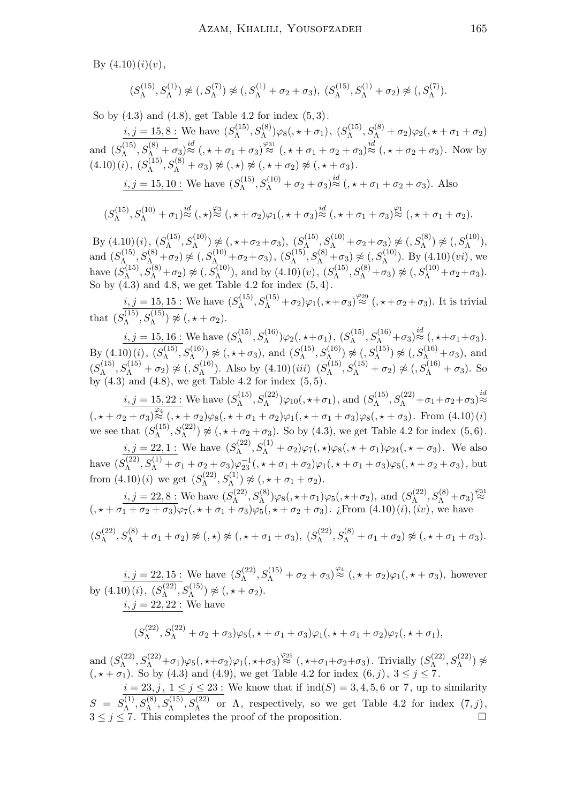By  $(4.10)(i)(v)$ ,

$$
(S_{\Lambda}^{(15)}, S_{\Lambda}^{(1)}) \not\approx (S_{\Lambda}^{(7)}) \not\approx (S_{\Lambda}^{(1)} + \sigma_2 + \sigma_3), (S_{\Lambda}^{(15)}, S_{\Lambda}^{(1)} + \sigma_2) \not\approx (S_{\Lambda}^{(7)})
$$

So by (4.3) and (4.8), get Table 4.2 for index (5, 3).

 $i, j = 15, 8$ : We have  $(S_{\Lambda}^{(15)})$  $S_{\Lambda}^{(15)}, S_{\Lambda}^{(8)})\varphi_{8}(,\star+\sigma_{1}),\ (S_{\Lambda}^{(15)})$  $S_{\Lambda}^{(15)}, S_{\Lambda}^{(8)}+\sigma_2)\varphi_2($ ,  $\star+\sigma_1+\sigma_2)$ and  $(S_{\Lambda}^{(15)}$  $S_{\Lambda}^{(15)}$ ,  $S_{\Lambda}^{(8)} + \sigma_3$ ) $\stackrel{i}{\approx}$  (,  $\star + \sigma_1 + \sigma_3$ ) $\stackrel{\varphi_{31}}{\approx}$  (,  $\star + \sigma_1 + \sigma_2 + \sigma_3$ ) $\stackrel{i}{\approx}$  (,  $\star + \sigma_2 + \sigma_3$ ). Now by  $(4.10)(i), (S<sub>A</sub><sup>(15)</sup>)$  $\chi_\Lambda^{(15)}, S_\Lambda^{(8)}+\sigma_3)\not\approx (,\star)\not\approx (\star + \sigma_2)\not\approx (\star + \sigma_3).$ 

$$
i, j = 15, 10
$$
: We have  $(S_{\Lambda}^{(15)}, S_{\Lambda}^{(10)} + \sigma_2 + \sigma_3) \stackrel{id}{\approx} (\mathbf{0}, \mathbf{0} + \sigma_1 + \sigma_2 + \sigma_3)$ . Also

$$
(S_{\Lambda}^{(15)},S_{\Lambda}^{(10)}+\sigma_1)\overset{id}{\approx} (,\star)\overset{\varphi_3}{\approx} (,\star+\sigma_2)\varphi_1(,\star+\sigma_3)\overset{id}{\approx} (,\star+\sigma_1+\sigma_3)\overset{\varphi_1}{\approx} (,\star+\sigma_1+\sigma_2).
$$

By  $(4.10)(i)$ ,  $(S_{\Lambda}^{(15)})$  $\mathcal{S}^{(15)}_\Lambda, S^{(10)}_\Lambda) \not\approx (,\star+\sigma_2+\sigma_3),\; (S^{(15)}_\Lambda)$  $\mathcal{S}^{(15)}_{\Lambda}, S^{(10)}_{\Lambda} + \sigma_2 + \sigma_3) \not\approx (, S^{(8)}_{\Lambda}) \not\approx (, S^{(10)}_{\Lambda}),$ and  $(S_{\Lambda}^{(15)}$  $\mathcal{S}^{(15)}_{\Lambda_1}, \mathcal{S}^{(8)}_{\Lambda_1} + \sigma_2) \not\approx (, S^{(10)}_{\Lambda_1} + \sigma_2 + \sigma_3), \ (S^{(15)}_{\Lambda_1})$  $\mathcal{S}_{\Lambda}^{(15)}, S_{\Lambda}^{(8)} + \sigma_3$   $\not\approx (S_{\Lambda}^{(10)})$ . By  $(4.10)(vi)$ , we have  $(S_{\Lambda}^{(15)}$  $S_{\Lambda}^{(15)}, S_{\Lambda}^{(8)} + \sigma_2$   $\approx$   $(0, S_{\Lambda}^{(10)})$ , and by  $(4.10)(v)$ ,  $(S_{\Lambda}^{(15)})$  $S_{\Lambda}^{(15)}, S_{\Lambda}^{(8)} + \sigma_3$   $\approx (S_{\Lambda}^{(10)} + \sigma_2 + \sigma_3).$ So by  $(4.3)$  and  $4.8$ , we get Table  $4.2$  for index  $(5, 4)$ .

 $i, j = 15, 15$ : We have  $(S_{\Lambda}^{(15)})$  $S_{\Lambda}^{(15)}$ ,  $S_{\Lambda}^{(15)} + \sigma_2$ ) $\varphi_1$ (,  $\star + \sigma_3$ ) $\stackrel{\varphi_{29}}{\approx}$  (,  $\star + \sigma_2 + \sigma_3$ ). It is trivial that  $(S_{\Lambda}^{(15)}$  $S_{\Lambda}^{(15)}, S_{\Lambda}^{(15)}) \not\approx (,\star + \sigma_2).$ 

 $i, j = 15, 16:$  We have  $(S_{\Lambda}^{(15)})$  $S_{\Lambda}^{(15)}, S_{\Lambda}^{(16)})\varphi_2(,\star+\sigma_1),\ (S_{\Lambda}^{(15)})$  $S_{\Lambda}^{(15)}$ ,  $S_{\Lambda}^{(16)}$  +  $\sigma_3$ ) $\stackrel{id}{\approx}$  (,  $\star$  +  $\sigma_1$  +  $\sigma_3$ ). By  $(4.10)(i)$ ,  $(S_{\Lambda}^{(15)})$  $S_{\Lambda}^{(15)}, S_{\Lambda}^{(16)}) \not\approx (,\star + \sigma_3)$ , and  $(S_{\Lambda}^{(15)})$  $(S_{\Lambda}^{(15)}, S_{\Lambda}^{(16)}) \not\approx (S_{\Lambda}^{(15)}) \not\approx (S_{\Lambda}^{(16)} + \sigma_3),$  and  $(S_{\Lambda}^{(15)}$  $S_{\Lambda}^{(15)}$ ,  $S_{\Lambda}^{(15)}$  +  $\sigma_2$ )  $\not\approx$  (,  $S_{\Lambda}^{(16)}$ ). Also by (4.10)(*iii*) ( $S_{\Lambda}^{(15)}$ )  $S_{\Lambda}^{(15)}$ ,  $S_{\Lambda}^{(15)} + \sigma_2$   $\not\approx$   $(0, S_{\Lambda}^{(16)} + \sigma_3)$ . So by  $(4.3)$  and  $(4.8)$ , we get Table 4.2 for index  $(5, 5)$ .

 $i, j = 15, 22$ : We have  $(S_{\Lambda}^{(15)})$  $S_{\Lambda}^{(15)}, S_{\Lambda}^{(22)}$ ) $\varphi_{10}($ ,  $\star + \sigma_1)$ , and  $(S_{\Lambda}^{(15)})$  $S_{\Lambda}^{(15)}$ ,  $S_{\Lambda}^{(22)}$  +  $\sigma_1$  +  $\sigma_2$  +  $\sigma_3$ ) $\stackrel{id}{\approx}$  $\frac{1}{(\alpha + \sigma_2 + \sigma_3)^{\frac{\varphi_4}{\infty}} (\alpha + \sigma_2)\varphi_8(\alpha + \sigma_1 + \sigma_2)\varphi_1(\alpha + \sigma_1 + \sigma_3)\varphi_8(\alpha + \sigma_3)}$ . From (4.10)(*i*) we see that  $(S_{\Lambda}^{(15)})$  $S_{\Lambda}^{(15)}$ ,  $S_{\Lambda}^{(22)}$   $\not\approx$  (,  $\star + \sigma_2 + \sigma_3$ ). So by (4.3), we get Table 4.2 for index (5, 6).

 $i, j = 22, 1$ : We have  $(S_{\Lambda}^{(22)})$  $S_{\Lambda}^{(22)}$ ,  $S_{\Lambda}^{(1)} + \sigma_2$ ) $\varphi_7$ (,  $\star$ ) $\varphi_8$ (,  $\star + \sigma_1$ ) $\varphi_{24}$ (,  $\star + \sigma_3$ ). We also have  $(S_{\Lambda}^{(22)}$  $\mathcal{S}_{\Lambda}^{(22)}, S_{\Lambda}^{(1)} + \sigma_1 + \sigma_2 + \sigma_3)\varphi_{23}^{-1}, \star + \sigma_1 + \sigma_2)\varphi_1, \star + \sigma_1 + \sigma_3)\varphi_5, \star + \sigma_2 + \sigma_3$ , but from  $(4.10)(i)$  we get  $(S_{\Lambda}^{(22)})$  $S_{\Lambda}^{(22)}, S_{\Lambda}^{(1)}) \not\approx (,\star + \sigma_1 + \sigma_2).$ 

 $i, j = 22, 8$ : We have  $(S_{\Lambda}^{(22)})$  $S_{\Lambda}^{(22)}, S_{\Lambda}^{(8)})\varphi_8($ ,  $\star + \sigma_1)\varphi_5($ ,  $\star + \sigma_2$ ), and  $(S_{\Lambda}^{(22)})$  $S_{\Lambda}^{(22)}, S_{\Lambda}^{(8)}+\sigma_3 \big)_{\approx}^{\varphi_{31}}$  $($ ,  $\star + \sigma_1 + \sigma_2 + \sigma_3)\varphi_7$  $($ ,  $\star + \sigma_1 + \sigma_3)\varphi_5$  $($ ,  $\star + \sigma_2 + \sigma_3)$ . ¿From  $(4.10)(i)$ ,  $(iv)$ , we have

$$
(S_{\Lambda}^{(22)}, S_{\Lambda}^{(8)} + \sigma_1 + \sigma_2) \not\approx (0, \star) \not\approx (0, \star + \sigma_1 + \sigma_3), (S_{\Lambda}^{(22)}, S_{\Lambda}^{(8)} + \sigma_1 + \sigma_2) \not\approx (0, \star + \sigma_1 + \sigma_3).
$$

 $i, j = 22, 15$ : We have  $(S_{\Lambda}^{(22)})$  $\mathcal{S}_{\Lambda}^{(22)}, S_{\Lambda}^{(15)} + \sigma_2 + \sigma_3 \rangle \stackrel{\varphi_4}{\approx} (\mathcal{A} + \sigma_2) \varphi_1 (\mathcal{A} + \sigma_3)$ , however by  $(4.10)(i)$ ,  $(S_{\Lambda}^{(22)})$  $S_{\Lambda}^{(22)}, S_{\Lambda}^{(15)}) \not\approx (,\star + \sigma_2).$  $i, j = 22, 22$ : We have

$$
(S_{\Lambda}^{(22)}, S_{\Lambda}^{(22)} + \sigma_2 + \sigma_3)\varphi_5(0, \star + \sigma_1 + \sigma_3)\varphi_1(0, \star + \sigma_1 + \sigma_2)\varphi_7(0, \star + \sigma_1),
$$

and  $(S_{\Lambda}^{(22)}$  $S_{\Lambda}^{(22)}, S_{\Lambda}^{(22)}+\sigma_1)\varphi_5($ ,  $\star+\sigma_2)\varphi_1($ ,  $\star+\sigma_3) \stackrel{\varphi_{25}}{\approx}$  (,  $\star+\sigma_1+\sigma_2+\sigma_3$ ). Trivially  $(S_{\Lambda}^{(22)})$  $S^{(22)}_\Lambda,S^{(22)}_\Lambda)\not\approx$  $($ ,  $\star + \sigma_1$ ). So by (4.3) and (4.9), we get Table 4.2 for index  $(6, j)$ ,  $3 \le j \le 7$ .

 $i = 23, j, 1 \leq j \leq 23$ : We know that if  $\text{ind}(S) = 3, 4, 5, 6$  or 7, up to similarity  $S = S_{\Lambda}^{(1)}$  $\Lambda^{(1)}, S_{\Lambda}^{(8)}, S_{\Lambda}^{(15)}, S_{\Lambda}^{(22)}$  or  $\Lambda$ , respectively, so we get Table 4.2 for index  $(7, j)$ ,  $3 \leq j \leq 7$ . This completes the proof of the proposition.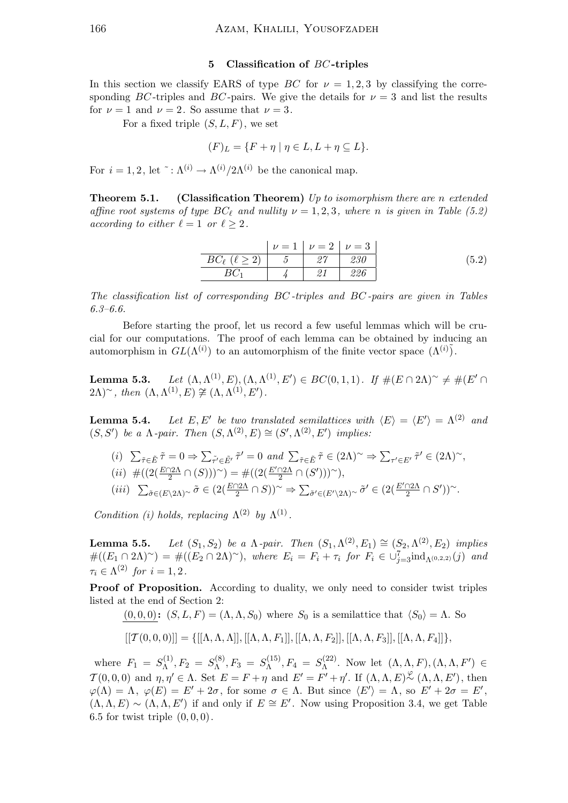#### 5 Classification of BC -triples

In this section we classify EARS of type BC for  $\nu = 1, 2, 3$  by classifying the corresponding BC-triples and BC-pairs. We give the details for  $\nu = 3$  and list the results for  $\nu = 1$  and  $\nu = 2$ . So assume that  $\nu = 3$ .

For a fixed triple  $(S, L, F)$ , we set

$$
(F)_L = \{ F + \eta \mid \eta \in L, L + \eta \subseteq L \}.
$$

For  $i = 1, 2$ , let  $\tilde{ } : \Lambda^{(i)} \to \Lambda^{(i)}/2\Lambda^{(i)}$  be the canonical map.

**Theorem 5.1.** (Classification Theorem) Up to isomorphism there are n extended affine root systems of type  $BC_\ell$  and nullity  $\nu = 1, 2, 3$ , where n is given in Table (5.2) according to either  $\ell = 1$  or  $\ell \geq 2$ .

$$
\begin{array}{c|ccccc}\n & \nu = 1 & \nu = 2 & \nu = 3 \\
\hline\nBC_{\ell} & (\ell \ge 2) & 5 & 27 & 230 \\
BC_1 & 4 & 21 & 226\n\end{array} (5.2)
$$

The classification list of corresponding BC -triples and BC -pairs are given in Tables 6.3–6.6.

Before starting the proof, let us record a few useful lemmas which will be crucial for our computations. The proof of each lemma can be obtained by inducing an automorphism in  $GL(\Lambda^{(i)})$  to an automorphism of the finite vector space  $(\Lambda^{(i)})$ .

Lemma 5.3.  $(L^{(1)}, E), (\Lambda, \Lambda^{(1)}, E') \in BC(0, 1, 1)$ . If  $\#(E \cap 2\Lambda)$ <sup>~</sup>  $\neq \#(E' \cap 2\Lambda)$  $(2\Lambda)^\sim$ , then  $(\Lambda, \Lambda^{(1)}, E) \not\cong (\Lambda, \Lambda^{(1)}, E')$ .

Lemma  $5.4$ . be two translated semilattices with  $\langle E \rangle = \langle E' \rangle = \Lambda^{(2)}$  and  $(S, S')$  be a  $\Lambda$ -pair. Then  $(S, \Lambda^{(2)}, E) \cong (S', \Lambda^{(2)}, E')$  implies:

(i) 
$$
\sum_{\tilde{\tau} \in \tilde{E}} \tilde{\tau} = 0 \Rightarrow \sum_{\tilde{\tau}' \in \tilde{E}'} \tilde{\tau}' = 0
$$
 and  $\sum_{\tilde{\tau} \in \tilde{E}} \tilde{\tau} \in (2\Lambda)^\sim \Rightarrow \sum_{\tau' \in E'} \tilde{\tau}' \in (2\Lambda)^\sim$ ,  
\n(ii)  $\#((2(\frac{E \cap 2\Lambda}{2} \cap (S)))^\sim) = \#((2(\frac{E' \cap 2\Lambda}{2} \cap (S')))^\sim),$   
\n(iii)  $\sum_{\tilde{\sigma} \in (E \setminus 2\Lambda)^\sim} \tilde{\sigma} \in (2(\frac{E \cap 2\Lambda}{2} \cap S))^\sim \Rightarrow \sum_{\tilde{\sigma}' \in (E' \setminus 2\Lambda)^\sim} \tilde{\sigma}' \in (2(\frac{E' \cap 2\Lambda}{2} \cap S'))^\sim.$ 

Condition (i) holds, replacing  $\Lambda^{(2)}$  by  $\Lambda^{(1)}$ .

**Lemma 5.5.** Let  $(S_1, S_2)$  be a  $\Lambda$ -pair. Then  $(S_1, \Lambda^{(2)}, E_1) \cong (S_2, \Lambda^{(2)}, E_2)$  implies  $\#((E_1 \cap 2\Lambda)^\sim) = \#((E_2 \cap 2\Lambda)^\sim)$ , where  $E_i = F_i + \tau_i$  for  $F_i \in \cup_{j=3}^7 \text{ind}_{\Lambda^{(0,2,2)}}(j)$  and  $\tau_i \in \Lambda^{(2)}$  for  $i = 1, 2$ .

Proof of Proposition. According to duality, we only need to consider twist triples listed at the end of Section 2:

 $(0, 0, 0)$ :  $(S, L, F) = (\Lambda, \Lambda, S_0)$  where  $S_0$  is a semilattice that  $\langle S_0 \rangle = \Lambda$ . So

$$
[[\mathcal{T}(0,0,0)]] = \{ [[\Lambda, \Lambda, \Lambda]], [[\Lambda, \Lambda, F_1]], [[\Lambda, \Lambda, F_2]], [[\Lambda, \Lambda, F_3]], [[\Lambda, \Lambda, F_4]]\},
$$

where  $F_1 = S_{\Lambda}^{(1)}$  $S_\Lambda^{(1)}, F_2~=~S_\Lambda^{(8)}$  $S_{\Lambda}^{(8)}, F_3 = S_{\Lambda}^{(15)}$  $S_\Lambda^{(15)}, F_4 = S_\Lambda^{(22)}$  $\Lambda^{(22)}$ . Now let  $(\Lambda, \Lambda, F), (\Lambda, \Lambda, F') \in$  $\mathcal{T}(0,0,0)$  and  $\eta, \eta' \in \Lambda$ . Set  $E = F + \eta$  and  $E' = F' + \eta'$ . If  $(\Lambda, \Lambda, E)$ <sup> $\mathcal{L}(\Lambda, \Lambda, E')$ , then</sup>  $\varphi(\Lambda) = \Lambda$ ,  $\varphi(E) = E' + 2\sigma$ , for some  $\sigma \in \Lambda$ . But since  $\langle E' \rangle = \Lambda$ , so  $E' + 2\sigma = E'$ ,  $(\Lambda, \Lambda, E) \sim (\Lambda, \Lambda, E')$  if and only if  $E \cong E'$ . Now using Proposition 3.4, we get Table 6.5 for twist triple  $(0, 0, 0)$ .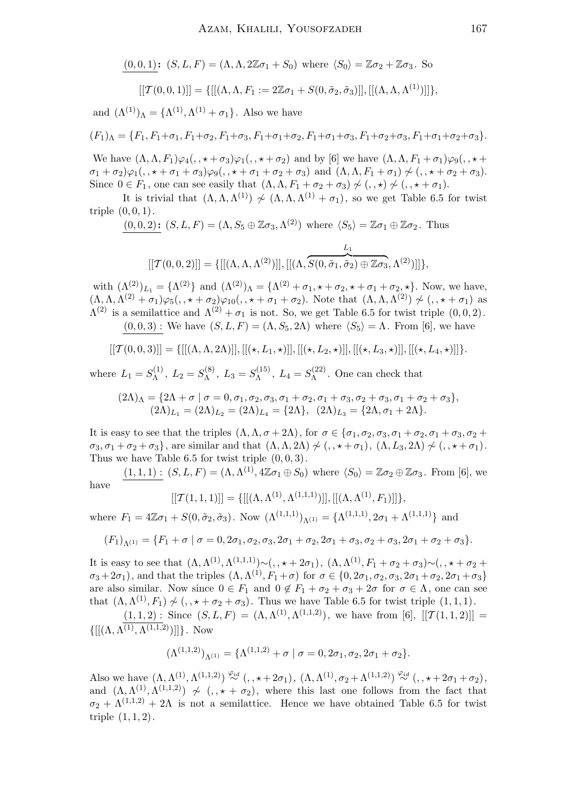$$
\frac{(0,0,1)}{[T(0,0,1)]} \quad (S, L, F) = (\Lambda, \Lambda, 2\mathbb{Z}\sigma_1 + S_0) \text{ where } \langle S_0 \rangle = \mathbb{Z}\sigma_2 + \mathbb{Z}\sigma_3. \text{ So}
$$

$$
[[T(0,0,1)]] = \{ [[(\Lambda, \Lambda, F_1 := 2\mathbb{Z}\sigma_1 + S(0, \tilde{\sigma}_2, \tilde{\sigma}_3)]], [[(\Lambda, \Lambda, \Lambda^{(1)})]] \},
$$

and  $(\Lambda^{(1)})_\Lambda = {\Lambda^{(1)}, \Lambda^{(1)} + \sigma_1}.$  Also we have

$$
(F_1)_{\Lambda} = \{F_1, F_1 + \sigma_1, F_1 + \sigma_2, F_1 + \sigma_3, F_1 + \sigma_1 + \sigma_2, F_1 + \sigma_1 + \sigma_3, F_1 + \sigma_2 + \sigma_3, F_1 + \sigma_1 + \sigma_2 + \sigma_3\}.
$$

We have  $(\Lambda, \Lambda, F_1)\varphi_4(., \star + \sigma_3)\varphi_1(., \star + \sigma_2)$  and by [6] we have  $(\Lambda, \Lambda, F_1 + \sigma_1)\varphi_9(., \star +$  $\sigma_1 + \sigma_2 \varphi_1(,, \star + \sigma_1 + \sigma_3) \varphi_9(,, \star + \sigma_1 + \sigma_2 + \sigma_3)$  and  $(\Lambda, \Lambda, F_1 + \sigma_1) \not\sim (,, \star + \sigma_2 + \sigma_3).$ Since  $0 \in F_1$ , one can see easily that  $(\Lambda, \Lambda, F_1 + \sigma_2 + \sigma_3) \not\sim (0, \star) \not\sim (0, \star + \sigma_1).$ 

It is trivial that  $(\Lambda, \Lambda, \Lambda^{(1)}) \nsim (\Lambda, \Lambda, \Lambda^{(1)} + \sigma_1)$ , so we get Table 6.5 for twist triple  $(0, 0, 1)$ .

$$
(0,0,2): (S,L,F) = (\Lambda, S_5 \oplus \mathbb{Z}\sigma_3, \Lambda^{(2)}) \text{ where } \langle S_5 \rangle = \mathbb{Z}\sigma_1 \oplus \mathbb{Z}\sigma_2. \text{ Thus}
$$

$$
[[\mathcal{T}(0,0,2)]] = \{[[(\Lambda,\Lambda,\Lambda^{(2)})]], [[(\Lambda,\overbrace{S(0,\tilde{\sigma}_1,\tilde{\sigma}_2) \oplus \mathbb{Z}\sigma_3},\Lambda^{(2)})]]\},\,
$$

with  $(\Lambda^{(2)})_{L_1} = {\Lambda^{(2)}}$  and  $(\Lambda^{(2)})_{\Lambda} = {\Lambda^{(2)} + \sigma_1, \star + \sigma_2, \star + \sigma_1 + \sigma_2, \star}$ . Now, we have,  $(\Lambda, \Lambda, \Lambda^{(2)} + \sigma_1)\varphi_5( , * + \sigma_2)\varphi_{10}( , * + \sigma_1 + \sigma_2).$  Note that  $(\Lambda, \Lambda, \Lambda^{(2)}) \not\sim ( , * + \sigma_1)$  as  $\Lambda^{(2)}$  is a semilattice and  $\Lambda^{(2)} + \sigma_1$  is not. So, we get Table 6.5 for twist triple  $(0,0,2)$ .  $(0, 0, 3)$ : We have  $(S, L, F) = (\Lambda, S_5, 2\Lambda)$  where  $\langle S_5 \rangle = \Lambda$ . From [6], we have

$$
\lbrack\lbrack\mathcal{T}(0,0,3)\rbrack\rbrack=\lbrack\lbrack\lbrack(\Lambda,\Lambda,2\Lambda)\rbrack\rbrack,\lbrack\lbrack(\star,L_1,\star)\rbrack\rbrack,\lbrack\lbrack(\star,L_2,\star)\rbrack\rbrack,\lbrack\lbrack(\star,L_3,\star)\rbrack\rbrack,\lbrack\lbrack(\star,L_4,\star)\rbrack\rbrack\rbrack.
$$

where  $L_1 = S_\Lambda^{(1)}$  $\zeta_{\Lambda}^{(1)}$ ,  $L_2 = S_{\Lambda}^{(8)}$  $L_{\Lambda}^{(8)}$ ,  $L_3 = S_{\Lambda}^{(15)}$  $\zeta_{\Lambda}^{(15)}$ ,  $L_4 = S_{\Lambda}^{(22)}$  $\Lambda^{(22)}$ . One can check that

$$
(2\Lambda)_{\Lambda} = \{2\Lambda + \sigma \mid \sigma = 0, \sigma_1, \sigma_2, \sigma_3, \sigma_1 + \sigma_2, \sigma_1 + \sigma_3, \sigma_2 + \sigma_3, \sigma_1 + \sigma_2 + \sigma_3\},\
$$

$$
(2\Lambda)_{L_1} = (2\Lambda)_{L_2} = (2\Lambda)_{L_4} = \{2\Lambda\}, \quad (2\Lambda)_{L_3} = \{2\Lambda, \sigma_1 + 2\Lambda\}.
$$

It is easy to see that the triples  $(\Lambda, \Lambda, \sigma + 2\Lambda)$ , for  $\sigma \in {\sigma_1, \sigma_2, \sigma_3, \sigma_1 + \sigma_2, \sigma_1 + \sigma_3, \sigma_2 + \sigma_3}$  $\sigma_3$ ,  $\sigma_1 + \sigma_2 + \sigma_3$ , are similar and that  $(\Lambda, \Lambda, 2\Lambda) \nsim (\Lambda, \star + \sigma_1), (\Lambda, L_3, 2\Lambda) \nsim (\Lambda, \star + \sigma_1).$ Thus we have Table 6.5 for twist triple  $(0, 0, 3)$ .

 $(1,1,1)$ :  $(S, L, F) = (\Lambda, \Lambda^{(1)}, 4\mathbb{Z}\sigma_1 \oplus S_0)$  where  $\langle S_0 \rangle = \mathbb{Z}\sigma_2 \oplus \mathbb{Z}\sigma_3$ . From [6], we have

$$
[[\mathcal{T}(1,1,1)]] = \{[[(\Lambda,\Lambda^{(1)},\Lambda^{(1,1,1)})]], [[(\Lambda,\Lambda^{(1)},F_1)]]\},
$$

where  $F_1 = 4\mathbb{Z}\sigma_1 + S(0, \tilde{\sigma}_2, \tilde{\sigma}_3)$ . Now  $(\Lambda^{(1,1,1)})_{\Lambda^{(1)}} = {\Lambda^{(1,1,1)}, 2\sigma_1 + \Lambda^{(1,1,1)}}$  and

$$
(F_1)_{\Lambda^{(1)}} = \{F_1 + \sigma \mid \sigma = 0, 2\sigma_1, \sigma_2, \sigma_3, 2\sigma_1 + \sigma_2, 2\sigma_1 + \sigma_3, \sigma_2 + \sigma_3, 2\sigma_1 + \sigma_2 + \sigma_3\}.
$$

It is easy to see that  $(\Lambda, \Lambda^{(1)}, \Lambda^{(1,1,1)}) \sim (0, \star + 2\sigma_1), (\Lambda, \Lambda^{(1)}, F_1 + \sigma_2 + \sigma_3) \sim (0, \star + \sigma_2 + \sigma_3)$  $\sigma_3+2\sigma_1$ , and that the triples  $(\Lambda, \Lambda^{(1)}, F_1+\sigma)$  for  $\sigma \in \{0, 2\sigma_1, \sigma_2, \sigma_3, 2\sigma_1+\sigma_2, 2\sigma_1+\sigma_3\}$ are also similar. Now since  $0 \in F_1$  and  $0 \notin F_1 + \sigma_2 + \sigma_3 + 2\sigma$  for  $\sigma \in \Lambda$ , one can see that  $(\Lambda, \Lambda^{(1)}, F_1) \nsim (\cdot, \star + \sigma_2 + \sigma_3)$ . Thus we have Table 6.5 for twist triple  $(1, 1, 1)$ .

 $(1,1,2)$ : Since  $(S, L, F) = (\Lambda, \Lambda^{(1)}, \Lambda^{(1,1,2)})$ , we have from [6],  $[[T(1,1,2)]]$  =  $\{[[(\Lambda, \Lambda^{(1)}, \Lambda^{(1,1,2)})]]\}$ . Now

$$
(\Lambda^{(1,1,2)})_{\Lambda^{(1)}} = {\Lambda^{(1,1,2)} + \sigma | \sigma = 0, 2\sigma_1, \sigma_2, 2\sigma_1 + \sigma_2}.
$$

Also we have  $(\Lambda, \Lambda^{(1)}, \Lambda^{(1,1,2)}) \stackrel{\varphi_{id}}{\sim} (1, \star + 2\sigma_1), (\Lambda, \Lambda^{(1)}, \sigma_2 + \Lambda^{(1,1,2)}) \stackrel{\varphi_{id}}{\sim} (1, \star + 2\sigma_1 + \sigma_2),$ and  $(\Lambda, \Lambda^{(1)}, \Lambda^{(1,1,2)}) \nsim (\cdot, \star + \sigma_2)$ , where this last one follows from the fact that  $\sigma_2 + \Lambda^{(1,1,2)} + 2\Lambda$  is not a semilattice. Hence we have obtained Table 6.5 for twist triple (1, 1, 2).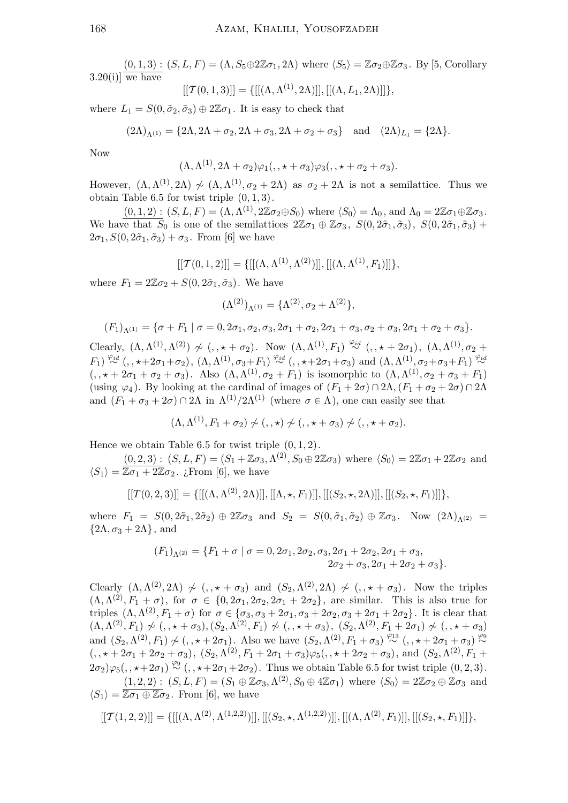$(0, 1, 3) : (S, L, F) = (\Lambda, S_5 \oplus 2\mathbb{Z}\sigma_1, 2\Lambda)$  where  $\langle S_5 \rangle = \mathbb{Z}\sigma_2 \oplus \mathbb{Z}\sigma_3$ . By [5, Corollary  $3.20(i)$ ] we have

$$
[[\mathcal{T}(0,1,3)]] = \{[[(\Lambda, \Lambda^{(1)}, 2\Lambda)]], [[(\Lambda, L_1, 2\Lambda)]]\},\]
$$

where  $L_1 = S(0, \tilde{\sigma}_2, \tilde{\sigma}_3) \oplus 2\mathbb{Z}\sigma_1$ . It is easy to check that

$$
(2\Lambda)_{\Lambda^{(1)}} = \{2\Lambda, 2\Lambda + \sigma_2, 2\Lambda + \sigma_3, 2\Lambda + \sigma_2 + \sigma_3\} \text{ and } (2\Lambda)_{L_1} = \{2\Lambda\}.
$$

Now

$$
(\Lambda, \Lambda^{(1)}, 2\Lambda + \sigma_2)\varphi_1(,, \star + \sigma_3)\varphi_3(,, \star + \sigma_2 + \sigma_3).
$$

However,  $(\Lambda, \Lambda^{(1)}, 2\Lambda) \nsim (\Lambda, \Lambda^{(1)}, \sigma_2 + 2\Lambda)$  as  $\sigma_2 + 2\Lambda$  is not a semilattice. Thus we obtain Table 6.5 for twist triple  $(0, 1, 3)$ .

 $(0,1,2) : (S, L, F) = (\Lambda, \Lambda^{(1)}, 2\mathbb{Z}\sigma_2 \oplus S_0)$  where  $\langle S_0 \rangle = \Lambda_0$ , and  $\Lambda_0 = 2\mathbb{Z}\sigma_1 \oplus \mathbb{Z}\sigma_3$ . We have that  $\overline{S_0}$  is one of the semilattices  $2\mathbb{Z}\sigma_1 \oplus \mathbb{Z}\sigma_3$ ,  $S(0, 2\tilde{\sigma}_1, \tilde{\sigma}_3)$ ,  $S(0, 2\tilde{\sigma}_1, \tilde{\sigma}_3)$  +  $2\sigma_1$ ,  $S(0, 2\tilde{\sigma}_1, \tilde{\sigma}_3) + \sigma_3$ . From [6] we have

$$
[[\mathcal{T}(0,1,2)]] = \{[[(\Lambda, \Lambda^{(1)}, \Lambda^{(2)})]], [[(\Lambda, \Lambda^{(1)}, F_1)]]\},\]
$$

where  $F_1 = 2\mathbb{Z}\sigma_2 + S(0, 2\tilde{\sigma}_1, \tilde{\sigma}_3)$ . We have

$$
(\Lambda^{(2)})_{\Lambda^{(1)}} = \{\Lambda^{(2)}, \sigma_2 + \Lambda^{(2)}\},\,
$$

$$
(F_1)_{\Lambda^{(1)}} = \{\sigma + F_1 \mid \sigma = 0, 2\sigma_1, \sigma_2, \sigma_3, 2\sigma_1 + \sigma_2, 2\sigma_1 + \sigma_3, \sigma_2 + \sigma_3, 2\sigma_1 + \sigma_2 + \sigma_3\}.
$$

Clearly,  $(\Lambda, \Lambda^{(1)}, \Lambda^{(2)}) \nsim (\cdot, \star + \sigma_2)$ . Now  $(\Lambda, \Lambda^{(1)}, F_1) \stackrel{\varphi_{id}}{\sim} (\cdot, \star + 2\sigma_1)$ ,  $(\Lambda, \Lambda^{(1)}, \sigma_2 +$  $(F_1) \stackrel{\varphi_{id}}{\sim} (1, \star + 2\sigma_1 + \sigma_2), (\Lambda, \Lambda^{(1)}, \sigma_3 + F_1) \stackrel{\varphi_{id}}{\sim} (1, \star + 2\sigma_1 + \sigma_3)$  and  $(\Lambda, \Lambda^{(1)}, \sigma_2 + \sigma_3 + F_1) \stackrel{\varphi_{id}}{\sim}$  $(0, \star + 2\sigma_1 + \sigma_2 + \sigma_3)$ . Also  $(\Lambda, \Lambda^{(1)}, \sigma_2 + F_1)$  is isomorphic to  $(\Lambda, \Lambda^{(1)}, \sigma_2 + \sigma_3 + F_1)$ (using  $\varphi_4$ ). By looking at the cardinal of images of  $(F_1 + 2\sigma) \cap 2\Lambda$ ,  $(F_1 + \sigma_2 + 2\sigma) \cap 2\Lambda$ and  $(F_1 + \sigma_3 + 2\sigma) \cap 2\Lambda$  in  $\Lambda^{(1)}/2\Lambda^{(1)}$  (where  $\sigma \in \Lambda$ ), one can easily see that

$$
(\Lambda, \Lambda^{(1)}, F_1 + \sigma_2) \not\sim (t, \star) \not\sim (t, \star + \sigma_3) \not\sim (t, \star + \sigma_2).
$$

Hence we obtain Table 6.5 for twist triple  $(0, 1, 2)$ .

 $(0, 2, 3) : (S, L, F) = (S_1 + \mathbb{Z}\sigma_3, \Lambda^{(2)}, S_0 \oplus 2\mathbb{Z}\sigma_3)$  where  $\langle S_0 \rangle = 2\mathbb{Z}\sigma_1 + 2\mathbb{Z}\sigma_2$  and  $\langle S_1 \rangle = \overline{\mathbb{Z}\sigma_1 + 2\mathbb{Z}\sigma_2}$ . *i*. From [6], we have

$$
[[T(0,2,3)]] = \{[[(\Lambda, \Lambda^{(2)}, 2\Lambda)]], [[\Lambda, \star, F_1)]], [[(S_2, \star, 2\Lambda)]], [[(S_2, \star, F_1)]]\},\]
$$

where  $F_1 = S(0, 2\tilde{\sigma}_1, 2\tilde{\sigma}_2) \oplus 2\mathbb{Z}\sigma_3$  and  $S_2 = S(0, \tilde{\sigma}_1, \tilde{\sigma}_2) \oplus \mathbb{Z}\sigma_3$ . Now  $(2\Lambda)_{\Lambda(2)} =$  $\{2\Lambda, \sigma_3 + 2\Lambda\}$ , and

$$
(F_1)_{\Lambda^{(2)}} = \{F_1 + \sigma \mid \sigma = 0, 2\sigma_1, 2\sigma_2, \sigma_3, 2\sigma_1 + 2\sigma_2, 2\sigma_1 + \sigma_3, 2\sigma_2 + \sigma_3, 2\sigma_1 + 2\sigma_2 + \sigma_3\}.
$$

Clearly  $(\Lambda, \Lambda^{(2)}, 2\Lambda) \nsim (\Lambda, \star + \sigma_3)$  and  $(S_2, \Lambda^{(2)}, 2\Lambda) \nsim (\Lambda, \star + \sigma_3)$ . Now the triples  $(\Lambda, \Lambda^{(2)}, F_1 + \sigma)$ , for  $\sigma \in \{0, 2\sigma_1, 2\sigma_2, 2\sigma_1 + 2\sigma_2\}$ , are similar. This is also true for triples  $(\Lambda, \Lambda^{(2)}, F_1 + \sigma)$  for  $\sigma \in {\sigma_3, \sigma_3 + 2\sigma_1, \sigma_3 + 2\sigma_2, \sigma_3 + 2\sigma_1 + 2\sigma_2}.$  It is clear that  $(\Lambda, \Lambda^{(2)}, F_1) \nsim (\cdot, \star + \sigma_3), (S_2, \Lambda^{(2)}, F_1) \nsim (\cdot, \star + \sigma_3), (S_2, \Lambda^{(2)}, F_1 + 2\sigma_1) \nsim (\cdot, \star + \sigma_3)$ and  $(S_2, \Lambda^{(2)}, F_1) \nsim (\ldots + 2\sigma_1)$ . Also we have  $(S_2, \Lambda^{(2)}, F_1 + \sigma_3) \stackrel{\varphi_{13}}{\sim} (\ldots + 2\sigma_1 + \sigma_3) \stackrel{\varphi_{9}}{\sim}$  $(0, \star + 2\sigma_1 + 2\sigma_2 + \sigma_3), (S_2, \Lambda^{(2)}, F_1 + 2\sigma_1 + \sigma_3)\varphi_5(0, \star + 2\sigma_2 + \sigma_3), \text{ and } (S_2, \Lambda^{(2)}, F_1 + 2\sigma_3 + \sigma_3)\varphi_5(0, \star + 2\sigma_2 + \sigma_3)$  $(2\sigma_2)\varphi_5(,,\star+2\sigma_1) \stackrel{\varphi_9}{\sim} (,,\star+2\sigma_1+2\sigma_2)$ . Thus we obtain Table 6.5 for twist triple  $(0,2,3)$ .  $(1, 2, 2)$ :  $(S, L, F) = (S_1 \oplus \mathbb{Z} \sigma_3, \Lambda^{(2)}, S_0 \oplus 4\mathbb{Z} \sigma_1)$  where  $\langle S_0 \rangle = 2\mathbb{Z} \sigma_2 \oplus \mathbb{Z} \sigma_3$  and  $\langle S_1 \rangle = \overline{\mathbb{Z} \sigma_1 \oplus \mathbb{Z} \sigma_2}$ . From [6], we have

$$
[[\mathcal{T}(1,2,2)]] = \{[[(\Lambda,\Lambda^{(2)},\Lambda^{(1,2,2)})]], [[(S_2,\star,\Lambda^{(1,2,2)})]], [[(\Lambda,\Lambda^{(2)},F_1)]], [[(S_2,\star,F_1)]]\},
$$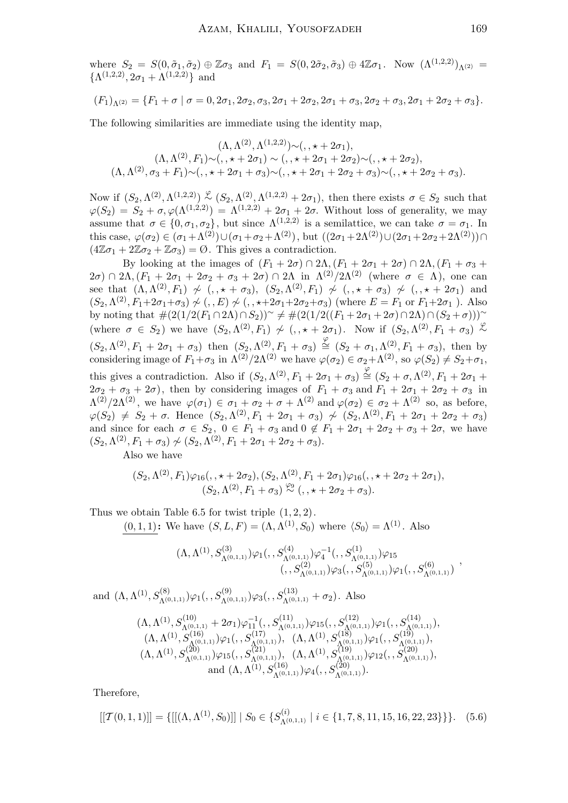where  $S_2 = S(0, \tilde{\sigma}_1, \tilde{\sigma}_2) \oplus \mathbb{Z}\sigma_3$  and  $F_1 = S(0, 2\tilde{\sigma}_2, \tilde{\sigma}_3) \oplus 4\mathbb{Z}\sigma_1$ . Now  $(\Lambda^{(1,2,2)})_{\Lambda^{(2)}} =$  $\{\Lambda^{(1,2,2)},2\sigma_1+\Lambda^{(1,2,2)}\}\$ and

$$
(F_1)_{\Lambda^{(2)}} = \{F_1 + \sigma \mid \sigma = 0, 2\sigma_1, 2\sigma_2, \sigma_3, 2\sigma_1 + 2\sigma_2, 2\sigma_1 + \sigma_3, 2\sigma_2 + \sigma_3, 2\sigma_1 + 2\sigma_2 + \sigma_3\}.
$$

The following similarities are immediate using the identity map,

$$
(\Lambda, \Lambda^{(2)}, \Lambda^{(1,2,2)}) \sim (0, \star + 2\sigma_1),
$$
  
\n
$$
(\Lambda, \Lambda^{(2)}, F_1) \sim (0, \star + 2\sigma_1) \sim (0, \star + 2\sigma_1 + 2\sigma_2) \sim (0, \star + 2\sigma_2),
$$
  
\n
$$
(\Lambda, \Lambda^{(2)}, \sigma_3 + F_1) \sim (0, \star + 2\sigma_1 + \sigma_3) \sim (0, \star + 2\sigma_1 + 2\sigma_2 + \sigma_3) \sim (0, \star + 2\sigma_2 + \sigma_3).
$$

Now if  $(S_2, \Lambda^{(2)}, \Lambda^{(1,2,2)}) \stackrel{\varphi}{\sim} (S_2, \Lambda^{(2)}, \Lambda^{(1,2,2)} + 2\sigma_1)$ , then there exists  $\sigma \in S_2$  such that  $\varphi(S_2) = S_2 + \sigma, \varphi(\Lambda^{(1,2,2)}) = \Lambda^{(1,2,2)} + 2\sigma_1 + 2\sigma$ . Without loss of generality, we may assume that  $\sigma \in \{0, \sigma_1, \sigma_2\}$ , but since  $\Lambda^{(1,2,2)}$  is a semilattice, we can take  $\sigma = \sigma_1$ . In this case,  $\varphi(\sigma_2) \in (\sigma_1 + \Lambda^{(2)}) \cup (\sigma_1 + \sigma_2 + \Lambda^{(2)})$ , but  $((2\sigma_1 + 2\Lambda^{(2)}) \cup (2\sigma_1 + 2\sigma_2 + 2\Lambda^{(2)})) \cap$  $(4\mathbb{Z}\sigma_1 + 2\mathbb{Z}\sigma_2 + \mathbb{Z}\sigma_3) = \emptyset$ . This gives a contradiction.

By looking at the images of  $(F_1 + 2\sigma) \cap 2\Lambda$ ,  $(F_1 + 2\sigma_1 + 2\sigma) \cap 2\Lambda$ ,  $(F_1 + \sigma_3 +$  $2\sigma$ ) ∩ 2Λ,  $(F_1 + 2\sigma_1 + 2\sigma_2 + \sigma_3 + 2\sigma)$  ∩ 2Λ in  $\Lambda^{(2)}/2\Lambda^{(2)}$  (where  $\sigma \in \Lambda$ ), one can see that  $(\Lambda, \Lambda^{(2)}, F_1) \nsim (\Lambda, \star + \sigma_3), (S_2, \Lambda^{(2)}, F_1) \nsim (\Lambda, \star + \sigma_3) \nsim (\Lambda, \star + 2\sigma_1)$  and  $(S_2, \Lambda^{(2)}, F_1 + 2\sigma_1 + \sigma_3) \nsim (S_2, \Lambda^{(2)}, F_1 + 2\sigma_1 + \sigma_3) \nsim (S_2, \Lambda^{(2)}, F_1 + 2\sigma_1 + \sigma_3)$ by noting that  $\#(2(1/2(F_1 \cap 2\Lambda) \cap S_2))^{\sim} \neq \#(2(1/2((F_1 + 2\sigma_1 + 2\sigma) \cap 2\Lambda) \cap (S_2 + \sigma)))^{\sim}$ (where  $\sigma \in S_2$ ) we have  $(S_2, \Lambda^{(2)}, F_1) \nsim (\sigma, \star + 2\sigma_1)$ . Now if  $(S_2, \Lambda^{(2)}, F_1 + \sigma_3) \nless \sim$  $(S_2, \Lambda^{(2)}, F_1 + 2\sigma_1 + \sigma_3)$  then  $(S_2, \Lambda^{(2)}, F_1 + \sigma_3) \stackrel{\varphi}{\cong} (S_2 + \sigma_1, \Lambda^{(2)}, F_1 + \sigma_3)$ , then by considering image of  $F_1+\sigma_3$  in  $\Lambda^{(2)}/2\Lambda^{(2)}$  we have  $\varphi(\sigma_2) \in \sigma_2 + \Lambda^{(2)}$ , so  $\varphi(S_2) \neq S_2+\sigma_1$ , this gives a contradiction. Also if  $(S_2, \Lambda^{(2)}, F_1 + 2\sigma_1 + \sigma_3) \stackrel{\varphi}{\cong} (S_2 + \sigma, \Lambda^{(2)}, F_1 + 2\sigma_1 +$  $2\sigma_2 + \sigma_3 + 2\sigma$ , then by considering images of  $F_1 + \sigma_3$  and  $F_1 + 2\sigma_1 + 2\sigma_2 + \sigma_3$  in  $\Lambda^{(2)}/2\Lambda^{(2)}$ , we have  $\varphi(\sigma_1) \in \sigma_1 + \sigma_2 + \sigma + \Lambda^{(2)}$  and  $\varphi(\sigma_2) \in \sigma_2 + \Lambda^{(2)}$  so, as before,  $\varphi(S_2) \neq S_2 + \sigma$ . Hence  $(S_2, \Lambda^{(2)}, F_1 + 2\sigma_1 + \sigma_3) \nsim (S_2, \Lambda^{(2)}, F_1 + 2\sigma_1 + 2\sigma_2 + \sigma_3)$ and since for each  $\sigma \in S_2$ ,  $0 \in F_1 + \sigma_3$  and  $0 \notin F_1 + 2\sigma_1 + 2\sigma_2 + \sigma_3 + 2\sigma$ , we have  $(S_2, \Lambda^{(2)}, F_1 + \sigma_3) \nsim (S_2, \Lambda^{(2)}, F_1 + 2\sigma_1 + 2\sigma_2 + \sigma_3).$ 

Also we have

$$
(S_2, \Lambda^{(2)}, F_1)\varphi_{16}(, \star+2\sigma_2), (S_2, \Lambda^{(2)}, F_1+2\sigma_1)\varphi_{16}(, \star+2\sigma_2+2\sigma_1),
$$
  
 $(S_2, \Lambda^{(2)}, F_1+\sigma_3) \overset{\varphi_9}{\sim} (, \star+2\sigma_2+\sigma_3).$ 

Thus we obtain Table 6.5 for twist triple  $(1, 2, 2)$ .

 $(0, 1, 1)$ : We have  $(S, L, F) = (\Lambda, \Lambda^{(1)}, S_0)$  where  $\langle S_0 \rangle = \Lambda^{(1)}$ . Also

$$
(\Lambda, \Lambda^{(1)}, S^{(3)}_{\Lambda^{(0,1,1)}})\varphi_1(, S^{(4)}_{\Lambda^{(0,1,1)}})\varphi_4^{-1}(, S^{(1)}_{\Lambda^{(0,1,1)}})\varphi_{15} (, S^{(2)}_{\Lambda^{(0,1,1)}})\varphi_3(, S^{(5)}_{\Lambda^{(0,1,1)}})\varphi_1(, S^{(6)}_{\Lambda^{(0,1,1)}})
$$

and  $(\Lambda, \Lambda^{(1)}, S^{(8)}_{\Lambda^{(0,1,1)}}) \varphi_1(, S^{(9)}_{\Lambda^{(0,1,1)}}) \varphi_3(, S^{(13)}_{\Lambda^{(0,1,1)}} + \sigma_2)$ . Also

$$
(\Lambda, \Lambda^{(1)}, S_{\Lambda^{(0,1,1)}}^{(10)} + 2\sigma_1)\varphi_{11}^{-1}(., S_{\Lambda^{(0,1,1)}}^{(11)})\varphi_{15}(., S_{\Lambda^{(0,1,1)}}^{(12)})\varphi_{1}(., S_{\Lambda^{(0,1,1)}}^{(14)}),(\Lambda, \Lambda^{(1)}, S_{\Lambda^{(0,1,1)}}^{(16)})\varphi_{1}(., S_{\Lambda^{(0,1,1)}}^{(17)}) , \quad (\Lambda, \Lambda^{(1)}, S_{\Lambda^{(0,1,1)}}^{(18)})\varphi_{1}(., S_{\Lambda^{(0,1,1)}}^{(19)}),(\Lambda, \Lambda^{(1)}, S_{\Lambda^{(0,1,1)}}^{(20)})\varphi_{15}(., S_{\Lambda^{(0,1,1)}}^{(21)}), \quad (\Lambda, \Lambda^{(1)}, S_{\Lambda^{(0,1,1)}}^{(19)})\varphi_{12}(., S_{\Lambda^{(0,1,1)}}^{(20)}),and (\Lambda, \Lambda^{(1)}, S_{\Lambda^{(0,1,1)}}^{(16)})\varphi_{4}(., S_{\Lambda^{(0,1,1)}}^{(20)}).
$$

Therefore,

$$
[[\mathcal{T}(0,1,1)]] = \{ [[(\Lambda, \Lambda^{(1)}, S_0)]] \mid S_0 \in \{S_{\Lambda^{(0,1,1)}}^{(i)} \mid i \in \{1, 7, 8, 11, 15, 16, 22, 23\} \} \}.
$$
(5.6)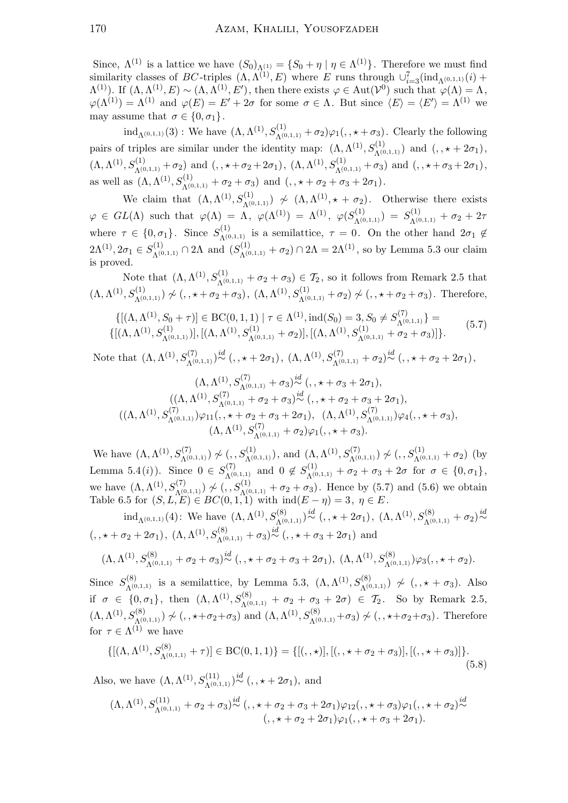Since,  $\Lambda^{(1)}$  is a lattice we have  $(S_0)_{\Lambda^{(1)}} = \{S_0 + \eta \mid \eta \in \Lambda^{(1)}\}\.$  Therefore we must find similarity classes of BC-triples  $(\Lambda, \Lambda^{(1)}, E)$  where E runs through  $\cup_{i=3}^{7}(\text{ind}_{\Lambda^{(0,1,1)}}(i)$  +  $\Lambda^{(1)}$ ). If  $(\Lambda, \Lambda^{(1)}, E) \sim (\Lambda, \Lambda^{(1)}, E')$ , then there exists  $\varphi \in \text{Aut}(\mathcal{V}^0)$  such that  $\varphi(\Lambda) = \Lambda$ ,  $\varphi(\Lambda^{(1)}) = \Lambda^{(1)}$  and  $\varphi(E) = E' + 2\sigma$  for some  $\sigma \in \Lambda$ . But since  $\langle E \rangle = \langle E' \rangle = \Lambda^{(1)}$  we may assume that  $\sigma \in \{0, \sigma_1\}.$ 

 $\text{ind}_{\Lambda^{(0,1,1)}}(3)$ : We have  $(\Lambda, \Lambda^{(1)}, S^{(1)}_{\Lambda^{(0,1,1)}} + \sigma_2) \varphi_1(0, \star + \sigma_3)$ . Clearly the following pairs of triples are similar under the identity map:  $(\Lambda, \Lambda^{(1)}, S_{\Lambda^{(0,1,1)}}^{(1)})$  and  $(0, \star + 2\sigma_1)$ ,  $(\Lambda, \Lambda^{(1)}, S_{\Lambda^{(0,1,1)}}^{(1)} + \sigma_2)$  and  $(0, \star + \sigma_2 + 2\sigma_1), (\Lambda, \Lambda^{(1)}, S_{\Lambda^{(0,1,1)}}^{(1)} + \sigma_3)$  and  $(0, \star + \sigma_3 + 2\sigma_1),$ as well as  $(\Lambda, \Lambda^{(1)}, S_{\Lambda^{(0,1,1)}}^{(1)} + \sigma_2 + \sigma_3)$  and  $( , , * + \sigma_2 + \sigma_3 + 2\sigma_1).$ 

We claim that  $(\Lambda, \Lambda^{(1)}, S_{\Lambda^{(0,1,1)}}^{(1)}) \nsim (\Lambda, \Lambda^{(1)}, \star + \sigma_2)$ . Otherwise there exists  $\varphi\,\in\, GL(\Lambda)\, \, \,{\rm such}\, \, \, \tanh\,\,\,\varphi(\Lambda)\,=\,\Lambda\,,\,\,\,\varphi(\Lambda^{(1)})\,=\,\Lambda^{(1)}\,,\,\,\,\varphi(S_{\Lambda^{(0,1,1)}}^{(1)})\,=\,S_{\Lambda^{(0,1,1)}}^{(1)}\,+\,\sigma_2\,+\,2\pi$ where  $\tau \in \{0, \sigma_1\}$ . Since  $S_{\Lambda^{(0,1,1)}}^{(1)}$  is a semilattice,  $\tau = 0$ . On the other hand  $2\sigma_1 \notin$  $2\Lambda^{(1)}, 2\sigma_1 \in S_{\Lambda^{(0,1,1)}}^{(1)} \cap 2\Lambda \text{ and } (S_{\Lambda^{(0,1,1)}}^{(1)} + \sigma_2) \cap 2\Lambda = 2\Lambda^{(1)}, \text{ so by Lemma 5.3 our claim}$ is proved.

Note that  $(\Lambda, \Lambda^{(1)}, S_{\Lambda^{(0,1,1)}}^{(1)} + \sigma_2 + \sigma_3) \in \mathcal{T}_2$ , so it follows from Remark 2.5 that  $(\Lambda, \Lambda^{(1)}, S_{\Lambda^{(0,1,1)}}^{(1)}) \nsim (\ldots + \sigma_2 + \sigma_3), (\Lambda, \Lambda^{(1)}, S_{\Lambda^{(0,1,1)}}^{(1)} + \sigma_2) \nsim (\ldots + \sigma_2 + \sigma_3).$  Therefore,

$$
\{[(\Lambda, \Lambda^{(1)}, S_0 + \tau)] \in BC(0, 1, 1) \mid \tau \in \Lambda^{(1)}, \text{ind}(S_0) = 3, S_0 \neq S_{\Lambda^{(0,1,1)}}^{(7)}\} = \{[(\Lambda, \Lambda^{(1)}, S_{\Lambda^{(0,1,1)}}^{(1)})], [(\Lambda, \Lambda^{(1)}, S_{\Lambda^{(0,1,1)}}^{(1)} + \sigma_2)], [(\Lambda, \Lambda^{(1)}, S_{\Lambda^{(0,1,1)}}^{(1)} + \sigma_2 + \sigma_3)]\}.
$$
\n(5.7)

Note that (Λ,Λ (1), S(7) <sup>Λ</sup>(0,1,1) ) id<sup>∼</sup> (, , ? + 2σ1), (Λ,<sup>Λ</sup> (1), S(7) <sup>Λ</sup>(0,1,1) + σ2) id<sup>∼</sup> (, , ? <sup>+</sup> <sup>σ</sup><sup>2</sup> + 2σ1),

$$
(\Lambda, \Lambda^{(1)}, S_{\Lambda^{(0,1,1)}}^{(7)} + \sigma_3) \stackrel{id}{\sim} (, \star + \sigma_3 + 2\sigma_1),
$$
  

$$
((\Lambda, \Lambda^{(1)}, S_{\Lambda^{(0,1,1)}}^{(7)} + \sigma_2 + \sigma_3) \stackrel{id}{\sim} (, \star + \sigma_2 + \sigma_3 + 2\sigma_1),
$$
  

$$
((\Lambda, \Lambda^{(1)}, S_{\Lambda^{(0,1,1)}}^{(7)}) \varphi_{11}(, \star + \sigma_2 + \sigma_3 + 2\sigma_1), (\Lambda, \Lambda^{(1)}, S_{\Lambda^{(0,1,1)}}^{(7)}) \varphi_4(, \star + \sigma_3),
$$
  

$$
(\Lambda, \Lambda^{(1)}, S_{\Lambda^{(0,1,1)}}^{(7)} + \sigma_2) \varphi_1(, \star + \sigma_3).
$$

We have  $(\Lambda, \Lambda^{(1)}, S_{\Lambda^{(0,1,1)}}^{(7)}) \nsim (\ldots, S_{\Lambda^{(0,1,1)}}^{(1)})$ , and  $(\Lambda, \Lambda^{(1)}, S_{\Lambda^{(0,1,1)}}^{(7)}) \nsim (\ldots, S_{\Lambda^{(0,1,1)}}^{(1)} + \sigma_2)$  (by Lemma 5.4(*i*)). Since  $0 \in S_{\Lambda^{(0,1,1)}}^{(7)}$  and  $0 \notin S_{\Lambda^{(0,1,1)}}^{(1)} + \sigma_2 + \sigma_3 + 2\sigma$  for  $\sigma \in \{0,\sigma_1\}$ , we have  $(\Lambda, \Lambda^{(1)}, S_{\Lambda^{(0,1,1)}}^{(7)}) \nsim (\ldotp, S_{\Lambda^{(0,1,1)}}^{(1)}) + \sigma_2 + \sigma_3)$ . Hence by (5.7) and (5.6) we obtain Table 6.5 for  $(S, L, E) \in BC(0, 1, 1)$  with  $\text{ind}(E - \eta) = 3, \eta \in E$ .

 $\mathrm{ind}_{\Lambda^{(0,1,1)}}(4)$ : We have  $(\Lambda, \Lambda^{(1)}, S^{(8)}_{\Lambda^{(0,1,1)}}) \stackrel{id}{\sim} (0, 0, 0, 0, 0)$ ,  $(\Lambda, \Lambda^{(1)}, S^{(8)}_{\Lambda^{(0,1,1)}} + \sigma_2) \stackrel{id}{\sim}$  $(0, \star + \sigma_2 + 2\sigma_1), (\Lambda, \Lambda^{(1)}, S^{(8)}_{\Lambda^{(0,1,1)}} + \sigma_3)^{id}$   $(0, \star + \sigma_3 + 2\sigma_1)$  and

$$
(\Lambda, \Lambda^{(1)}, S_{\Lambda^{(0,1,1)}}^{(8)} + \sigma_2 + \sigma_3)^{id}_{\sim} (t, \star + \sigma_2 + \sigma_3 + 2\sigma_1), (\Lambda, \Lambda^{(1)}, S_{\Lambda^{(0,1,1)}}^{(8)})\varphi_3(t, \star + \sigma_2).
$$

Since  $S_{\Lambda^{(0,1,1)}}^{(8)}$  is a semilattice, by Lemma 5.3,  $(\Lambda, \Lambda^{(1)}, S_{\Lambda^{(0,1,1)}}^{(8)}) \nsim (\cdot, \star + \sigma_3)$ . Also if  $\sigma \in \{0, \sigma_1\}$ , then  $(\Lambda, \Lambda^{(1)}, S^{(8)}_{\Lambda^{(0,1,1)}} + \sigma_2 + \sigma_3 + 2\sigma) \in \mathcal{T}_2$ . So by Remark 2.5,  $(\Lambda, \Lambda^{(1)}, S_{\Lambda^{(0,1,1)}}^{(8)}) \not\sim (1, \star + \sigma_2 + \sigma_3)$  and  $(\Lambda, \Lambda^{(1)}, S_{\Lambda^{(0,1,1)}}^{(8)} + \sigma_3) \not\sim (1, \star + \sigma_2 + \sigma_3)$ . Therefore for  $\tau \in \Lambda^{(1)}$  we have

$$
\{[(\Lambda, \Lambda^{(1)}, S_{\Lambda^{(0,1,1)}}^{(8)} + \tau)] \in BC(0,1,1)\} = \{[(, \star)], [(\cdot, \star + \sigma_2 + \sigma_3)], [(\cdot, \star + \sigma_3)]\}.
$$
\n(5.8)

Also, we have  $(\Lambda, \Lambda^{(1)}, S_{\Lambda^{(0,1,1)}}^{(11)}) \stackrel{id}{\sim} (0, + + 2\sigma_1)$ , and

$$
(\Lambda, \Lambda^{(1)}, S_{\Lambda^{(0,1,1)}}^{(11)} + \sigma_2 + \sigma_3)^{id} (t, t + \sigma_2 + \sigma_3 + 2\sigma_1)\varphi_{12}(t, t + \sigma_3)\varphi_1(t, t + \sigma_2)^{id} (t, t + \sigma_2 + 2\sigma_1)\varphi_1(t, t + \sigma_3 + 2\sigma_1).
$$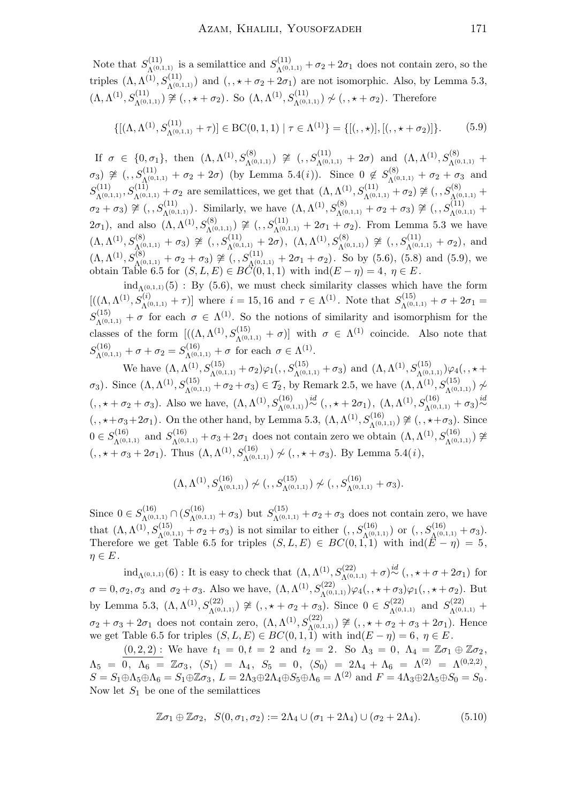Note that  $S_{\Lambda^{(0,1,1)}}^{(11)}$  is a semilattice and  $S_{\Lambda^{(0,1,1)}}^{(11)} + \sigma_2 + 2\sigma_1$  does not contain zero, so the triples  $(\Lambda, \Lambda^{(1)}, S_{\Lambda^{(0,1,1)}}^{(11)})$  and  $(0, \star + \sigma_2 + 2\sigma_1)$  are not isomorphic. Also, by Lemma 5.3,  $(\Lambda, \Lambda^{(1)}, S_{\Lambda^{(0,1,1)}}^{(11)}) \ncong (1, \star + \sigma_2)$ . So  $(\Lambda, \Lambda^{(1)}, S_{\Lambda^{(0,1,1)}}^{(11)}) \ncong (1, \star + \sigma_2)$ . Therefore

$$
\{[(\Lambda, \Lambda^{(1)}, S_{\Lambda^{(0,1,1)}}^{(11)} + \tau)] \in \mathrm{BC}(0,1,1) \mid \tau \in \Lambda^{(1)}\} = \{[(\cdot, \star)], [(\cdot, \star + \sigma_2)]\}.
$$
 (5.9)

 $\text{If } \sigma \in \{0, \sigma_1\}, \text{ then } (\Lambda, \Lambda^{(1)}, S^{(8)}_{\Lambda^{(0,1,1)}}) \ncong (, S^{(11)}_{\Lambda^{(0,1,1)}} + 2\sigma) \text{ and } (\Lambda, \Lambda^{(1)}, S^{(8)}_{\Lambda^{(0,1,1)}} + 2\sigma)$  $\sigma_3$ )  $\cong$  (,  $S_{\Lambda^{(0,1,1)}}^{(11)} + \sigma_2 + 2\sigma$ ) (by Lemma 5.4(*i*)). Since 0  $\notin S_{\Lambda^{(0,1,1)}}^{(8)} + \sigma_2 + \sigma_3$  and  $S_{\Lambda^{(0,1,1)}}^{(11)}, S_{\Lambda^{(0,1,1)}}^{(11)} + \sigma_2$  are semilattices, we get that  $(\Lambda, \Lambda^{(1)}, S_{\Lambda^{(0,1,1)}}^{(11)} + \sigma_2) \ncong (0, 0, 0, 0, 1, 1)$  $\sigma_2 + \sigma_3 \approx (\rho, S_{\Lambda^{(0,1,1)}}^{(11)})$ . Similarly, we have  $(\Lambda, \Lambda^{(1)}, S_{\Lambda^{(0,1,1)}}^{(8)} + \sigma_2 + \sigma_3) \ncong (\rho, S_{\Lambda^{(0,1,1)}}^{(11)} +$  $(2\sigma_1)$ , and also  $(Λ, Λ<sup>(1)</sup>, S<sup>(8)</sup><sub>Λ<sup>(0,1,1)</sup></sub>)$   $\cong$   $(, S<sup>(11)</sup><sub>Λ<sup>(0,1,1)</sup> + 2σ<sub>1</sub> + σ<sub>2</sub>)</sub>$ . From Lemma 5.3 we have  $(\Lambda, \Lambda^{(1)}, S_{\Lambda^{(0,1,1)}}^{(8)} + \sigma_3) \ncong (, S_{\Lambda^{(0,1,1)}}^{(11)} + 2\sigma), \; (\Lambda, \Lambda^{(1)}, S_{\Lambda^{(0,1,1)}}^{(8)}) \ncong (, S_{\Lambda^{(0,1,1)}}^{(11)} + \sigma_2), \text{ and}$  $(\Lambda, \Lambda^{(1)}, S_{\Lambda^{(0,1,1)}}^{(8)} + \sigma_2 + \sigma_3) \ncong (, S_{\Lambda^{(0,1,1)}}^{(11)} + 2\sigma_1 + \sigma_2)$ . So by (5.6), (5.8) and (5.9), we obtain Table 6.5 for  $(S, L, E) \in BC(0, 1, 1)$  with  $\text{ind}(E - \eta) = 4, \eta \in E$ .

 $ind_{\Lambda(0,1,1)}(5)$ : By (5.6), we must check similarity classes which have the form  $[((\Lambda, \Lambda^{(1)}, S_{\Lambda^{(0,1,1)}}^{(i)} + \tau)]$  where  $i = 15, 16$  and  $\tau \in \Lambda^{(1)}$ . Note that  $S_{\Lambda^{(0,1,1)}}^{(15)} + \sigma + 2\sigma_1 =$  $S_{\Lambda^{(0,1,1)}}^{(15)} + \sigma$  for each  $\sigma \in \Lambda^{(1)}$ . So the notions of similarity and isomorphism for the classes of the form  $[((\Lambda, \Lambda^{(1)}, S_{\Lambda^{(0,1,1)}}^{(15)} + \sigma)]$  with  $\sigma \in \Lambda^{(1)}$  coincide. Also note that  $S_{\Lambda^{(0,1,1)}}^{(16)} + \sigma + \sigma_2 = S_{\Lambda^{(0,1,1)}}^{(16)} + \sigma$  for each  $\sigma \in \Lambda^{(1)}$ .

We have  $(\Lambda, \Lambda^{(1)}, S_{\Lambda^{(0,1,1)}}^{(15)} + \sigma_2) \varphi_1(, S_{\Lambda^{(0,1,1)}}^{(15)} + \sigma_3)$  and  $(\Lambda, \Lambda^{(1)}, S_{\Lambda^{(0,1,1)}}^{(15)}) \varphi_4(, \star +$  $(σ<sub>3</sub>)$ . Since  $(Λ, Λ<sup>(15)</sup>, S<sub>Λ<sub>(0,1,1)</sub><sup>(15)</sup> + σ<sub>2</sub> + σ<sub>3</sub>) ∈ T<sub>2</sub></sub>$ , by Remark 2.5, we have  $(Λ, Λ<sup>(1)</sup>, S<sub>Λ<sub>(0,1,1)</sub><sup>(15)</sup>) \nsim</sub>$  $(0, \star + \sigma_2 + \sigma_3)$ . Also we have,  $(\Lambda, \Lambda^{(1)}, S_{\Lambda^{(0,1,1)}}^{(16)}) \stackrel{i d}{\sim} (0, \star + 2\sigma_1), (\Lambda, \Lambda^{(1)}, S_{\Lambda^{(0,1,1)}}^{(16)} + \sigma_3) \stackrel{i d}{\sim}$  $(0, \star + \sigma_3 + 2\sigma_1)$ . On the other hand, by Lemma 5.3,  $(\Lambda, \Lambda^{(1)}, S_{\Lambda^{(0,1,1)}}^{(16)}) \ncong (0, \star + \sigma_3)$ . Since  $0 \in S_{\Lambda^{(0,1,1)}}^{(16)}$  and  $S_{\Lambda^{(0,1,1)}}^{(16)} + \sigma_3 + 2\sigma_1$  does not contain zero we obtain  $(\Lambda, \Lambda^{(1)}, S_{\Lambda^{(0,1,1)}}^{(16)}) \ncong$  $(0, \star + \sigma_3 + 2\sigma_1)$ . Thus  $(\Lambda, \Lambda^{(1)}, S_{\Lambda^{(0,1,1)}}^{(16)}) \not\sim (0, \star + \sigma_3)$ . By Lemma 5.4(*i*),

$$
(\Lambda, \Lambda^{(1)}, S^{(16)}_{\Lambda^{(0,1,1)}}) \not\sim (, S^{(15)}_{\Lambda^{(0,1,1)}}) \not\sim (, S^{(16)}_{\Lambda^{(0,1,1)}} + \sigma_3).
$$

Since  $0 \in S_{\Lambda^{(0,1,1)}}^{(16)} \cap (S_{\Lambda^{(0,1,1)}}^{(16)} + \sigma_3)$  but  $S_{\Lambda^{(0,1,1)}}^{(15)} + \sigma_2 + \sigma_3$  does not contain zero, we have that  $(\Lambda, \Lambda^{(1)}, S_{\Lambda^{(0,1,1)}}^{(15)} + \sigma_2 + \sigma_3)$  is not similar to either  $(0, S_{\Lambda^{(0,1,1)}}^{(16)})$  or  $(0, S_{\Lambda^{(0,1,1)}}^{(16)} + \sigma_3)$ . Therefore we get Table 6.5 for triples  $(S, L, E) \in BC(0, 1, 1)$  with  $\text{ind}(E - \eta) = 5$ .  $\eta \in E$ .

 $\text{ind}_{Λ(0,1,1)}(6)$ : It is easy to check that  $(Λ, Λ<sup>(1)</sup>, S<sup>(22)</sup><sub>Λ<sup>(0,1,1)</sup></sub> + σ)<sup>id</sup> (, ⋅ + σ + 2σ<sub>1</sub>)$  for  $\sigma = 0, \sigma_2, \sigma_3$  and  $\sigma_2 + \sigma_3$ . Also we have,  $(\Lambda, \Lambda^{(1)}, S_{\Lambda^{(0,1,1)}}^{(22)})\varphi_4(0, \star + \sigma_3)\varphi_1(0, \star + \sigma_2)$ . But by Lemma 5.3,  $(\Lambda, \Lambda^{(1)}, S_{\Lambda^{(0,1,1)}}^{(22)}) \ncong (0, \star + \sigma_2 + \sigma_3)$ . Since  $0 \in S_{\Lambda^{(0,1,1)}}^{(22)}$  and  $S_{\Lambda^{(0,1,1)}}^{(22)}$  $\sigma_2 + \sigma_3 + 2\sigma_1$  does not contain zero,  $(\Lambda, \Lambda^{(1)}, S_{\Lambda^{(0,1,1)}}^{(22)}) \ncong (0, \star + \sigma_2 + \sigma_3 + 2\sigma_1)$ . Hence we get Table 6.5 for triples  $(S, L, E) \in BC(0, 1, 1)$  with  $\text{ind}(E - \eta) = 6, \eta \in E$ .

 $(0, 2, 2)$ : We have  $t_1 = 0, t = 2$  and  $t_2 = 2$ . So  $\Lambda_3 = 0, \Lambda_4 = \mathbb{Z}\sigma_1 \oplus \mathbb{Z}\sigma_2$ ,  $\Lambda_5 \,\,=\,\, 0 \,, \,\,\, \Lambda_6 \,\,=\,\, \mathbb{Z} \sigma_3 \,, \,\,\, \langle S_1 \rangle \,\,=\,\, \Lambda_4 \,, \,\,\, S_5 \,\,=\,\, 0 \,, \,\,\, \langle S_0 \rangle \,\,=\,\, 2 \Lambda_4 \,+\, \Lambda_6 \,\,=\,\, \Lambda^{(2)} \,\,=\,\, \Lambda^{(0,2,2)} \,,$  $S = S_1 \oplus \Lambda_5 \oplus \Lambda_6 = S_1 \oplus \mathbb{Z} \sigma_3$ ,  $L = 2\Lambda_3 \oplus 2\Lambda_4 \oplus S_5 \oplus \Lambda_6 = \Lambda^{(2)}$  and  $F = 4\Lambda_3 \oplus 2\Lambda_5 \oplus S_0 = S_0$ . Now let  $S_1$  be one of the semilattices

$$
\mathbb{Z}\sigma_1 \oplus \mathbb{Z}\sigma_2, \quad S(0, \sigma_1, \sigma_2) := 2\Lambda_4 \cup (\sigma_1 + 2\Lambda_4) \cup (\sigma_2 + 2\Lambda_4). \tag{5.10}
$$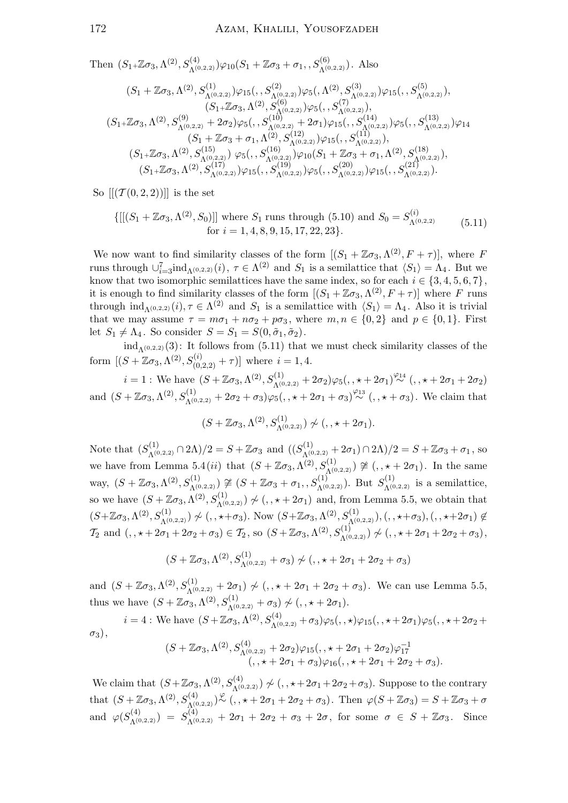Then  $(S_{1}+\mathbb{Z}\sigma_{3}, \Lambda^{(2)}, S_{\Lambda^{(0,2,2)}}^{(4)})\varphi_{10}(S_{1}+\mathbb{Z}\sigma_{3}+\sigma_{1}, S_{\Lambda^{(0,2,2)}}^{(6)})$ . Also

$$
(S_1 + \mathbb{Z}\sigma_3, \Lambda^{(2)}, S_{\Lambda^{(0,2,2)}}^{(1)})\varphi_{15}(., S_{\Lambda^{(0,2,2)}}^{(2)})\varphi_{5}(., \Lambda^{(2)}, S_{\Lambda^{(0,2,2)}}^{(3)})\varphi_{15}(., S_{\Lambda^{(0,2,2)}}^{(5)}),(S_1 + \mathbb{Z}\sigma_3, \Lambda^{(2)}, S_{\Lambda^{(0,2,2)}}^{(6)})\varphi_{5}(., S_{\Lambda^{(0,2,2)}}^{(7)}),(S_1 + \mathbb{Z}\sigma_3, \Lambda^{(2)}, S_{\Lambda^{(0,2,2)}}^{(9)} + 2\sigma_2)\varphi_{5}(., S_{\Lambda^{(0,2,2)}}^{(10)} + 2\sigma_1)\varphi_{15}(., S_{\Lambda^{(0,2,2)}}^{(14)})\varphi_{5}(., S_{\Lambda^{(0,2,2)}}^{(13)})\varphi_{14}(S_1 + \mathbb{Z}\sigma_3, \Lambda^{(2)}, S_{\Lambda^{(0,2,2)}}^{(15)})\varphi_{5}(., S_{\Lambda^{(0,2,2)}}^{(12)})\varphi_{15}(., S_{\Lambda^{(0,2,2)}}^{(11)}),(S_1 + \mathbb{Z}\sigma_3, \Lambda^{(2)}, S_{\Lambda^{(0,2,2)}}^{(15)})\varphi_{5}(., S_{\Lambda^{(0,2,2)}}^{(16)})\varphi_{10}(S_1 + \mathbb{Z}\sigma_3 + \sigma_1, \Lambda^{(2)}, S_{\Lambda^{(0,2,2)}}^{(18)}),(S_1 + \mathbb{Z}\sigma_3, \Lambda^{(2)}, S_{\Lambda^{(0,2,2)}}^{(17)})\varphi_{15}(., S_{\Lambda^{(0,2,2)}}^{(19)})\varphi_{5}(., S_{\Lambda^{(0,2,2)}}^{(20)})\varphi_{15}(., S_{\Lambda^{(0,2,2)}}^{(21)})\varphi_{15}(., S_{\Lambda^{(0,2,2)}}^{(21)}).
$$

So  $[[(\mathcal{T}(0,2,2))]]$  is the set

$$
\{[[(S_1 + \mathbb{Z}\sigma_3, \Lambda^{(2)}, S_0)]] \text{ where } S_1 \text{ runs through (5.10) and } S_0 = S_{\Lambda^{(0,2,2)}}^{(i)} \tag{5.11}
$$
  
for  $i = 1, 4, 8, 9, 15, 17, 22, 23\}.$ 

We now want to find similarity classes of the form  $[(S_1 + \mathbb{Z}\sigma_3, \Lambda^{(2)}, F + \tau)],$  where F runs through  $\cup_{i=3}^{7}$  ind<sub> $\Lambda^{(0,2,2)}(i)$ ,  $\tau \in \Lambda^{(2)}$  and  $S_1$  is a semilattice that  $\langle S_1 \rangle = \Lambda_4$ . But we</sub> know that two isomorphic semilattices have the same index, so for each  $i \in \{3, 4, 5, 6, 7\}$ , it is enough to find similarity classes of the form  $[(S_1 + \mathbb{Z}\sigma_3, \Lambda^{(2)}, F + \tau)]$  where F runs through  $\text{ind}_{\Lambda^{(0,2,2)}}(i), \tau \in \Lambda^{(2)}$  and  $S_1$  is a semilattice with  $\langle S_1 \rangle = \Lambda_4$ . Also it is trivial that we may assume  $\tau = m\sigma_1 + n\sigma_2 + p\sigma_3$ , where  $m, n \in \{0, 2\}$  and  $p \in \{0, 1\}$ . First let  $S_1 \neq \Lambda_4$ . So consider  $S = S_1 = S(0, \tilde{\sigma}_1, \tilde{\sigma}_2)$ .

 $ind_{\Lambda(0,2,2)}(3)$ : It follows from (5.11) that we must check similarity classes of the form  $[(S + \mathbb{Z}\sigma_3, \Lambda^{(2)}, S_{(0,2,2)}^{(i)} + \tau)]$  where  $i = 1, 4$ .

 $i = 1$ : We have  $(S + \mathbb{Z}\sigma_3, \Lambda^{(2)}, S_{\Lambda^{(0,2,2)}}^{(1)} + 2\sigma_2)\varphi_5(,, \star + 2\sigma_1)^{\frac{\varphi_{14}}{\sim}}(,, \star + 2\sigma_1 + 2\sigma_2)$ and  $(S + \mathbb{Z}\sigma_3, \Lambda^{(2)}, S^{(1)}_{\Lambda^{(0,2,2)}} + 2\sigma_2 + \sigma_3)\varphi_5(,, \star + 2\sigma_1 + \sigma_3)^{\varphi_{13}}(,, \star + \sigma_3).$  We claim that

$$
(S + \mathbb{Z}\sigma_3, \Lambda^{(2)}, S^{(1)}_{\Lambda^{(0,2,2)}}) \not\sim (I, \star + 2\sigma_1).
$$

Note that  $(S_{\Lambda^{(0,2,2)}}^{(1)} \cap 2\Lambda)/2 = S + \mathbb{Z}\sigma_3$  and  $((S_{\Lambda^{(0,2,2)}}^{(1)} + 2\sigma_1) \cap 2\Lambda)/2 = S + \mathbb{Z}\sigma_3 + \sigma_1$ , so we have from Lemma 5.4(*ii*) that  $(S + \mathbb{Z}\sigma_3, \Lambda^{(2)}, S^{(1)}_{\Lambda^{(0,2,2)}}) \ncong (0, \star + 2\sigma_1)$ . In the same way,  $(S + \mathbb{Z}\sigma_3, \Lambda^{(2)}, S_{\Lambda^{(0,2,2)}}^{(1)}) \ncong (S + \mathbb{Z}\sigma_3 + \sigma_1, S_{\Lambda^{(0,2,2)}}^{(1)})$ . But  $S_{\Lambda^{(0,2,2)}}^{(1)}$  is a semilattice, so we have  $(S + \mathbb{Z}\sigma_3, \Lambda^{(2)}, S_{\Lambda^{(0,2,2)}}^{(1)}) \not\sim (0, \star + 2\sigma_1)$  and, from Lemma 5.5, we obtain that  $(S+\mathbb{Z}\sigma_3,\Lambda^{(2)},S_{\Lambda^{(0,2,2)}}^{(1)})\not\sim(0,+\infty)$ . Now  $(S+\mathbb{Z}\sigma_3,\Lambda^{(2)},S_{\Lambda^{(0,2,2)}}^{(1)}), (0,+\infty)$ ,  $(0,+\infty)$  $\mathcal{T}_2$  and  $(,, \star + 2\sigma_1 + 2\sigma_2 + \sigma_3) \in \mathcal{T}_2$ , so  $(S + \mathbb{Z}\sigma_3, \Lambda^{(2)}, S_{\Lambda^{(0,2,2)}}^{(1)}) \not\sim (,, \star + 2\sigma_1 + 2\sigma_2 + \sigma_3),$ 

$$
(S + \mathbb{Z}\sigma_3, \Lambda^{(2)}, S_{\Lambda^{(0,2,2)}}^{(1)} + \sigma_3) \not\sim (,, \star + 2\sigma_1 + 2\sigma_2 + \sigma_3)
$$

and  $(S + \mathbb{Z}\sigma_3, \Lambda^{(2)}, S^{(1)}_{\Lambda^{(0,2,2)}} + 2\sigma_1) \nsim (S + \mathbb{Z}\sigma_3 + 2\sigma_2 + \sigma_3)$ . We can use Lemma 5.5, thus we have  $(S + \mathbb{Z}\sigma_3, \Lambda^{(2)}, S^{(1)}_{\Lambda^{(0,2,2)}} + \sigma_3) \not\sim (0, \star + 2\sigma_1).$ 

$$
i = 4: \text{ We have } (S + \mathbb{Z}\sigma_3, \Lambda^{(2)}, S_{\Lambda^{(0,2,2)}}^{(4)} + \sigma_3)\varphi_5(,,\star) \varphi_{15}(,,\star + 2\sigma_1)\varphi_5(,,\star + 2\sigma_2 + \sigma_3),
$$

$$
(S + \mathbb{Z}\sigma_3, \Lambda^{(2)}, S_{\Lambda^{(0,2,2)}}^{(4)} + 2\sigma_2)\varphi_{15}(,,\star + 2\sigma_1 + 2\sigma_2)\varphi_{17}^{-1}
$$

$$
(S + \mathbb{Z}\sigma_3, \Lambda^{(2)}, S^{(4)}_{\Lambda^{(0,2,2)}} + 2\sigma_2)\varphi_{15}(,, \star + 2\sigma_1 + 2\sigma_2)\varphi_{17}^{-1}(, \star + 2\sigma_1 + \sigma_3)\varphi_{16}(,, \star + 2\sigma_1 + 2\sigma_2 + \sigma_3).
$$

We claim that  $(S + \mathbb{Z}\sigma_3, \Lambda^{(2)}, S_{\Lambda^{(0,2,2)}}^{(4)}) \not\sim (K, \star + 2\sigma_1 + 2\sigma_2 + \sigma_3)$ . Suppose to the contrary that  $(S + \mathbb{Z}\sigma_3, \Lambda^{(2)}, S^{(4)}_{\Lambda^{(0,2,2)}})$   $\stackrel{\varphi}{\sim}$   $\ldots$ ,  $\star + 2\sigma_1 + 2\sigma_2 + \sigma_3$ . Then  $\varphi(S + \mathbb{Z}\sigma_3) = S + \mathbb{Z}\sigma_3 + \sigma_3$ and  $\varphi(S_{\Lambda^{(0,2,2)}}^{(4)}) = S_{\Lambda^{(0,2,2)}}^{(4)} + 2\sigma_1 + 2\sigma_2 + \sigma_3 + 2\sigma$ , for some  $\sigma \in S + \mathbb{Z}\sigma_3$ . Since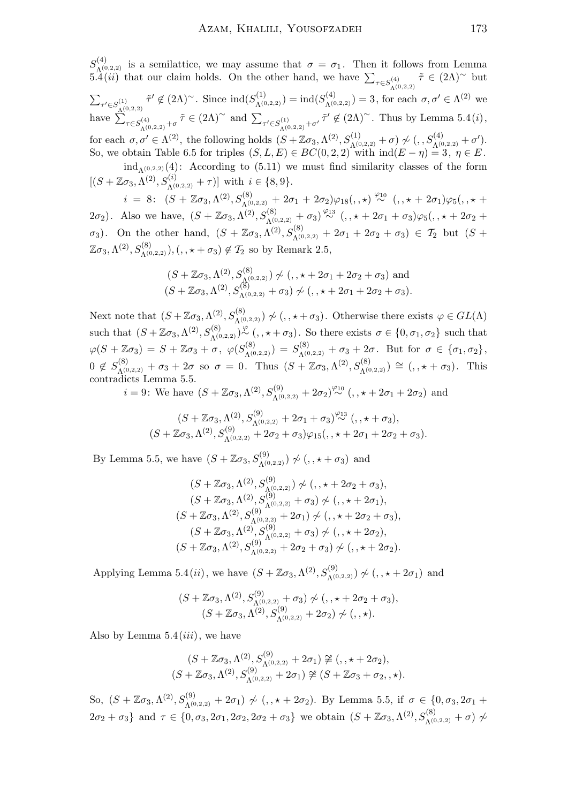$S^{(4)}_{\Lambda(0)}$  $\Lambda^{(4)}_{(0,2,2)}$  is a semilattice, we may assume that  $\sigma = \sigma_1$ . Then it follows from Lemma 5.4(*ii*) that our claim holds. On the other hand, we have  $\sum_{\tau \in S_{\Lambda^{(0,2,2)}}^{(4)}}$  $\tilde{\tau} \in (2\Lambda)^\sim$  but  $\sum_{\tau' \in S^{(1)}_{\Lambda^{(0,2,2)}}}$  $\tilde{\tau}' \notin (2\Lambda)^\sim$ . Since  $\text{ind}(S_{\Lambda^{(0,2,2)}}^{(1)}) = \text{ind}(S_{\Lambda^{(0,2,2)}}^{(4)}) = 3$ , for each  $\sigma, \sigma' \in \Lambda^{(2)}$  we have  $\sum_{\tau \in S_{\Lambda^{(0,2,2)}}^{(4)}+\sigma}$  $\tilde{\tau} \in (2\Lambda)^\sim$  and  $\sum_{\tau' \in S_{\Lambda^{(0,2,2)}}^{(1)} + \sigma'} \tilde{\tau}' \notin (2\Lambda)^\sim$ . Thus by Lemma 5.4(*i*), for each  $\sigma, \sigma' \in \Lambda^{(2)}$ , the following holds  $(S + \mathbb{Z}\sigma_3, \Lambda^{(2)}, S_{\Lambda^{(0,2,2)}}^{(1)} + \sigma) \nsim (S, S_{\Lambda^{(0,2,2)}}^{(4)} + \sigma')$ . So, we obtain Table 6.5 for triples  $(S, L, E) \in BC(0, 2, 2)$  with  $\text{ind}(E - \eta) = 3, \eta \in E$ .  $ind_{\Lambda^{(0,2,2)}}(4)$ : According to (5.11) we must find similarity classes of the form  $[(S + \mathbb{Z}\sigma_3, \Lambda^{(2)}, S_{\Lambda^{(0,2,2)}}^{(i)} + \tau)]$  with  $i \in \{8, 9\}.$ 

 $i = 8: (S + \mathbb{Z}\sigma_3, \Lambda^{(2)}, S^{(8)}_{\Lambda^{(0,2,2)}} + 2\sigma_1 + 2\sigma_2)\varphi_{18}(,,\star) \stackrel{\varphi_{10}}{\sim} (,, \star + 2\sigma_1)\varphi_5(,, \star +$ 2 $\sigma_2$ ). Also we have,  $(S + \mathbb{Z}\sigma_3, \Lambda^{(2)}, S^{(8)}_{\Lambda^{(0,2,2)}} + \sigma_3) \stackrel{\varphi_{13}}{\sim} (1, \star + 2\sigma_1 + \sigma_3) \varphi_5(1, \star + 2\sigma_2 + \sigma_3)$  $\sigma_3$ ). On the other hand,  $(S + \mathbb{Z}\sigma_3, \Lambda^{(2)}, S^{(8)}_{\Lambda^{(0,2,2)}} + 2\sigma_1 + 2\sigma_2 + \sigma_3) \in \mathcal{T}_2$  but  $(S + \mathbb{Z}\sigma_3, \Lambda^{(2)}, S^{(8)}_{\Lambda^{(0,2,2)}})$  $(\mathbb{Z}\sigma_3, \Lambda^{(2)}, S^{(8)}_{\Lambda^{(0,2,2)}}), (\cdot, \star + \sigma_3) \notin \mathcal{T}_2$  so by Remark 2.5,

$$
(S + \mathbb{Z}\sigma_3, \Lambda^{(2)}, S^{(8)}_{\Lambda^{(0,2,2)}}) \nsim (\tau, \star + 2\sigma_1 + 2\sigma_2 + \sigma_3)
$$
 and  
 $(S + \mathbb{Z}\sigma_3, \Lambda^{(2)}, S^{(8)}_{\Lambda^{(0,2,2)}} + \sigma_3) \nsim (\tau, \star + 2\sigma_1 + 2\sigma_2 + \sigma_3).$ 

Next note that  $(S + \mathbb{Z}\sigma_3, \Lambda^{(2)}, S^{(8)}_{\Lambda^{(0,2,2)}}) \not\sim (0, \star + \sigma_3)$ . Otherwise there exists  $\varphi \in GL(\Lambda)$ such that  $(S + \mathbb{Z}\sigma_3, \Lambda^{(2)}, S^{(8)}_{\Lambda^{(0,2,2)}}) \overset{\varphi}{\sim} (0, \star + \sigma_3)$ . So there exists  $\sigma \in \{0, \sigma_1, \sigma_2\}$  such that  $\varphi(S + \mathbb{Z}\sigma_3) \,=\, S + \mathbb{Z}\sigma_3 + \sigma\,, \,\, \varphi(S_{\Lambda^{(0,2,2)}}^{(8)}) \,=\, S_{\Lambda^{(0,2,2)}}^{(8)} + \sigma_3 + 2\sigma\,. \,\,\, \text{But for}\,\,\, \sigma \,\in\, \{\sigma_1, \sigma_2\}\,,$  $0 \notin S_{\Lambda^{(0,2,2)}}^{(8)} + \sigma_3 + 2\sigma$  so  $\sigma = 0$ . Thus  $(S + \mathbb{Z}\sigma_3, \Lambda^{(2)}, S_{\Lambda^{(0,2,2)}}^{(8)}) \cong (0, 0, 0, 0, 0, \ldots)$  This contradicts Lemma 5.5.

*i* = 9: We have  $(S + \mathbb{Z}\sigma_3, \Lambda^{(2)}, S_{\Lambda^{(0,2,2)}}^{(9)} + 2\sigma_2) \stackrel{\varphi_{10}}{\sim} (\square, \square + 2\sigma_1 + 2\sigma_2)$  and

$$
(S + \mathbb{Z}\sigma_3, \Lambda^{(2)}, S_{\Lambda^{(0,2,2)}}^{(9)} + 2\sigma_1 + \sigma_3)^{\varphi_{13}} , (S + \mathbb{Z}\sigma_3, \Lambda^{(2)}, S_{\Lambda^{(0,2,2)}}^{(9)} + 2\sigma_2 + \sigma_3)\varphi_{15} (S, \star + 2\sigma_1 + 2\sigma_2 + \sigma_3).
$$

By Lemma 5.5, we have  $(S + \mathbb{Z}\sigma_3, S_{\Lambda^{(0,2,2)}}^{(9)}) \not\sim (0, \star + \sigma_3)$  and

$$
(S + \mathbb{Z}\sigma_3, \Lambda^{(2)}, S_{\Lambda^{(0,2,2)}}^{(9)}) \not\sim (,, \star + 2\sigma_2 + \sigma_3),
$$
  
\n
$$
(S + \mathbb{Z}\sigma_3, \Lambda^{(2)}, S_{\Lambda^{(0,2,2)}}^{(9)} + \sigma_3) \not\sim (,, \star + 2\sigma_1),
$$
  
\n
$$
(S + \mathbb{Z}\sigma_3, \Lambda^{(2)}, S_{\Lambda^{(0,2,2)}}^{(9)} + 2\sigma_1) \not\sim (,, \star + 2\sigma_2 + \sigma_3),
$$
  
\n
$$
(S + \mathbb{Z}\sigma_3, \Lambda^{(2)}, S_{\Lambda^{(0,2,2)}}^{(9)} + \sigma_3) \not\sim (,, \star + 2\sigma_2),
$$
  
\n
$$
(S + \mathbb{Z}\sigma_3, \Lambda^{(2)}, S_{\Lambda^{(0,2,2)}}^{(9)} + 2\sigma_2 + \sigma_3) \not\sim (,, \star + 2\sigma_2).
$$

Applying Lemma 5.4(*ii*), we have  $(S + \mathbb{Z}\sigma_3, \Lambda^{(2)}, S_{\Lambda^{(0,2,2)}}^{(9)}) \not\sim (0, \star + 2\sigma_1)$  and

$$
(S + \mathbb{Z}\sigma_3, \Lambda^{(2)}, S_{\Lambda^{(0,2,2)}}^{(9)} + \sigma_3) \not\sim (,, \star + 2\sigma_2 + \sigma_3),
$$
  

$$
(S + \mathbb{Z}\sigma_3, \Lambda^{(2)}, S_{\Lambda^{(0,2,2)}}^{(9)} + 2\sigma_2) \not\sim (,, \star).
$$

Also by Lemma  $5.4(iii)$ , we have

$$
(S + \mathbb{Z}\sigma_3, \Lambda^{(2)}, S_{\Lambda^{(0,2,2)}}^{(9)} + 2\sigma_1) \ncong (,, \star + 2\sigma_2),
$$
  
\n
$$
(S + \mathbb{Z}\sigma_3, \Lambda^{(2)}, S_{\Lambda^{(0,2,2)}}^{(9)} + 2\sigma_1) \ncong (S + \mathbb{Z}\sigma_3 + \sigma_2, \star).
$$

So, (S + Zσ3,Λ (2), S(9) <sup>Λ</sup>(0,2,2) + 2σ1) 6∼ (, , ? + 2σ2). By Lemma 5.5, if σ ∈ {0, σ3, 2σ<sup>1</sup> +  $2\sigma_2 + \sigma_3$ } and  $\tau \in \{0, \sigma_3, 2\sigma_1, 2\sigma_2, 2\sigma_2 + \sigma_3\}$  we obtain  $(S + \mathbb{Z}\sigma_3, \Lambda^{(2)}, S^{(8)}_{\Lambda^{(0,2,2)}} + \sigma)$   $\neq$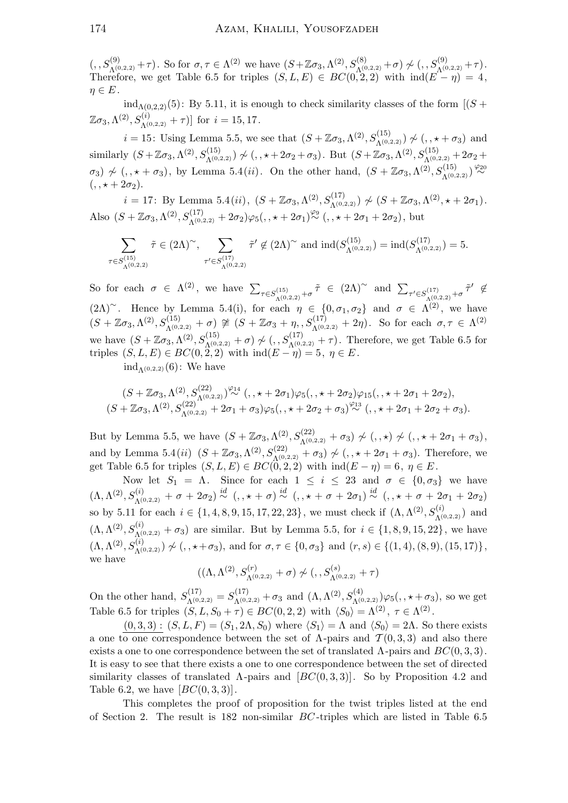$(S, S_{\Lambda^{(0,2,2)}}^{(9)} + \tau)$ . So for  $\sigma, \tau \in \Lambda^{(2)}$  we have  $(S + \mathbb{Z}\sigma_3, \Lambda^{(2)}, S_{\Lambda^{(0,2,2)}}^{(8)} + \sigma) \not\sim (S, S_{\Lambda^{(0,2,2)}}^{(9)} + \tau)$ . Therefore, we get Table 6.5 for triples  $(S, L, E) \in BC(0, 2, 2)$  with  $\text{ind}(E - \eta) = 4$ ,  $\eta \in E$ .

 $ind_{\Lambda(0.2,2)}(5)$ : By 5.11, it is enough to check similarity classes of the form  $[(S +$  $[\mathbb{Z}\sigma_3, \Lambda^{(2)}, S^{(i)}_{\Lambda^{(0,2,2)}} + \tau]$  for  $i = 15, 17$ .

 $i = 15$ : Using Lemma 5.5, we see that  $(S + \mathbb{Z}\sigma_3, \Lambda^{(2)}, S_{\Lambda^{(0,2,2)}}^{(15)}) \not\sim (0, 0, +\sigma_3)$  and similarly  $(S + \mathbb{Z}\sigma_3, \Lambda^{(2)}, S_{\Lambda^{(0,2,2)}}^{(15)}) \not\sim (,\ldots+2\sigma_2+\sigma_3)$ . But  $(S + \mathbb{Z}\sigma_3, \Lambda^{(2)}, S_{\Lambda^{(0,2,2)}}^{(15)} + 2\sigma_2 +$  $\sigma_3$ )  $\not\sim$  (,,  $\star + \sigma_3$ ), by Lemma 5.4(*ii*). On the other hand,  $(S + \mathbb{Z}\sigma_3, \Lambda^{(2)}, S_{\Lambda^{(0,2,2)}}^{(15)})$ <sup> $\stackrel{\varphi_{20}}{\sim}$ </sup>  $( , \star + 2\sigma_2).$ 

i = 17: By Lemma 5.4(ii),  $(S + \mathbb{Z}\sigma_3, \Lambda^{(2)}, S_{\Lambda^{(0,2,2)}}^{(17)}) \nsim (S + \mathbb{Z}\sigma_3, \Lambda^{(2)}, \star + 2\sigma_1).$ Also  $(S + \mathbb{Z}\sigma_3, \Lambda^{(2)}, S_{\Lambda^{(0,2,2)}}^{(17)} + 2\sigma_2)\varphi_5(,, \star + 2\sigma_1)^{\varphi_9}(., \star + 2\sigma_1 + 2\sigma_2), \text{ but}$ 

$$
\sum_{\tau \in S_{\Lambda(0,2,2)}^{(15)}} \tilde{\tau} \in (2\Lambda)^{\sim}, \sum_{\tau' \in S_{\Lambda(0,2,2)}^{(17)}} \tilde{\tau}' \not\in (2\Lambda)^{\sim} \text{ and } \text{ind}(S_{\Lambda(0,2,2)}^{(15)}) = \text{ind}(S_{\Lambda(0,2,2)}^{(17)}) = 5.
$$

So for each  $\sigma \in \Lambda^{(2)}$ , we have  $\sum_{\tau \in S_{\Lambda^{(0,2,2)}}^{(15)}+\sigma}$  $\tilde{\tau} \in (2\Lambda)^\sim$  and  $\sum_{\tau' \in S_{\Lambda^{(0,2,2)}}^{(17)} + \sigma} \tilde{\tau}' \notin$  $(2\Lambda)^\sim$ . Hence by Lemma 5.4(i), for each  $\eta \in \{0, \sigma_1, \sigma_2\}$  and  $\sigma \in \Lambda^{(2)}$ , we have  $(S + \mathbb{Z}\sigma_3, \Lambda^{(2)}, S_{\Lambda^{(0,2,2)}}^{(15)} + \sigma) \ncong (S + \mathbb{Z}\sigma_3 + \eta, S_{\Lambda^{(0,2,2)}}^{(17)} + 2\eta).$  So for each  $\sigma, \tau \in \Lambda^{(2)}$ we have  $(S + \mathbb{Z} \sigma_3, \Lambda^{(2)}, S_{\Lambda^{(0,2,2)}}^{(15)} + \sigma)$  ≁ (, ,  $S_{\Lambda^{(0,2,2)}}^{(17)} + \tau$ ). Therefore, we get Table 6.5 for triples  $(S, L, E) \in BC(0, 2, 2)$  with  $\text{ind}(E - \eta) = 5, \eta \in E$ .

 $\mathrm{ind}_{\Lambda(0,2,2)}(6)$ : We have

$$
(S + \mathbb{Z}\sigma_3, \Lambda^{(2)}, S_{\Lambda^{(0,2,2)}}^{(22)}) \stackrel{\varphi_{14}}{\sim} (1, \star + 2\sigma_1)\varphi_5(1, \star + 2\sigma_2)\varphi_{15}(1, \star + 2\sigma_1 + 2\sigma_2),
$$
  

$$
(S + \mathbb{Z}\sigma_3, \Lambda^{(2)}, S_{\Lambda^{(0,2,2)}}^{(22)} + 2\sigma_1 + \sigma_3)\varphi_5(1, \star + 2\sigma_2 + \sigma_3) \stackrel{\varphi_{13}}{\sim} (1, \star + 2\sigma_1 + 2\sigma_2 + \sigma_3).
$$

But by Lemma 5.5, we have  $(S + \mathbb{Z}\sigma_3, \Lambda^{(2)}, S_{\Lambda^{(0,2,2)}}^{(22)} + \sigma_3) \nsim (\ , \star) \nsim (\ , \star + 2\sigma_1 + \sigma_3),$ and by Lemma 5.4(*ii*)  $(S + \mathbb{Z}\sigma_3, \Lambda^{(2)}, S_{\Lambda^{(0,2,2)}}^{(22)} + \sigma_3) \nsim (1, \star + 2\sigma_1 + \sigma_3)$ . Therefore, we get Table 6.5 for triples  $(S, L, E) \in BC(0, 2, 2)$  with  $\text{ind}(E - \eta) = 6, \eta \in E$ .

Now let  $S_1 = \Lambda$ . Since for each  $1 \leq i \leq 23$  and  $\sigma \in \{0, \sigma_3\}$  we have  $(\Lambda, \Lambda^{(2)}, S_{\Lambda^{(0,2,2)}}^{(i)} + \sigma + 2\sigma_2) \stackrel{id}{\sim} (, \star + \sigma) \stackrel{id}{\sim} (, \star + \sigma + 2\sigma_1) \stackrel{id}{\sim} (, \star + \sigma + 2\sigma_1 + 2\sigma_2)$ so by 5.11 for each  $i \in \{1, 4, 8, 9, 15, 17, 22, 23\}$ , we must check if  $(\Lambda, \Lambda^{(2)}, S^{(i)}_{\Lambda^{(0,2,2)}})$  and  $(\Lambda, \Lambda^{(2)}, S_{\Lambda^{(0,2,2)}}^{(i)} + \sigma_3)$  are similar. But by Lemma 5.5, for  $i \in \{1, 8, 9, 15, 22\}$ , we have  $(\Lambda, \Lambda^{(2)}, S_{\Lambda^{(0,2,2)}}^{(i)}) \not\sim (0, \star + \sigma_3),$  and for  $\sigma, \tau \in \{0, \sigma_3\}$  and  $(r, s) \in \{(1, 4), (8, 9), (15, 17)\},$ we have

$$
((\Lambda, \Lambda^{(2)}, S^{(r)}_{\Lambda^{(0,2,2)}} + \sigma) \not\sim (, , S^{(s)}_{\Lambda^{(0,2,2)}} + \tau)
$$

On the other hand,  $S_{\Lambda^{(0,2,2)}}^{(17)} = S_{\Lambda^{(0,2,2)}}^{(17)} + \sigma_3$  and  $(\Lambda, \Lambda^{(2)}, S_{\Lambda^{(0,2,2)}}^{(4)}) \varphi_5(0, \star + \sigma_3)$ , so we get Table 6.5 for triples  $(S, L, S_0 + \tau) \in BC(0, 2, 2)$  with  $\langle S_0 \rangle = \Lambda^{(2)}$ ,  $\tau \in \Lambda^{(2)}$ .

 $(0, 3, 3)$ :  $(S, L, F) = (S_1, 2\Lambda, S_0)$  where  $\langle S_1 \rangle = \Lambda$  and  $\langle S_0 \rangle = 2\Lambda$ . So there exists a one to one correspondence between the set of  $\Lambda$ -pairs and  $\mathcal{T}(0,3,3)$  and also there exists a one to one correspondence between the set of translated  $\Lambda$ -pairs and  $BC(0, 3, 3)$ . It is easy to see that there exists a one to one correspondence between the set of directed similarity classes of translated  $\Lambda$ -pairs and  $[BC(0, 3, 3)]$ . So by Proposition 4.2 and Table 6.2, we have  $[BC(0, 3, 3)].$ 

This completes the proof of proposition for the twist triples listed at the end of Section 2. The result is 182 non-similar BC -triples which are listed in Table 6.5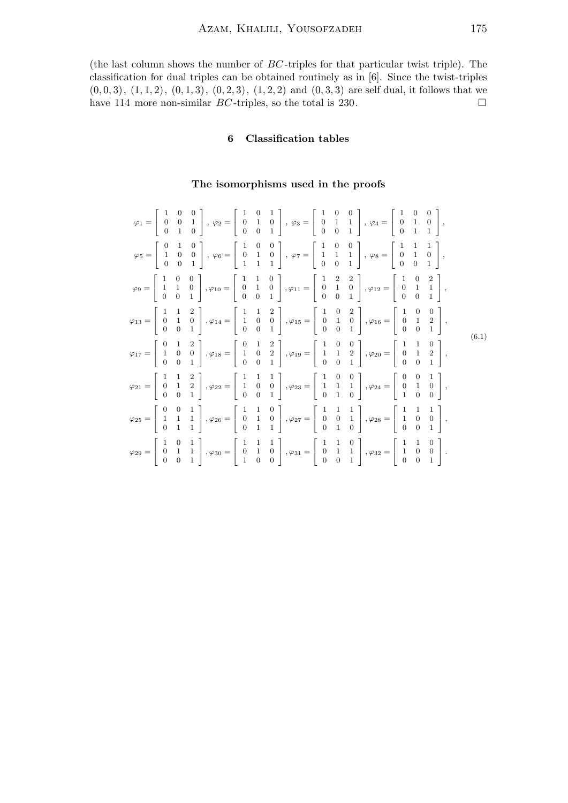(the last column shows the number of BC -triples for that particular twist triple). The classification for dual triples can be obtained routinely as in [6]. Since the twist-triples  $(0, 0, 3), (1, 1, 2), (0, 1, 3), (0, 2, 3), (1, 2, 2)$  and  $(0, 3, 3)$  are self dual, it follows that we have 114 more non-similar  $BC$ -triples, so the total is 230.

# 6 Classification tables

# The isomorphisms used in the proofs

|  |  |  |  | $\varphi_1 = \left[\begin{array}{ccc} 1 & 0 & 0 \\ 0 & 0 & 1 \\ 0 & 1 & 0 \end{array}\right], \; \varphi_2 = \left[\begin{array}{ccc} 1 & 0 & 1 \\ 0 & 1 & 0 \\ 0 & 0 & 1 \end{array}\right], \; \varphi_3 = \left[\begin{array}{ccc} 1 & 0 & 0 \\ 0 & 1 & 1 \\ 0 & 0 & 1 \end{array}\right], \; \varphi_4 = \left[\begin{array}{ccc} 1 & 0 & 0 \\ 0 & 1 & 0 \\ 0 & 1 & 1 \end{array}\right],$            |  |       |
|--|--|--|--|-----------------------------------------------------------------------------------------------------------------------------------------------------------------------------------------------------------------------------------------------------------------------------------------------------------------------------------------------------------------------------------------------------------|--|-------|
|  |  |  |  | $\varphi_5 = \left[\begin{array}{ccc} 0 & 1 & 0 \\ 1 & 0 & 0 \\ 0 & 0 & 1 \end{array}\right], \; \varphi_6 = \left[\begin{array}{ccc} 1 & 0 & 0 \\ 0 & 1 & 0 \\ 1 & 1 & 1 \end{array}\right], \; \varphi_7 = \left[\begin{array}{ccc} 1 & 0 & 0 \\ 1 & 1 & 1 \\ 0 & 0 & 1 \end{array}\right], \; \varphi_8 = \left[\begin{array}{ccc} 1 & 1 & 1 \\ 0 & 1 & 0 \\ 0 & 0 & 1 \end{array}\right],$            |  |       |
|  |  |  |  | $\varphi_9 = \left[ \begin{array}{ccc} 1 & 0 & 0 \\ 1 & 1 & 0 \\ 0 & 0 & 1 \end{array} \right], \varphi_{10} = \left[ \begin{array}{ccc} 1 & 1 & 0 \\ 0 & 1 & 0 \\ 0 & 0 & 1 \end{array} \right], \varphi_{11} = \left[ \begin{array}{ccc} 1 & 2 & 2 \\ 0 & 1 & 0 \\ 0 & 0 & 1 \end{array} \right], \varphi_{12} = \left[ \begin{array}{ccc} 1 & 0 & 2 \\ 0 & 1 & 1 \\ 0 & 0 & 1 \end{array} \right],$    |  |       |
|  |  |  |  | $\varphi_{13}=\left \begin{array}{ccc} 1 & 1 & 2\ 0 & 1 & 0\ 0 & 0 & 1 \end{array}\right , \varphi_{14}=\left \begin{array}{ccc} 1 & 1 & 2\ 1 & 0 & 0\ 0 & 0 & 1 \end{array}\right , \varphi_{15}=\left \begin{array}{ccc} 1 & 0 & 2\ 0 & 1 & 0\ 0 & 0 & 1 \end{array}\right , \varphi_{16}=\left \begin{array}{ccc} 1 & 0 & 0\ 0 & 1 & 2\ 0 & 0 & 1 \end{array}\right ,$                                 |  | (6.1) |
|  |  |  |  | $\varphi_{17} = \left[\begin{array}{ccc ccc} 0 & 1 & 2 \ 1 & 0 & 0 \ 0 & 0 & 1 \end{array}\right], \varphi_{18} = \left[\begin{array}{ccc ccc} 0 & 1 & 2 \ 1 & 0 & 2 \ 0 & 0 & 1 \end{array}\right], \varphi_{19} = \left[\begin{array}{ccc ccc} 1 & 0 & 0 \ 1 & 1 & 2 \ 0 & 0 & 1 \end{array}\right], \varphi_{20} = \left[\begin{array}{ccc ccc} 1 & 1 & 0 \ 0 & 1 & 2 \ 0 & 0 & 1 \end{array}\right],$ |  |       |
|  |  |  |  | $\varphi_{21} = \left[\begin{array}{ccc c} 1 & 1 & 2 \ 0 & 1 & 2 \ 0 & 0 & 1 \end{array}\right], \varphi_{22} = \left[\begin{array}{ccc c} 1 & 1 & 1 \ 1 & 0 & 0 \ 0 & 0 & 1 \end{array}\right], \varphi_{23} = \left[\begin{array}{ccc c} 1 & 0 & 0 \ 1 & 1 & 1 \ 0 & 1 & 0 \end{array}\right], \varphi_{24} = \left[\begin{array}{ccc c} 0 & 0 & 1 \ 0 & 1 & 0 \ 1 & 0 & 0 \end{array}\right],$         |  |       |
|  |  |  |  | $\varphi_{25} = \left[\begin{array}{ccc} 0 & 0 & 1 \\ 1 & 1 & 1 \\ 0 & 1 & 1 \end{array}\right], \varphi_{26} = \left[\begin{array}{ccc} 1 & 1 & 0 \\ 0 & 1 & 0 \\ 0 & 1 & 1 \end{array}\right], \varphi_{27} = \left[\begin{array}{ccc} 1 & 1 & 1 \\ 0 & 0 & 1 \\ 0 & 1 & 0 \end{array}\right], \varphi_{28} = \left[\begin{array}{ccc} 1 & 1 & 1 \\ 1 & 0 & 0 \\ 0 & 0 & 1 \end{array}\right],$         |  |       |
|  |  |  |  | $\varphi_{29} = \left[\begin{array}{ccc} 1 & 0 & 1 \ 0 & 1 & 1 \ 0 & 0 & 1 \end{array}\right], \varphi_{30} = \left[\begin{array}{ccc} 1 & 1 & 1 \ 0 & 1 & 0 \ 1 & 0 & 0 \end{array}\right], \varphi_{31} = \left[\begin{array}{ccc} 1 & 1 & 0 \ 0 & 1 & 1 \ 0 & 0 & 1 \end{array}\right], \varphi_{32} = \left[\begin{array}{ccc} 1 & 1 & 0 \ 1 & 0 & 0 \ 0 & 0 & 1 \end{array}\right].$                 |  |       |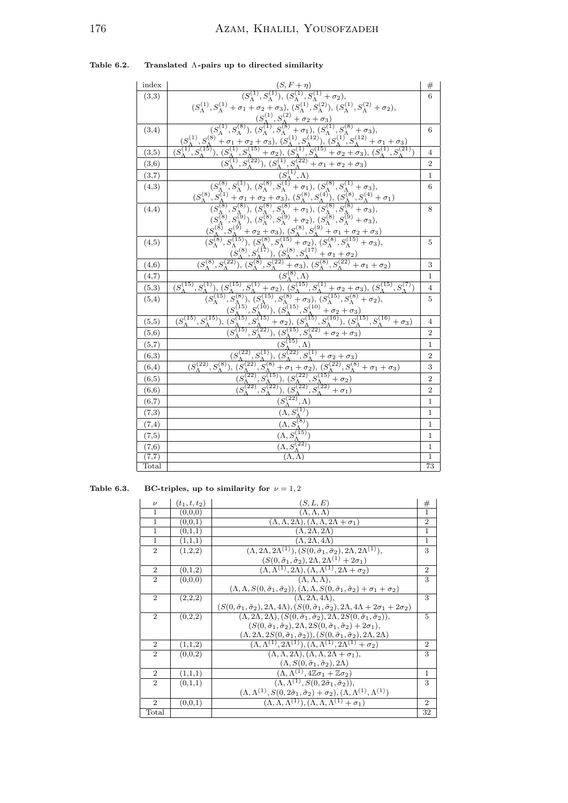| index |                                                                                                                                                                                                                                                                                                                                                                                                                                                                  | #                       |
|-------|------------------------------------------------------------------------------------------------------------------------------------------------------------------------------------------------------------------------------------------------------------------------------------------------------------------------------------------------------------------------------------------------------------------------------------------------------------------|-------------------------|
| (3,3) |                                                                                                                                                                                                                                                                                                                                                                                                                                                                  | 6                       |
|       | $\frac{(S,F+\eta)}{(S^{(1)}_{\Lambda},S^{(1)}_{\Lambda}),(S^{(1)}_{\Lambda},S^{(1)}_{\Lambda}+\sigma_2),} \\ (S^{(1)}_{\Lambda},S^{(1)}_{\Lambda}+\sigma_1+\sigma_2+\sigma_3),\ (S^{(1)}_{\Lambda},S^{(2)}_{\Lambda}),(S^{(1)}_{\Lambda},S^{(2)}_{\Lambda}+\sigma_2),$                                                                                                                                                                                           |                         |
|       | $(S_{\Lambda}^{(1)}, S_{\Lambda}^{(2)} + \sigma_2 + \sigma_3)$                                                                                                                                                                                                                                                                                                                                                                                                   |                         |
| (3,4) |                                                                                                                                                                                                                                                                                                                                                                                                                                                                  | 6                       |
|       | $(S_{\Lambda}^{(1)}, S_{\Lambda}^{(8)})$                                                                                                                                                                                                                                                                                                                                                                                                                         |                         |
| (3,5) | $\frac{(S_A, S_A \rightarrow G_2 + \sigma_3)}{(S_A^{\{1\}}, S_A^{\{3\}}, (S_A^{\{1\}}, S_A^{\{3\}} + \sigma_1), (S_A^{\{1\}}, S_A^{\{3\}} + \sigma_3),$<br>$\frac{(S_A + \sigma_1 + \sigma_2 + \sigma_3), (S_A^{\{1\}}, S_A^{\{1\}}), (S_A^{\{1\}}, S_A^{\{1\}} + \sigma_1 + \sigma_3))}{(S_A^{\{1\}}, S_A^{\{15\}} + \sigma_2), (S_A^{\{1\}}, S_A^{\{15\}} + \sigma_2 + \sigma_3), (S_A^{\{1\}}, S_A^{\$<br>$(S_{\Lambda}^{(1)}, S_{\Lambda}^{(15)})$           | $\overline{4}$          |
| (3,6) |                                                                                                                                                                                                                                                                                                                                                                                                                                                                  | $\overline{2}$          |
| (3,7) |                                                                                                                                                                                                                                                                                                                                                                                                                                                                  | $\mathbf{1}$            |
| (4,3) |                                                                                                                                                                                                                                                                                                                                                                                                                                                                  | 6                       |
|       |                                                                                                                                                                                                                                                                                                                                                                                                                                                                  |                         |
| (4,4) |                                                                                                                                                                                                                                                                                                                                                                                                                                                                  | 8                       |
|       |                                                                                                                                                                                                                                                                                                                                                                                                                                                                  |                         |
|       |                                                                                                                                                                                                                                                                                                                                                                                                                                                                  |                         |
| (4,5) | $\frac{(S_{\Lambda}^{(8)}, S_{\Lambda}^{(1)}), (S_{\Lambda}^{(8)}, S_{\Lambda}^{(1)} + \sigma_1), (S_{\Lambda}^{(8)}, S_{\Lambda}^{(1)} + \sigma_3),}{(S_{\Lambda}^{(8)}, S_{\Lambda}^{(1)} + \sigma_1 + \sigma_2 + \sigma_3), (S_{\Lambda}^{(8)}, S_{\Lambda}^{(4)}), (S_{\Lambda}^{(8)}, S_{\Lambda}^{(4)} + \sigma_1)}$<br>$(S_{\Lambda}^{(8)}, S_{\Lambda}^{(8)}), (S_{\Lambda}^{(8)}, S_{\Lambda}^{(8)} + \sigma_1), (S_{\Lambda}^{(8)}, S_{\Lambda}^{(8)}$ | 5                       |
|       |                                                                                                                                                                                                                                                                                                                                                                                                                                                                  |                         |
| (4,6) |                                                                                                                                                                                                                                                                                                                                                                                                                                                                  | 3                       |
| (4,7) | $(S_{\Lambda}^{(8)}, \Lambda)$                                                                                                                                                                                                                                                                                                                                                                                                                                   | $\mathbf 1$             |
| (5,3) | $(S_{\Lambda}^{(15)}, S_{\Lambda}^{(1)})$                                                                                                                                                                                                                                                                                                                                                                                                                        | $\overline{4}$          |
| (5,4) | $(S_{\Lambda}^{(15)},S_{\Lambda}^{(1)}+\sigma_2), (S_{\Lambda}^{(15)},S_{\Lambda}^{(1)}+\sigma_2+\sigma_3), (S_{\Lambda}^{(15)},S_{\Lambda}^{(7)})\ (S_{\Lambda}^{(15)},S_{\Lambda}^{(8)}), (S_{\Lambda}^{(15)},S_{\Lambda}^{(8)}+\sigma_3), (S_{\Lambda}^{(15)},S_{\Lambda}^{(8)}+\sigma_2),\ (S_{\Lambda}^{(15)},S_{\Lambda}^{(10)}), (S_{\Lambda}^{(15)},S_{\Lambda}^{(10)}+\sigma_2+\sigma_3)\ (S_{\Lambda}^{(15)},S_{\Lambda}^{(15)}+\$                     | 5                       |
|       |                                                                                                                                                                                                                                                                                                                                                                                                                                                                  |                         |
| (5,5) | $(S_{\Lambda}^{(15)}, S_{\Lambda}^{(15)})$                                                                                                                                                                                                                                                                                                                                                                                                                       | $\overline{4}$          |
| (5,6) | $(S_{\Lambda}^{(15)}, S_{\Lambda}^{(22)})$<br>$(S_{\Lambda}^{(15)}, S_{\Lambda}^{(22)} + \sigma_2 + \sigma_3)$                                                                                                                                                                                                                                                                                                                                                   | $\overline{2}$          |
| (5,7) | $(S_{\Lambda}^{(15)}, \Lambda)$                                                                                                                                                                                                                                                                                                                                                                                                                                  | $\mathbf{1}$            |
| (6,3) | $\frac{(S_{\Lambda}^{(22)},S_{\Lambda}^{(1)}),(S_{\Lambda}^{(22)},S_{\Lambda}^{(1)}+\sigma_2+\sigma_3)}{(S_{\Lambda}^{(22)},S_{\Lambda}^{(8)}),(S_{\Lambda}^{(22)},S_{\Lambda}^{(8)}+\sigma_1+\sigma_2), (S_{\Lambda}^{(22)},S_{\Lambda}^{(8)}+\sigma_1+\sigma_3)}$                                                                                                                                                                                              | $\overline{2}$          |
| (6,4) |                                                                                                                                                                                                                                                                                                                                                                                                                                                                  | 3                       |
| (6,5) |                                                                                                                                                                                                                                                                                                                                                                                                                                                                  | $\overline{\mathbf{c}}$ |
| (6,6) | $(S_{\Lambda}^{(22)},S_{\Lambda}^{(15)}), (S_{\Lambda}^{(22)},S_{\Lambda}^{(15)}+\sigma_2)\ (S_{\Lambda}^{(22)},S_{\Lambda}^{(22)}), (S_{\Lambda}^{(22)},S_{\Lambda}^{(22)}+\sigma_1)$                                                                                                                                                                                                                                                                           | $\overline{2}$          |
| (6,7) | $(S_{\Lambda}^{(22)}, \Lambda)$                                                                                                                                                                                                                                                                                                                                                                                                                                  | $\mathbf{1}$            |
| (7,3) | $\overline{(\Lambda, S_{\Lambda}^{(1)})}$                                                                                                                                                                                                                                                                                                                                                                                                                        | $\overline{1}$          |
| (7,4) | $\overline{(\Lambda, S_{\Lambda}^{(8)}})$                                                                                                                                                                                                                                                                                                                                                                                                                        | $\mathbf{1}$            |
| (7,5) | $(\Lambda, S_{\Lambda}^{(15)}$                                                                                                                                                                                                                                                                                                                                                                                                                                   | 1                       |
| (7,6) | $(\Lambda, \widetilde{S_{\Lambda}^{(22)}})$                                                                                                                                                                                                                                                                                                                                                                                                                      | 1                       |
| (7,7) | $(\Lambda, \Lambda)$                                                                                                                                                                                                                                                                                                                                                                                                                                             | $\overline{1}$          |
| Total |                                                                                                                                                                                                                                                                                                                                                                                                                                                                  | $\overline{73}$         |

Table 6.2. Translated  $\Lambda$ -pairs up to directed similarity

Table 6.3. BC-triples, up to similarity for  $\nu = 1, 2$ 

| $\boldsymbol{\nu}$          | $(t_1, t, t_2)$ | (S, L, E)                                                                                                                                                | #              |
|-----------------------------|-----------------|----------------------------------------------------------------------------------------------------------------------------------------------------------|----------------|
| 1                           | (0,0,0)         | $(\Lambda, \Lambda, \Lambda)$                                                                                                                            | 1              |
| 1                           | (0, 0, 1)       | $(\overline{(\Lambda, \Lambda, 2\Lambda)}, \overline{(\Lambda, \Lambda, 2\Lambda + \sigma_1})$                                                           | $\overline{2}$ |
| 1                           | (0,1,1)         | $(\Lambda, 2\Lambda, 2\Lambda)$                                                                                                                          | 1              |
| 1                           | (1,1,1)         | $(\Lambda, 2\Lambda, 4\Lambda)$                                                                                                                          | 1              |
| $\overline{2}$              | (1,2,2)         | $(\Lambda, 2\Lambda, 2\Lambda^{(1)}), (S(0, \tilde{\sigma}_1, \tilde{\sigma}_2), 2\Lambda, 2\Lambda^{(1)}),$                                             | 3              |
|                             |                 | $(S(0, \tilde{\sigma}_1, \tilde{\sigma}_2), 2\Lambda, 2\Lambda^{(1)} + 2\sigma_1)$                                                                       |                |
| $\overline{2}$              | (0,1,2)         | $(\Lambda, \Lambda^{(1)}, 2\Lambda), (\Lambda, \Lambda^{(1)}, 2\Lambda + \sigma_2)$                                                                      | $\overline{2}$ |
| $\mathcal{D}_{1}$           | (0,0,0)         | $(\Lambda, \Lambda, \Lambda)$ ,                                                                                                                          | 3              |
|                             |                 | $(\Lambda, \Lambda, S(0, \tilde{\sigma}_1, \tilde{\sigma}_2)), (\Lambda, \Lambda, S(0, \tilde{\sigma}_1, \tilde{\sigma}_2) + \sigma_1 + \sigma_2)$       |                |
| $\overline{2}$              | (2,2,2)         | $(\Lambda, 2\Lambda, 4\Lambda)$ ,                                                                                                                        | 3              |
|                             |                 | $(S(0, \tilde{\sigma}_1, \tilde{\sigma}_2), 2\Lambda, 4\Lambda), (S(0, \tilde{\sigma}_1, \tilde{\sigma}_2), 2\Lambda, 4\Lambda + 2\sigma_1 + 2\sigma_2)$ |                |
| $\mathcal{D}_{\mathcal{L}}$ | (0,2,2)         | $(\Lambda, 2\Lambda, 2\Lambda), (S(0, \tilde{\sigma}_1, \tilde{\sigma}_2), 2\Lambda, 2S(0, \tilde{\sigma}_1, \tilde{\sigma}_2)),$                        | 5              |
|                             |                 | $(S(0, \tilde{\sigma}_1, \tilde{\sigma}_2), 2\Lambda, 2S(0, \tilde{\sigma}_1, \tilde{\sigma}_2) + 2\sigma_1),$                                           |                |
|                             |                 | $(\Lambda, 2\Lambda, 2S(0, \tilde{\sigma}_1, \tilde{\sigma}_2)), (S(0, \tilde{\sigma}_1, \tilde{\sigma}_2), 2\Lambda, 2\Lambda)$                         |                |
| $\overline{2}$              | (1,1,2)         | $(\Lambda, \Lambda^{(1)}, 2\Lambda^{(1)}), (\Lambda, \Lambda^{(1)}, 2\Lambda^{(1)} + \sigma_2)$                                                          | $\overline{2}$ |
| $\mathcal{D}_{\mathcal{L}}$ | (0,0,2)         | $(\Lambda, \Lambda, 2\Lambda), (\Lambda, \Lambda, 2\Lambda + \sigma_1),$                                                                                 | 3              |
|                             |                 | $(\Lambda, S(0, \tilde{\sigma}_1, \tilde{\sigma}_2), 2\Lambda)$                                                                                          |                |
| $\overline{2}$              | (1,1,1)         | $(\Lambda, \overline{\Lambda^{(1)}, 4\mathbb{Z}\sigma_1 + \mathbb{Z}\sigma_2})$                                                                          | $\mathbf{1}$   |
| $\overline{2}$              | (0,1,1)         | $(\Lambda, \Lambda^{(1)}, S(0, 2\tilde{\sigma}_1, \tilde{\sigma}_2)),$                                                                                   | 3              |
|                             |                 | $(\Lambda, \Lambda^{(1)}, S(0, 2\tilde{\sigma}_1, \tilde{\sigma}_2) + \sigma_2), (\Lambda, \Lambda^{(1)}, \Lambda^{(1)})$                                |                |
| $\mathfrak{D}$              | (0,0,1)         | $(\Lambda, \Lambda, \Lambda^{(1)}), (\Lambda, \Lambda, \Lambda^{(1)} + \sigma_1)$                                                                        | $\overline{2}$ |
| Total                       |                 |                                                                                                                                                          | 32             |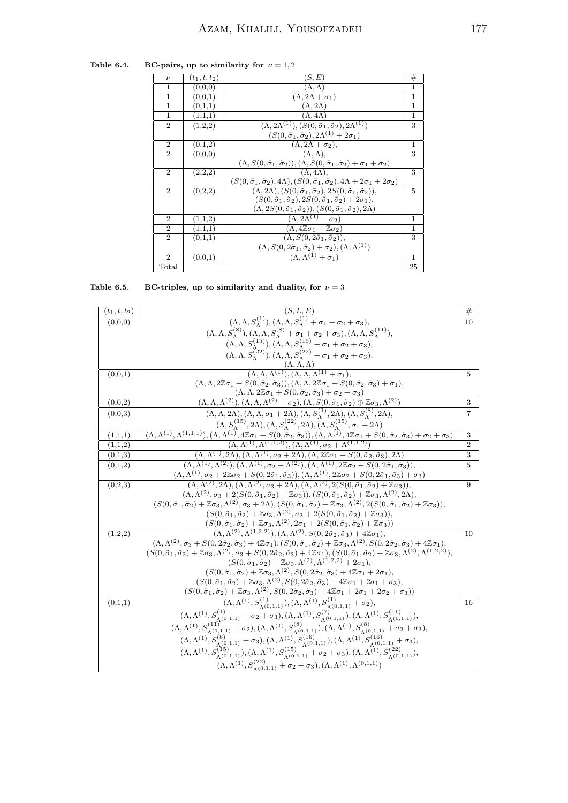Table 6.4. BC-pairs, up to similarity for  $\nu = 1, 2$ 

| $\overline{\nu}$            | $(t_1, t, t_2)$ | (S, E)                                                                                                                               | $_{\#}$      |
|-----------------------------|-----------------|--------------------------------------------------------------------------------------------------------------------------------------|--------------|
| 1                           | (0,0,0)         | $(\Lambda, \Lambda)$                                                                                                                 | 1            |
| 1                           | (0,0,1)         | $(\Lambda, 2\Lambda + \sigma_1)$                                                                                                     | $\mathbf{1}$ |
| 1                           | (0,1,1)         | $(\Lambda, 2\Lambda)$                                                                                                                | 1            |
| 1                           | (1,1,1)         | $(\Lambda, 4\Lambda)$                                                                                                                | $\mathbf{1}$ |
| $\overline{2}$              | (1,2,2)         | $(\Lambda, 2\Lambda^{(1)}), (S(0, \tilde{\sigma}_1, \tilde{\sigma}_2), 2\Lambda^{(1)})$                                              | 3            |
|                             |                 | $(S(0, \tilde{\sigma}_1, \tilde{\sigma}_2), 2\Lambda^{(1)} + 2\sigma_1)$                                                             |              |
| $\overline{2}$              | (0,1,2)         | $(\Lambda, 2\Lambda + \sigma_2),$                                                                                                    | 1            |
| $\mathfrak{D}$              | (0,0,0)         | $(\Lambda, \Lambda)$ ,                                                                                                               | 3            |
|                             |                 | $(\Lambda, S(0, \tilde{\sigma}_1, \tilde{\sigma}_2)), (\Lambda, S(0, \tilde{\sigma}_1, \tilde{\sigma}_2) + \sigma_1 + \sigma_2)$     |              |
| $\mathcal{D}_{\mathcal{L}}$ | (2,2,2)         | $(\Lambda, 4\Lambda)$ ,                                                                                                              | 3            |
|                             |                 | $(S(0, \tilde{\sigma}_1, \tilde{\sigma}_2), 4\Lambda), (S(0, \tilde{\sigma}_1, \tilde{\sigma}_2), 4\Lambda + 2\sigma_1 + 2\sigma_2)$ |              |
| $\mathcal{D}_{\mathcal{L}}$ | (0,2,2)         | $(\Lambda, 2\Lambda), (S(0, \tilde{\sigma}_1, \tilde{\sigma}_2), 2S(0, \tilde{\sigma}_1, \tilde{\sigma}_2)),$                        | 5            |
|                             |                 | $(S(0, \tilde{\sigma}_1, \tilde{\sigma}_2), 2S(0, \tilde{\sigma}_1, \tilde{\sigma}_2) + 2\sigma_1),$                                 |              |
|                             |                 | $(\Lambda, 2S(0, \tilde{\sigma}_1, \tilde{\sigma}_2)), (S(0, \tilde{\sigma}_1, \tilde{\sigma}_2), 2\Lambda)$                         |              |
| $\overline{2}$              | (1,1,2)         | $(\Lambda, 2\Lambda^{(1)} + \sigma_2)$                                                                                               | 1            |
| $\mathbf{2}$                | (1,1,1)         | $(\Lambda, 4\mathbb{Z}\sigma_1 + \mathbb{Z}\sigma_2)$                                                                                | $\mathbf{1}$ |
| $\mathfrak{D}$              | (0,1,1)         | $(\Lambda, S(0, 2\tilde{\sigma}_1, \tilde{\sigma}_2)),$                                                                              | 3            |
|                             |                 | $(\Lambda, S(0, 2\tilde{\sigma}_1, \tilde{\sigma}_2) + \sigma_2), (\Lambda, \Lambda^{(1)})$                                          |              |
| $\mathfrak{D}$              | (0,0,1)         | $(\Lambda, \Lambda^{(1)} + \sigma_1)$                                                                                                | $\mathbf{1}$ |
| $_{\rm Total}$              |                 |                                                                                                                                      | 25           |

Table 6.5. BC-triples, up to similarity and duality, for  $\nu = 3$ 

| $(t_1, t, t_2)$ |                                                                                                                                                                                                                                                                                                                                                                                                                                                                                                                | #              |
|-----------------|----------------------------------------------------------------------------------------------------------------------------------------------------------------------------------------------------------------------------------------------------------------------------------------------------------------------------------------------------------------------------------------------------------------------------------------------------------------------------------------------------------------|----------------|
| (0,0,0)         | $(S, L, E)$<br>( $\Lambda, \Lambda, S_{\Lambda}^{(1)}$ ), $(\Lambda, \Lambda, S_{\Lambda}^{(1)} + \sigma_1 + \sigma_2 + \sigma_3)$ ,                                                                                                                                                                                                                                                                                                                                                                           | 10             |
|                 | $(\Lambda, \Lambda, S_{\Lambda}^{(8)}), (\Lambda, \Lambda, S_{\Lambda}^{(8)} + \sigma_1 + \sigma_2 + \sigma_3), (\Lambda, \Lambda, S_{\Lambda}^{(11)}),$                                                                                                                                                                                                                                                                                                                                                       |                |
|                 | $(\Lambda, \Lambda, S_{\Lambda}^{(15)}), (\Lambda, \Lambda, S_{\Lambda}^{(15)} + \sigma_1 + \sigma_2 + \sigma_3),$<br>$(\Lambda, \Lambda, S_{\Lambda}^{(22)}), (\Lambda, \Lambda, S_{\Lambda}^{(22)} + \sigma_1 + \sigma_2 + \sigma_3),$                                                                                                                                                                                                                                                                       |                |
|                 |                                                                                                                                                                                                                                                                                                                                                                                                                                                                                                                |                |
|                 | $\frac{(\Lambda, \Lambda, \Lambda)}{(\Lambda, \Lambda, \Lambda^{(1)}), (\Lambda, \Lambda, \Lambda^{(1)} + \sigma_1)}.$                                                                                                                                                                                                                                                                                                                                                                                         |                |
| (0,0,1)         |                                                                                                                                                                                                                                                                                                                                                                                                                                                                                                                | $\overline{5}$ |
|                 | $(\Lambda, \Lambda, 2\mathbb{Z}\sigma_1 + S(0, \tilde{\sigma}_2, \tilde{\sigma}_3)), (\Lambda, \Lambda, 2\mathbb{Z}\sigma_1 + S(0, \tilde{\sigma}_2, \tilde{\sigma}_3) + \sigma_1),$                                                                                                                                                                                                                                                                                                                           |                |
|                 | $\frac{(\Lambda, \Lambda, 2\mathbb{Z}\sigma_1 + S(0, \tilde{\sigma}_2, \tilde{\sigma}_3) + \sigma_2 + \sigma_3)}{(\Lambda, \Lambda, \Lambda^{(2)}), (\Lambda, \Lambda, \Lambda^{(2)} + \sigma_2), (\Lambda, S(0, \tilde{\sigma}_1, \tilde{\sigma}_2) \oplus \mathbb{Z}\sigma_3, \Lambda^{(2)})}$                                                                                                                                                                                                               |                |
| (0,0,2)         |                                                                                                                                                                                                                                                                                                                                                                                                                                                                                                                | 3              |
| (0.0.3)         | $(\Lambda, \Lambda, 2\Lambda), (\Lambda, \Lambda, \sigma_1 + 2\Lambda), (\Lambda, S_{\Lambda}^{(1)}, 2\Lambda), (\Lambda, S_{\Lambda}^{(8)}, 2\Lambda),$                                                                                                                                                                                                                                                                                                                                                       | 7              |
|                 | $\frac{(\Lambda, S_{\Lambda}^{(15)}, 2\Lambda), (\Lambda, S_{\Lambda}^{(22)}, 2\Lambda), (\Lambda, S_{\Lambda}^{(15)}, \sigma_{1}+2\Lambda)}{(\Lambda, \Lambda^{(1)}, \Lambda^{(1,1,1)}), (\Lambda, \Lambda^{(1)}, 4\mathbb{Z}\sigma_{1}+S(0, \tilde{\sigma}_{2}, \tilde{\sigma}_{3})), (\Lambda, \Lambda^{(1)}, 4\mathbb{Z}\sigma_{1}+S(0, \tilde{\sigma}_{2}, \tilde{\sigma}_{3})+\sigma_{2}+\sigma_{3})}\nonumber\\ \frac{(\Lambda, \Lambda^{(1)}, \Lambda^{(1,1,2)}), (\Lambda, \Lambda^{(1)}, \sigma_{2}$ |                |
| (1,1,1)         |                                                                                                                                                                                                                                                                                                                                                                                                                                                                                                                | 3              |
| (1,1,2)         |                                                                                                                                                                                                                                                                                                                                                                                                                                                                                                                | $\overline{2}$ |
| (0,1,3)         | $\frac{(\Lambda, \Lambda^{(1)}, 2\Lambda), (\Lambda, \Lambda^{(1)}, \sigma_2+2\Lambda), (\Lambda, 2\mathbb{Z}\sigma_1+S(0, \tilde{\sigma}_2, \tilde{\sigma}_3), 2\Lambda)}{(\Lambda, \Lambda^{(1)}, \Lambda^{(2)}), (\Lambda, \Lambda^{(1)}, \sigma_2+\Lambda^{(2)}), (\Lambda, \Lambda^{(1)}, 2\mathbb{Z}\sigma_2+S(0, 2\tilde{\sigma}_1, \tilde{\sigma}_3)),}$                                                                                                                                               | 3              |
| (0,1,2)         |                                                                                                                                                                                                                                                                                                                                                                                                                                                                                                                | $\overline{5}$ |
|                 | $\frac{(\Lambda, \Lambda^{(1)}, \sigma_2+2\mathbb{Z}\sigma_2+S(0,2\tilde{\sigma}_1,\tilde{\sigma}_3)),(\Lambda, \Lambda^{(1)}, 2\mathbb{Z}\sigma_2+S(0,2\tilde{\sigma}_1,\tilde{\sigma}_3)+\sigma_3)}{(\Lambda, \Lambda^{(2)}, 2\Lambda),(\Lambda, \Lambda^{(2)}, \sigma_3+2\Lambda),(\Lambda, \Lambda^{(2)}, 2(S(0,\tilde{\sigma}_1,\tilde{\sigma}_2)+\mathbb{Z}\sigma_3)),}$                                                                                                                                 |                |
| (0,2,3)         |                                                                                                                                                                                                                                                                                                                                                                                                                                                                                                                | 9              |
|                 | $(\Lambda, \Lambda^{(2)}, \sigma_3 + 2(S(0, \tilde{\sigma}_1, \tilde{\sigma}_2) + \mathbb{Z}\sigma_3)), (S(0, \tilde{\sigma}_1, \tilde{\sigma}_2) + \mathbb{Z}\sigma_3, \Lambda^{(2)}, 2\Lambda),$<br>$(S(0, \tilde{\sigma}_1, \tilde{\sigma}_2) + \mathbb{Z}\sigma_3, \Lambda^{(2)}, \sigma_3 + 2\Lambda), (S(0, \tilde{\sigma}_1, \tilde{\sigma}_2) + \mathbb{Z}\sigma_3, \Lambda^{(2)}, 2(S(0, \tilde{\sigma}_1, \tilde{\sigma}_2) + \mathbb{Z}\sigma_3)),$                                                 |                |
|                 | $(S(0, \tilde{\sigma}_1, \tilde{\sigma}_2) + \mathbb{Z}\sigma_3, \Lambda^{(2)}, \sigma_3 + 2(S(0, \tilde{\sigma}_1, \tilde{\sigma}_2) + \mathbb{Z}\sigma_3)),$                                                                                                                                                                                                                                                                                                                                                 |                |
|                 |                                                                                                                                                                                                                                                                                                                                                                                                                                                                                                                |                |
| (1,2,2)         | $\frac{(S(0, \tilde{\sigma}_1, \tilde{\sigma}_2) + \mathbb{Z}\sigma_3, \Lambda^{(2)}, 2\sigma_1 + 2(S(0, \tilde{\sigma}_1, \tilde{\sigma}_2) + \mathbb{Z}\sigma_3))}{(\Lambda, \Lambda^{(2)}, \Lambda^{(1, 2, 2)}), (\Lambda, \Lambda^{(2)}, S(0, 2\tilde{\sigma}_2, \tilde{\sigma}_3) + 4\mathbb{Z}\sigma_1)},$                                                                                                                                                                                               | 10             |
|                 | $(\Lambda, \Lambda^{(2)}, \sigma_3 + S(0, 2\tilde{\sigma}_2, \tilde{\sigma}_3) + 4\mathbb{Z}\sigma_1), (S(0, \tilde{\sigma}_1, \tilde{\sigma}_2) + \mathbb{Z}\sigma_3, \Lambda^{(2)}, S(0, 2\tilde{\sigma}_2, \tilde{\sigma}_3) + 4\mathbb{Z}\sigma_1),$                                                                                                                                                                                                                                                       |                |
|                 | $(S(0, \tilde{\sigma}_1, \tilde{\sigma}_2) + \mathbb{Z}\sigma_3, \Lambda^{(2)}, \sigma_3 + S(0, 2\tilde{\sigma}_2, \tilde{\sigma}_3) + 4\mathbb{Z}\sigma_1), (S(0, \tilde{\sigma}_1, \tilde{\sigma}_2) + \mathbb{Z}\sigma_3, \Lambda^{(2)}, \Lambda^{(1,2,2)}),$                                                                                                                                                                                                                                               |                |
|                 | $(S(0, \tilde{\sigma}_1, \tilde{\sigma}_2) + \mathbb{Z}\sigma_3, \Lambda^{(2)}, \Lambda^{(1,2,2)} + 2\sigma_1)$                                                                                                                                                                                                                                                                                                                                                                                                |                |
|                 | $(S(0, \tilde{\sigma}_1, \tilde{\sigma}_2) + \mathbb{Z}\sigma_3, \Lambda^{(2)}, S(0, 2\tilde{\sigma}_2, \tilde{\sigma}_3) + 4\mathbb{Z}\sigma_1 + 2\sigma_1),$                                                                                                                                                                                                                                                                                                                                                 |                |
|                 | $(S(0, \tilde{\sigma}_1, \tilde{\sigma}_2) + \mathbb{Z}\sigma_3, \Lambda^{(2)}, S(0, 2\tilde{\sigma}_2, \tilde{\sigma}_3) + 4\mathbb{Z}\sigma_1 + 2\sigma_1 + \sigma_3),$                                                                                                                                                                                                                                                                                                                                      |                |
|                 |                                                                                                                                                                                                                                                                                                                                                                                                                                                                                                                |                |
| (0,1,1)         | $(S(0, \tilde{\sigma}_1, \tilde{\sigma}_2) + \mathbb{Z}\sigma_3, \Lambda^{(2)}, S(0, 2\tilde{\sigma}_2, \tilde{\sigma}_3) + 4\mathbb{Z}\sigma_1 + 2\sigma_1 + 2\sigma_2 + \sigma_3))$<br>$(\Lambda, \Lambda^{(1)}, S_{\Lambda^{(0,1,1)}}^{(1)}), (\Lambda, \Lambda^{(1)}, S_{\Lambda^{(0,1,1)}}^{(1)} + \sigma_2),$<br>$(\Lambda, \Lambda^{(1)}, S_{\Lambda^{(0,1,1)}}^{(1)} + \sigma_2 + \sigma_3), (\Lambda, \Lambda^{(1)}, S_{\Lambda^{(0,1,1)}}^{(7)}), (\Lambda$                                          | 16             |
|                 |                                                                                                                                                                                                                                                                                                                                                                                                                                                                                                                |                |
|                 |                                                                                                                                                                                                                                                                                                                                                                                                                                                                                                                |                |
|                 | $(\Lambda, \Lambda^{(1)}, S_{\Lambda^{(0,1,1)}}^{(0,1)}, \ldots, S_{\Lambda^{(0,1,1)}}^{(1,0)}, (\Lambda, \Lambda^{(1)}, S_{\Lambda^{(0,1,1)}}^{(1,0)}), (\Lambda, \Lambda^{(1)}, S_{\Lambda^{(0,1,1)}}^{(1,0)}, \ldots, S_{\Lambda^{(0,1,1)}}^{(1,0)}, \ldots, S_{\Lambda^{(0,1,1)}}^{(1,0,1)}, \ldots, S_{\Lambda^{(0,1,1)}}^{(1,0,1,1)},$                                                                                                                                                                   |                |
|                 |                                                                                                                                                                                                                                                                                                                                                                                                                                                                                                                |                |
|                 | $(\Lambda, \Lambda^{(1)}, S_{\Lambda^{(0,1,1)}}^{(22)} + \sigma_2 + \sigma_3), (\Lambda, \Lambda^{(1)}, \Lambda^{(0,1,1)})$                                                                                                                                                                                                                                                                                                                                                                                    |                |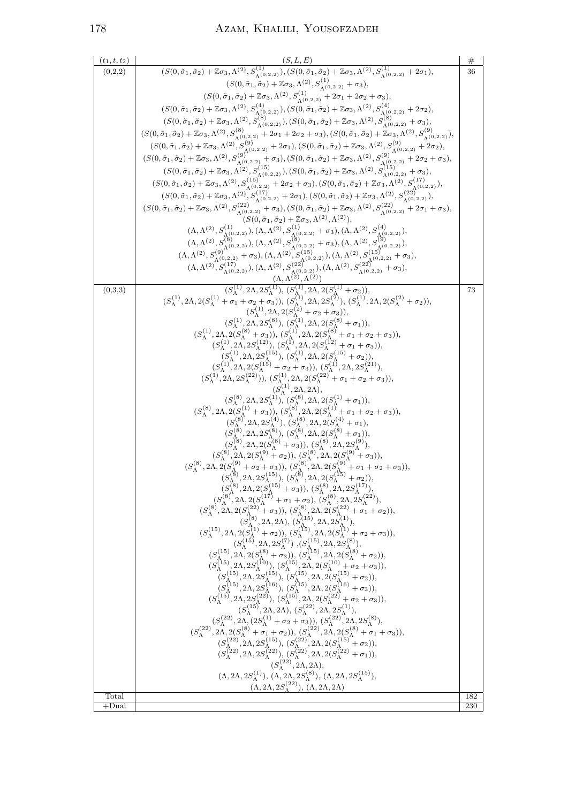# 178 Azam, Khalili, Yousofzadeh

| $(t_1, t, t_2)$ | (S, L, E)                                                                                                                                                                                                                                                                                                                                                                                                                                                  | $_{\#}$ |
|-----------------|------------------------------------------------------------------------------------------------------------------------------------------------------------------------------------------------------------------------------------------------------------------------------------------------------------------------------------------------------------------------------------------------------------------------------------------------------------|---------|
| (0,2,2)         | $(S(0, \tilde{\sigma}_1, \tilde{\sigma}_2) + \mathbb{Z}\sigma_3, \Lambda^{(2)}, S_{\Lambda^{(0,2,2)}}^{(1)}), (S(0, \tilde{\sigma}_1, \tilde{\sigma}_2) + \mathbb{Z}\sigma_3, \Lambda^{(2)}, S_{\Lambda^{(0,2,2)}}^{(1)} + 2\sigma_1),$                                                                                                                                                                                                                    | 36      |
|                 | $(S(0, \tilde{\sigma}_1, \tilde{\sigma}_2) + \mathbb{Z}\sigma_3, \Lambda^{(2)}, S^{(1)}_{\Lambda^{(0,2,2)}} + \sigma_3),$                                                                                                                                                                                                                                                                                                                                  |         |
|                 | $(S(0, \tilde{\sigma}_1, \tilde{\sigma}_2) + \mathbb{Z}\sigma_3, \Lambda^{(2)}, S_{\Lambda^{(0,2,2)}}^{(1)}, \frac{\Lambda^{(1,2)}}{2} + 2\sigma_1 + 2\sigma_2 + \sigma_3),$                                                                                                                                                                                                                                                                               |         |
|                 |                                                                                                                                                                                                                                                                                                                                                                                                                                                            |         |
|                 | $(S(0, \tilde{\sigma}_1, \tilde{\sigma}_2) + \mathbb{Z}\sigma_3, \Lambda^{(2)}, S_{\Lambda^{(0,2,2)}}^{(4)}), (S(0, \tilde{\sigma}_1, \tilde{\sigma}_2) + \mathbb{Z}\sigma_3, \Lambda^{(2)}, S_{\Lambda^{(0,2,2)}}^{(4)} + 2\sigma_2),$<br>$(S(0, \tilde{\sigma}_1, \tilde{\sigma}_2) + \mathbb{Z}\sigma_3, \Lambda^{(2)}, S_{\Lambda^{(0,2,2)}}^{(8)}), (S(0, \tilde{\sigma}_1, \tilde{\sigma}_2) + \mathbb{Z}\sigma_3, \Lambda^{(2)}, S_{\Lambda^{(0,$   |         |
|                 | $(S(0, \tilde{\sigma}_1, \tilde{\sigma}_2) + \mathbb{Z}\sigma_3, \Lambda^{(2)}, S^{(8)}_{\Lambda^{(0,2,2)}} + 2\sigma_1 + 2\sigma_2 + \sigma_3), (S(0, \tilde{\sigma}_1, \tilde{\sigma}_2) + \mathbb{Z}\sigma_3, \Lambda^{(2)}, S^{(9)}_{\Lambda^{(0,2,2)}}),$                                                                                                                                                                                             |         |
|                 |                                                                                                                                                                                                                                                                                                                                                                                                                                                            |         |
|                 | $(S(0, \tilde{\sigma}_1, \tilde{\sigma}_2) + \mathbb{Z}\sigma_3, \Lambda^{(2)}, S^{(9)}_{\Lambda^{(0,2,2)}} + 2\sigma_1), (S(0, \tilde{\sigma}_1, \tilde{\sigma}_2) + \mathbb{Z}\sigma_3, \Lambda^{(2)}, S^{(9)}_{\Lambda^{(0,2,2)}} + 2\sigma_2),$<br>$(S(0, \tilde{\sigma}_1, \tilde{\sigma}_2) + \mathbb{Z}\sigma_3, \Lambda^{(2)}, S^{(9)}_{\Lambda^{(0,2,2)}} + \sigma_3), (S(0, \tilde{\sigma}_1, \tilde{\sigma}_2) + \mathbb{Z}\sigma_3, \Lambda^{$ |         |
|                 | $(S(0, \tilde{\sigma}_1, \tilde{\sigma}_2) + \mathbb{Z}\sigma_3, \Lambda^{(2)}, S_{\Lambda^{(0,2,2)}}^{(15)}, (S(0, \tilde{\sigma}_1, \tilde{\sigma}_2) + \mathbb{Z}\sigma_3, \Lambda^{(2)}, S_{\Lambda^{(0,2,2)}}^{(15)}, \sigma_1^{(15)}, S_{\Lambda^{(0,2,2)}}^{(15)},$<br>$(S(0, \tilde{\sigma}_1, \tilde{\sigma}_2) + \mathbb{Z}\sigma_3, \Lambda^{(2)}, S_{\Lambda^{(0,2,2)}}^{(15)}, + 2\sigma_2 + \sigma_3), (S(0, \tilde{\sigma}_1, \$            |         |
|                 |                                                                                                                                                                                                                                                                                                                                                                                                                                                            |         |
|                 | $(S(0, \tilde{\sigma}_1, \tilde{\sigma}_2) + \mathbb{Z}\sigma_3, \Lambda^{(2)}, S_{\Lambda^{(0,2,2)}}^{(15)} + 2\sigma_2 + \sigma_3), (S(0, \tilde{\sigma}_1, \tilde{\sigma}_2) + \mathbb{Z}\sigma_3, \Lambda^{(2)}, S_{\Lambda^{(0,2,2)}}^{(17)}),$<br>$(S(0, \tilde{\sigma}_1, \tilde{\sigma}_2) + \mathbb{Z}\sigma_3, \Lambda^{(2)}, S_{\Lambda^{(0,2,2)}}^{(17)} + 2\sigma_1), (S(0, \tilde{\sigma}_1, \tilde{\sigma}_2) + \mathbb{Z}\sigma_3$         |         |
|                 |                                                                                                                                                                                                                                                                                                                                                                                                                                                            |         |
|                 | $(S(0, \tilde{\sigma}_1, \tilde{\sigma}_2) + \mathbb{Z}\sigma_3, \Lambda^{(2)}, \Lambda^{(2)}),$                                                                                                                                                                                                                                                                                                                                                           |         |
|                 |                                                                                                                                                                                                                                                                                                                                                                                                                                                            |         |
|                 |                                                                                                                                                                                                                                                                                                                                                                                                                                                            |         |
|                 |                                                                                                                                                                                                                                                                                                                                                                                                                                                            |         |
|                 |                                                                                                                                                                                                                                                                                                                                                                                                                                                            |         |
|                 |                                                                                                                                                                                                                                                                                                                                                                                                                                                            |         |
| (0,3,3)         | (5(1), $\alpha_1$ , $\alpha_2$ , $\alpha_3$ , $\alpha_4$ , $\alpha_5$ , $\alpha_6$ , $\alpha_7$ , $\alpha_8$ , $\alpha_9$ , $\alpha_9$ , $\alpha_9$ , $\alpha_9$ , $\alpha_9$ , $\alpha_9$ , $\alpha_9$ , $\alpha_9$ , $\alpha_9$ , $\alpha_9$ , $\alpha_9$ , $\alpha_9$ , $\alpha_9$ , $\alpha_9$ , $\alpha_9$ , $\alpha_9$ , $\alpha_9$ , $\alpha_9$ , $\alpha_9$                                                                                        | 73      |
|                 |                                                                                                                                                                                                                                                                                                                                                                                                                                                            |         |
|                 |                                                                                                                                                                                                                                                                                                                                                                                                                                                            |         |
|                 |                                                                                                                                                                                                                                                                                                                                                                                                                                                            |         |
|                 |                                                                                                                                                                                                                                                                                                                                                                                                                                                            |         |
|                 |                                                                                                                                                                                                                                                                                                                                                                                                                                                            |         |
|                 |                                                                                                                                                                                                                                                                                                                                                                                                                                                            |         |
|                 |                                                                                                                                                                                                                                                                                                                                                                                                                                                            |         |
|                 |                                                                                                                                                                                                                                                                                                                                                                                                                                                            |         |
|                 |                                                                                                                                                                                                                                                                                                                                                                                                                                                            |         |
|                 |                                                                                                                                                                                                                                                                                                                                                                                                                                                            |         |
|                 |                                                                                                                                                                                                                                                                                                                                                                                                                                                            |         |
|                 |                                                                                                                                                                                                                                                                                                                                                                                                                                                            |         |
|                 |                                                                                                                                                                                                                                                                                                                                                                                                                                                            |         |
|                 |                                                                                                                                                                                                                                                                                                                                                                                                                                                            |         |
|                 |                                                                                                                                                                                                                                                                                                                                                                                                                                                            |         |
|                 |                                                                                                                                                                                                                                                                                                                                                                                                                                                            |         |
|                 |                                                                                                                                                                                                                                                                                                                                                                                                                                                            |         |
|                 |                                                                                                                                                                                                                                                                                                                                                                                                                                                            |         |
|                 |                                                                                                                                                                                                                                                                                                                                                                                                                                                            |         |
|                 |                                                                                                                                                                                                                                                                                                                                                                                                                                                            |         |
|                 | $\begin{array}{c} (S_{\Lambda}^{(8)}, 2\Lambda, 2S_{\Lambda}^{(8)}, (S_{\Lambda}^{(8)}, 2\Lambda, 2(S_{\Lambda}^{(8)} + \sigma_1)),\\ (S_{\Lambda}^{(8)}, 2\Lambda, 2(S_{\Lambda}^{(8)} + \sigma_3)), (S_{\Lambda}^{(8)}, 2\Lambda, 2(S_{\Lambda}^{(9)}),\\ (S_{\Lambda}^{(8)}, 2\Lambda, 2(S_{\Lambda}^{(9)} + \sigma_2)), (S_{\Lambda}^{(8)}, 2\Lambda, 2(S_{\Lambda}^{(9)} + \sigma_3)),\\ (S_{\Lambda}^{(8)}, 2\Lambda, 2(S_{\Lambda}^{(9)} + \sigma$  |         |
|                 |                                                                                                                                                                                                                                                                                                                                                                                                                                                            |         |
|                 |                                                                                                                                                                                                                                                                                                                                                                                                                                                            |         |
|                 |                                                                                                                                                                                                                                                                                                                                                                                                                                                            |         |
|                 |                                                                                                                                                                                                                                                                                                                                                                                                                                                            |         |
|                 | $(S_{\Lambda}^{(15)}, 2\Lambda, 2\Lambda), (S_{\Lambda}^{(22)}, 2\Lambda, 2S_{\Lambda}^{(1)})$                                                                                                                                                                                                                                                                                                                                                             |         |
|                 |                                                                                                                                                                                                                                                                                                                                                                                                                                                            |         |
|                 |                                                                                                                                                                                                                                                                                                                                                                                                                                                            |         |
|                 |                                                                                                                                                                                                                                                                                                                                                                                                                                                            |         |
|                 | $(S_{\Lambda}^{(22)}, 2\Lambda, (2S_{\Lambda}^{(1)} + \sigma_2 + \sigma_3)), (S_{\Lambda}^{(22)}, 2\Lambda, 2S_{\Lambda}^{(8)}),$<br>$(S_{\Lambda}^{(22)}, 2\Lambda, 2(S_{\Lambda}^{(8)} + \sigma_1 + \sigma_2)), (S_{\Lambda}^{(22)}, 2\Lambda, 2(S_{\Lambda}^{(8)} + \sigma_1 + \sigma_3)),$<br>$(S_{\Lambda}^{(22)}, 2\Lambda, 2S_{\Lambda}^{(15)}), (S_{\Lambda}^{(22)}, 2\Lambda, 2(S_{\Lambda}^{(15)} + \sigma_2)),$<br>$(S_{\Lambda}^{$             |         |
|                 | $(\Lambda, 2\Lambda, 2S_{\Lambda}^{(1)})$ , $(\Lambda, 2\Lambda, 2S_{\Lambda}^{(8)})$ , $(\Lambda, 2\Lambda, 2S_{\Lambda}^{(15)})$ ,                                                                                                                                                                                                                                                                                                                       |         |
|                 | $(\Lambda, 2\Lambda, 2S_{\Lambda}^{(22)}), (\Lambda, 2\Lambda, 2\Lambda)$                                                                                                                                                                                                                                                                                                                                                                                  |         |
| Total           |                                                                                                                                                                                                                                                                                                                                                                                                                                                            | 182     |
| $+$ Dual        |                                                                                                                                                                                                                                                                                                                                                                                                                                                            | 230     |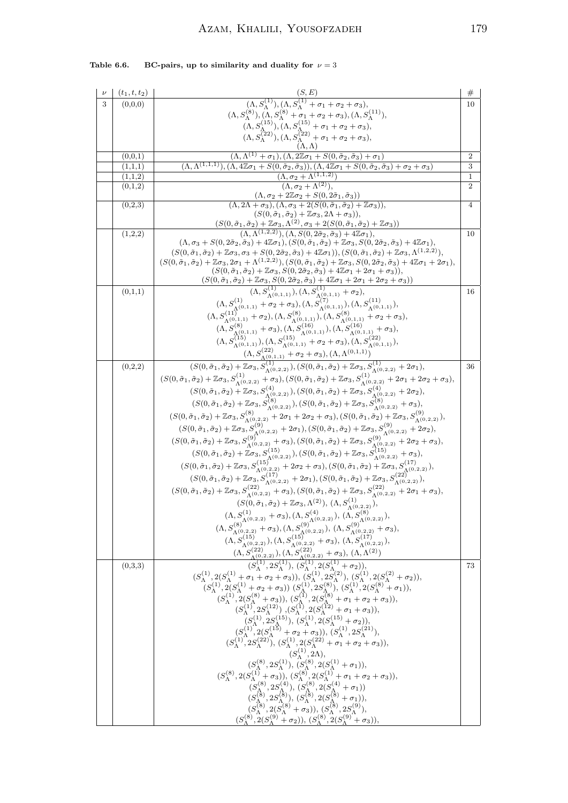| $\boldsymbol{\nu}$ | $(t_{1},t,t_{2})$  |                                                                                                                                                                                                                                                                                                                                                                                                                                                                                                   | $^{\#}$          |
|--------------------|--------------------|---------------------------------------------------------------------------------------------------------------------------------------------------------------------------------------------------------------------------------------------------------------------------------------------------------------------------------------------------------------------------------------------------------------------------------------------------------------------------------------------------|------------------|
| 3                  | (0,0,0)            | $\frac{(S,E)}{(\Lambda,S_{\Lambda}^{(1)}),(\Lambda,S_{\Lambda}^{(1)}+\sigma_1+\sigma_2+\sigma_3)},$                                                                                                                                                                                                                                                                                                                                                                                               | 10               |
|                    |                    |                                                                                                                                                                                                                                                                                                                                                                                                                                                                                                   |                  |
|                    |                    |                                                                                                                                                                                                                                                                                                                                                                                                                                                                                                   |                  |
|                    |                    | (A, $S_{\Lambda}^{(8)}$ ), $(\Lambda, S_{\Lambda}^{(8)} + \sigma_1 + \sigma_2 + \sigma_3)$ , $(\Lambda, S_{\Lambda}^{(11)})$ ,<br>$(\Lambda, S_{\Lambda}^{(15)})$ , $(\Lambda, S_{\Lambda}^{(15)} + \sigma_1 + \sigma_2 + \sigma_3)$ ,<br>$(\Lambda, S_{\Lambda}^{(22)})$ , $(\Lambda, S_{\Lambda}^{(22)} + \sigma_1 + \sigma_2 + \sigma_3)$ ,                                                                                                                                                    |                  |
|                    |                    | $(\Lambda, \Lambda)$                                                                                                                                                                                                                                                                                                                                                                                                                                                                              |                  |
|                    | (0,0,1)            | $(\Lambda, \Lambda^{(1)} + \sigma_1), (\Lambda, 2\mathbb{Z}\sigma_1 + S(0, \tilde{\sigma}_2, \tilde{\sigma}_3) + \sigma_1)$                                                                                                                                                                                                                                                                                                                                                                       | $\overline{2}$   |
|                    | (1,1,1)            | $(\Lambda, \Lambda^{(1,1,1)}), (\Lambda, 4\mathbb{Z}\sigma_1 + S(0, \tilde{\sigma}_2, \tilde{\sigma}_3)), (\Lambda, 4\mathbb{Z}\sigma_1 + S(0, \tilde{\sigma}_2, \tilde{\sigma}_3) + \sigma_2 + \sigma_3)$<br>$(\Lambda, \sigma_2 + \Lambda^{(1,1,2)})$                                                                                                                                                                                                                                           | 3<br>$\mathbf 1$ |
|                    | (1,1,2)<br>(0,1,2) | $(\Lambda, \sigma_2 + \Lambda^{(2)})$                                                                                                                                                                                                                                                                                                                                                                                                                                                             | 2                |
|                    |                    | $(\Lambda, \sigma_2 + 2\mathbb{Z}\sigma_2 + S(0, 2\tilde{\sigma}_1, \tilde{\sigma}_3))$                                                                                                                                                                                                                                                                                                                                                                                                           |                  |
|                    | (0,2,3)            | $(\Lambda, 2\Lambda + \sigma_3), (\Lambda, \sigma_3 + 2(S(0, \tilde{\sigma}_1, \tilde{\sigma}_2) + \mathbb{Z}\sigma_3)),$                                                                                                                                                                                                                                                                                                                                                                         | $\overline{4}$   |
|                    |                    | $(S(0, \tilde{\sigma}_1, \tilde{\sigma}_2) + \mathbb{Z}\sigma_3, 2\Lambda + \sigma_3)),$                                                                                                                                                                                                                                                                                                                                                                                                          |                  |
|                    |                    | $\frac{(S(0, \tilde{\sigma}_1, \tilde{\sigma}_2) + \mathbb{Z}\sigma_3, \Lambda^{(2)}, \sigma_3 + 2(S(0, \tilde{\sigma}_1, \tilde{\sigma}_2) + \mathbb{Z}\sigma_3))}{(\Lambda, \Lambda^{(1,2,2)}), (\Lambda, S(0, 2\tilde{\sigma}_2, \tilde{\sigma}_3) + 4\mathbb{Z}\sigma_1)},$                                                                                                                                                                                                                   |                  |
|                    | (1,2,2)            | $(\Lambda, \sigma_3 + S(0, 2\tilde{\sigma}_2, \tilde{\sigma}_3) + 4\mathbb{Z}\sigma_1), (S(0, \tilde{\sigma}_1, \tilde{\sigma}_2) + \mathbb{Z}\sigma_3, S(0, 2\tilde{\sigma}_2, \tilde{\sigma}_3) + 4\mathbb{Z}\sigma_1),$                                                                                                                                                                                                                                                                        | 10               |
|                    |                    | $(S(0, \tilde{\sigma}_1, \tilde{\sigma}_2) + \mathbb{Z}\sigma_3, \sigma_3 + S(0, 2\tilde{\sigma}_2, \tilde{\sigma}_3) + 4\mathbb{Z}\sigma_1)), (S(0, \tilde{\sigma}_1, \tilde{\sigma}_2) + \mathbb{Z}\sigma_3, \Lambda^{(1,2,2)}),$                                                                                                                                                                                                                                                               |                  |
|                    |                    | $(S(0, \tilde{\sigma}_1, \tilde{\sigma}_2) + \mathbb{Z}\sigma_3, 2\sigma_1 + \Lambda^{(1,2,2)}), (S(0, \tilde{\sigma}_1, \tilde{\sigma}_2) + \mathbb{Z}\sigma_3, S(0, 2\tilde{\sigma}_2, \tilde{\sigma}_3) + 4\mathbb{Z}\sigma_1 + 2\sigma_1),$                                                                                                                                                                                                                                                   |                  |
|                    |                    | $(S(0, \tilde{\sigma}_1, \tilde{\sigma}_2) + \mathbb{Z}\sigma_3, S(0, 2\tilde{\sigma}_2, \tilde{\sigma}_3) + 4\mathbb{Z}\sigma_1 + 2\sigma_1 + \sigma_3)),$                                                                                                                                                                                                                                                                                                                                       |                  |
|                    |                    | $(S(0, \tilde{\sigma}_1, \tilde{\sigma}_2) + \mathbb{Z}\sigma_3, S(0, 2\tilde{\sigma}_2, \tilde{\sigma}_3) + 4\mathbb{Z}\sigma_1 + 2\sigma_1 + 2\sigma_2 + \sigma_3))$                                                                                                                                                                                                                                                                                                                            |                  |
|                    | (0,1,1)            | $\begin{array}{c} \left(S(0,\check{\sigma}_{1},\check{\sigma}_{2})+\mathbb{Z}\sigma_{3},S(0,2\check{\sigma}_{2},\check{\sigma}_{3})+4\mathbb{Z}\sigma_{1}+2\sigma_{1}+2\sigma_{2}+\sigma_{3})\right)\\ \left(\Lambda,S_{\Lambda^{(0,1,1)}}^{(1)}\right),\left(\Lambda,S_{\Lambda^{(0,1,1)}}^{(1)}\right),\\ \left(\Lambda,S_{\Lambda^{(0,1,1)}}^{(1)}\right)+\sigma_{2}+\sigma_{3}\right),\left(\Lambda,S_{\Lambda^{(0,1,1)}}^{(7)}\right),\left(\Lambda,S_{\Lambda^{(0,1,1)}}^{(1)}\right),\\ \$ | 16               |
|                    |                    |                                                                                                                                                                                                                                                                                                                                                                                                                                                                                                   |                  |
|                    |                    |                                                                                                                                                                                                                                                                                                                                                                                                                                                                                                   |                  |
|                    |                    |                                                                                                                                                                                                                                                                                                                                                                                                                                                                                                   |                  |
|                    |                    |                                                                                                                                                                                                                                                                                                                                                                                                                                                                                                   |                  |
|                    |                    |                                                                                                                                                                                                                                                                                                                                                                                                                                                                                                   |                  |
|                    |                    |                                                                                                                                                                                                                                                                                                                                                                                                                                                                                                   | 36               |
|                    | (0,2,2)            |                                                                                                                                                                                                                                                                                                                                                                                                                                                                                                   |                  |
|                    |                    |                                                                                                                                                                                                                                                                                                                                                                                                                                                                                                   |                  |
|                    |                    |                                                                                                                                                                                                                                                                                                                                                                                                                                                                                                   |                  |
|                    |                    |                                                                                                                                                                                                                                                                                                                                                                                                                                                                                                   |                  |
|                    |                    | $(S(0, \tilde{\sigma}_1, \tilde{\sigma}_2) + \mathbb{Z}\sigma_3, S_{\Lambda^{(0,2,2)}}^{(8)} + 2\sigma_1 + 2\sigma_2 + \sigma_3), (S(0, \tilde{\sigma}_1, \tilde{\sigma}_2) + \mathbb{Z}\sigma_3, S_{\Lambda^{(0,2,2)}}^{(9)}),$                                                                                                                                                                                                                                                                  |                  |
|                    |                    |                                                                                                                                                                                                                                                                                                                                                                                                                                                                                                   |                  |
|                    |                    |                                                                                                                                                                                                                                                                                                                                                                                                                                                                                                   |                  |
|                    |                    |                                                                                                                                                                                                                                                                                                                                                                                                                                                                                                   |                  |
|                    |                    | (S(0, $\tilde{\sigma}_1$ , $\tilde{\sigma}_2$ ) + Z $\sigma_3$ , $S_A^{(0,2,2)}$ + 2 $\sigma_1$ ), (S(0, $\tilde{\sigma}_1$ , $\tilde{\sigma}_2$ ) + Z $\sigma_3$ , $S_A^{(0,2,2)}$<br>(S(0, $\tilde{\sigma}_1$ , $\tilde{\sigma}_2$ ) + Z $\sigma_3$ , $S_A^{(0)}$ , $\sigma_{2,2}$ ) + 2 $\sigma_1$ ), (S(0, $\tilde{\sigma}_1$ , $\tilde{\sigma}_2$ ) + Z                                                                                                                                      |                  |
|                    |                    |                                                                                                                                                                                                                                                                                                                                                                                                                                                                                                   |                  |
|                    |                    | $(S(0, \tilde{\sigma}_1, \tilde{\sigma}_2) + \mathbb{Z}\sigma_3, S_{\Lambda^{(0,2,2)}}^{(22)} + \sigma_3), (S(0, \tilde{\sigma}_1, \tilde{\sigma}_2) + \mathbb{Z}\sigma_3, S_{\Lambda^{(0,2,2)}}^{(22)} + 2\sigma_1 + \sigma_3),$                                                                                                                                                                                                                                                                 |                  |
|                    |                    |                                                                                                                                                                                                                                                                                                                                                                                                                                                                                                   |                  |
|                    |                    | $(S(0, \tilde{\sigma}_1, \tilde{\sigma}_2) + \mathbb{Z}\sigma_3, \Lambda^{(2)}), (\Lambda, S_{\Lambda^{(0,2,2)}}^{(1)}),$                                                                                                                                                                                                                                                                                                                                                                         |                  |
|                    |                    |                                                                                                                                                                                                                                                                                                                                                                                                                                                                                                   |                  |
|                    |                    |                                                                                                                                                                                                                                                                                                                                                                                                                                                                                                   |                  |
|                    |                    |                                                                                                                                                                                                                                                                                                                                                                                                                                                                                                   |                  |
|                    |                    | (A, $S_{\Lambda^{(0,2,2)}}^{(1)} + \sigma_3$ ), $(\Lambda, S_{\Lambda^{(0,2,2)}}^{(4)})$ , $(\Lambda, S_{\Lambda^{(0,2,2)}}^{(2)})$ ,<br>(A, $S_{\Lambda^{(0,2,2)}}^{(1)} + \sigma_3$ ), $(\Lambda, S_{\Lambda^{(0,2,2)}}^{(4)})$ , $(\Lambda, S_{\Lambda^{(0,2,2)}}^{(8)})$ ,<br>( $\Lambda, S_{\Lambda^{(0,2,2)}}^{(15)}$ , $(\Lambda, S_{\Lambda^{(0,2,2)}}^{(15)})$ , $(\Lambda, S_{\Lambda^{(0,2,2)}}^{($                                                                                    |                  |
|                    | (0,3,3)            |                                                                                                                                                                                                                                                                                                                                                                                                                                                                                                   | 73               |
|                    |                    |                                                                                                                                                                                                                                                                                                                                                                                                                                                                                                   |                  |
|                    |                    |                                                                                                                                                                                                                                                                                                                                                                                                                                                                                                   |                  |
|                    |                    |                                                                                                                                                                                                                                                                                                                                                                                                                                                                                                   |                  |
|                    |                    |                                                                                                                                                                                                                                                                                                                                                                                                                                                                                                   |                  |
|                    |                    |                                                                                                                                                                                                                                                                                                                                                                                                                                                                                                   |                  |
|                    |                    |                                                                                                                                                                                                                                                                                                                                                                                                                                                                                                   |                  |
|                    |                    |                                                                                                                                                                                                                                                                                                                                                                                                                                                                                                   |                  |
|                    |                    | $\begin{array}{c} (S^{(1)}_{\Lambda},2S^{(1)}_{\Lambda}), (S^{(1)}_{\Lambda},2(S^{(1)}_{\Lambda}+\sigma_2)),\\ (S^{(1)}_{\Lambda},2(S^{(1)}_{\Lambda}+\sigma_1+\sigma_2+\sigma_3)), (S^{(1)}_{\Lambda},2S^{(2)}_{\Lambda}), (S^{(1)}_{\Lambda},2(S^{(2)}_{\Lambda}+\sigma_2)),\\ (S^{(1)}_{\Lambda},2(S^{(1)}_{\Lambda}+\sigma_2+\sigma_3))\ (S^{(1)}_{\Lambda},2S^{(8)}_{\Lambda}), (S^{(1)}_{\Lambda},2(S^{(8)}_{\Lambda}+\sigma_1)),\\ (S^{(1)}_{\Lambda},2(S$                                 |                  |
|                    |                    |                                                                                                                                                                                                                                                                                                                                                                                                                                                                                                   |                  |
|                    |                    |                                                                                                                                                                                                                                                                                                                                                                                                                                                                                                   |                  |
|                    |                    |                                                                                                                                                                                                                                                                                                                                                                                                                                                                                                   |                  |
|                    |                    |                                                                                                                                                                                                                                                                                                                                                                                                                                                                                                   |                  |
|                    |                    |                                                                                                                                                                                                                                                                                                                                                                                                                                                                                                   |                  |
|                    |                    | $(S_{\Lambda}^{(8)}, 2(S_{\Lambda}^{(9)} + \sigma_2)), (S_{\Lambda}^{(8)}, 2(S_{\Lambda}^{(9)} + \sigma_3)),$                                                                                                                                                                                                                                                                                                                                                                                     |                  |

# Table 6.6. BC-pairs, up to similarity and duality for  $\nu = 3$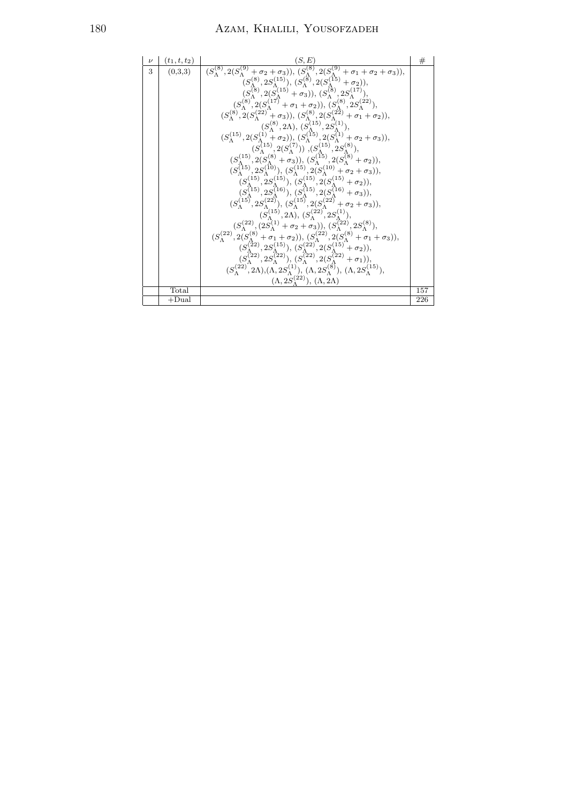